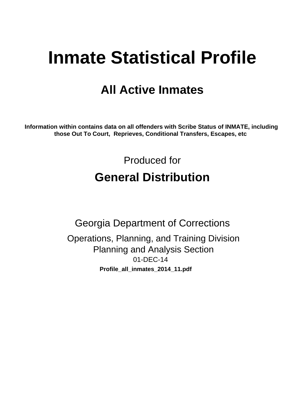# **Inmate Statistical Profile**

# **All Active Inmates**

Information within contains data on all offenders with Scribe Status of INMATE, including those Out To Court, Reprieves, Conditional Transfers, Escapes, etc

> Produced for **General Distribution**

**Georgia Department of Corrections** Operations, Planning, and Training Division **Planning and Analysis Section** 01-DEC-14 Profile\_all\_inmates\_2014\_11.pdf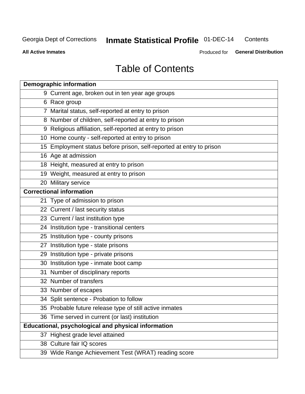#### **Inmate Statistical Profile 01-DEC-14** Contents

**All Active Inmates** 

Produced for General Distribution

# **Table of Contents**

| <b>Demographic information</b>                                       |
|----------------------------------------------------------------------|
| 9 Current age, broken out in ten year age groups                     |
| 6 Race group                                                         |
| 7 Marital status, self-reported at entry to prison                   |
| 8 Number of children, self-reported at entry to prison               |
| 9 Religious affiliation, self-reported at entry to prison            |
| 10 Home county - self-reported at entry to prison                    |
| 15 Employment status before prison, self-reported at entry to prison |
| 16 Age at admission                                                  |
| 18 Height, measured at entry to prison                               |
| 19 Weight, measured at entry to prison                               |
| 20 Military service                                                  |
| <b>Correctional information</b>                                      |
| 21 Type of admission to prison                                       |
| 22 Current / last security status                                    |
| 23 Current / last institution type                                   |
| 24 Institution type - transitional centers                           |
| 25 Institution type - county prisons                                 |
| 27 Institution type - state prisons                                  |
| 29 Institution type - private prisons                                |
| 30 Institution type - inmate boot camp                               |
| 31 Number of disciplinary reports                                    |
| 32 Number of transfers                                               |
| 33 Number of escapes                                                 |
| 34 Split sentence - Probation to follow                              |
| 35 Probable future release type of still active inmates              |
| 36 Time served in current (or last) institution                      |
| Educational, psychological and physical information                  |
| 37 Highest grade level attained                                      |
| 38 Culture fair IQ scores                                            |
| 39 Wide Range Achievement Test (WRAT) reading score                  |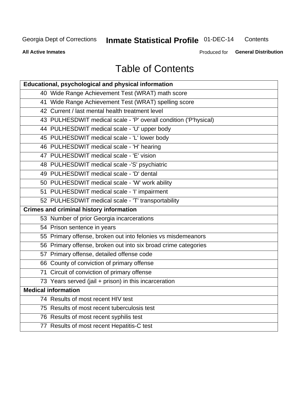#### **Inmate Statistical Profile 01-DEC-14** Contents

**All Active Inmates** 

Produced for General Distribution

# **Table of Contents**

| Educational, psychological and physical information              |
|------------------------------------------------------------------|
| 40 Wide Range Achievement Test (WRAT) math score                 |
| 41 Wide Range Achievement Test (WRAT) spelling score             |
| 42 Current / last mental health treatment level                  |
| 43 PULHESDWIT medical scale - 'P' overall condition ('P'hysical) |
| 44 PULHESDWIT medical scale - 'U' upper body                     |
| 45 PULHESDWIT medical scale - 'L' lower body                     |
| 46 PULHESDWIT medical scale - 'H' hearing                        |
| 47 PULHESDWIT medical scale - 'E' vision                         |
| 48 PULHESDWIT medical scale -'S' psychiatric                     |
| 49 PULHESDWIT medical scale - 'D' dental                         |
| 50 PULHESDWIT medical scale - 'W' work ability                   |
| 51 PULHESDWIT medical scale - 'I' impairment                     |
| 52 PULHESDWIT medical scale - 'T' transportability               |
|                                                                  |
| <b>Crimes and criminal history information</b>                   |
| 53 Number of prior Georgia incarcerations                        |
| 54 Prison sentence in years                                      |
| 55 Primary offense, broken out into felonies vs misdemeanors     |
| 56 Primary offense, broken out into six broad crime categories   |
| 57 Primary offense, detailed offense code                        |
| 66 County of conviction of primary offense                       |
| 71 Circuit of conviction of primary offense                      |
| 73 Years served (jail + prison) in this incarceration            |
| <b>Medical information</b>                                       |
| 74 Results of most recent HIV test                               |
| 75 Results of most recent tuberculosis test                      |
| 76 Results of most recent syphilis test                          |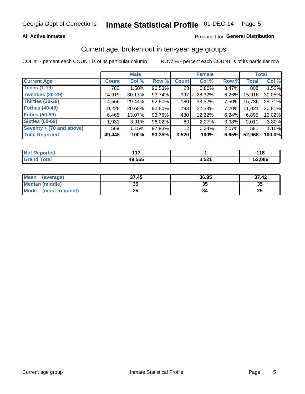### **All Active Inmates**

### Produced for General Distribution

# Current age, broken out in ten-year age groups

COL % - percent each COUNT is of its particular column

|                          | <b>Male</b>  |        |           | <b>Female</b>   |          |       | <b>Total</b> |        |
|--------------------------|--------------|--------|-----------|-----------------|----------|-------|--------------|--------|
| <b>Current Age</b>       | <b>Count</b> | Col %  | Row %     | <b>Count</b>    | Col %    | Row % | <b>Total</b> | Col %  |
| <b>Teens (1-19)</b>      | 780          | 1.58%  | 96.53%    | 28              | $0.80\%$ | 3.47% | 808          | 1.53%  |
| <b>Twenties (20-29)</b>  | 14,919       | 30.17% | 93.74%    | 997             | 28.32%   | 6.26% | 15,916       | 30.05% |
| Thirties (30-39)         | 14,556       | 29.44% | $92.50\%$ | 1,180           | 33.52%   | 7.50% | 15,736       | 29.71% |
| <b>Forties (40-49)</b>   | 10,228       | 20.68% | 92.80%    | 793             | 22.53%   | 7.20% | 11,021       | 20.81% |
| <b>Fifties (50-59)</b>   | 6,465        | 13.07% | 93.76%    | 430             | 12.22%   | 6.24% | 6,895        | 13.02% |
| <b>Sixties (60-69)</b>   | 1,931        | 3.91%  | 96.02%    | 80 <sub>1</sub> | 2.27%    | 3.98% | 2.011        | 3.80%  |
| Seventy + (70 and above) | 569          | 1.15%  | 97.93%    | 12 <sub>2</sub> | 0.34%    | 2.07% | 581          | 1.10%  |
| <b>Total Reported</b>    | 49,448       | 100%   | 93.35%    | 3,520           | 100%     | 6.65% | 52,968       | 100.0% |

| <b>Not Repo</b><br><b>ported</b> | 147    |       | O      |
|----------------------------------|--------|-------|--------|
| Total                            | 49,565 | 3,521 | 53,086 |

| <b>Mean</b><br>(average)       | 37.45    | 36.95 | 37.42    |
|--------------------------------|----------|-------|----------|
| Median (middle)                | つん<br>vu | JJ    | 35       |
| <b>Mode</b><br>(most frequent) | つら<br>ZJ |       | つじ<br>ZJ |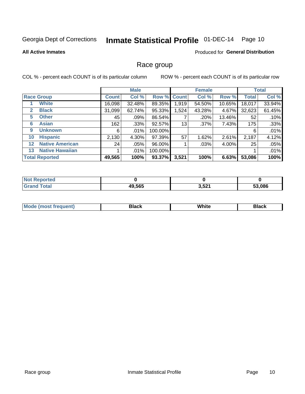# Inmate Statistical Profile 01-DEC-14 Page 10

#### **All Active Inmates**

#### Produced for General Distribution

### Race group

COL % - percent each COUNT is of its particular column

|                   |                        | <b>Male</b>  |         |         | <b>Female</b> |         |        | <b>Total</b> |        |
|-------------------|------------------------|--------------|---------|---------|---------------|---------|--------|--------------|--------|
|                   | <b>Race Group</b>      | <b>Count</b> | Col %   |         | Row % Count   | Col %   | Row %  | <b>Total</b> | Col %  |
|                   | <b>White</b>           | 16,098       | 32.48%  | 89.35%  | 1,919         | 54.50%  | 10.65% | 18,017       | 33.94% |
| 2                 | <b>Black</b>           | 31,099       | 62.74%  | 95.33%  | .524          | 43.28%  | 4.67%  | 32,623       | 61.45% |
| 5                 | <b>Other</b>           | 45           | .09%    | 86.54%  |               | .20%    | 13.46% | 52           | .10%   |
| 6                 | <b>Asian</b>           | 162          | $.33\%$ | 92.57%  | 13            | $.37\%$ | 7.43%  | 175          | .33%   |
| 9                 | <b>Unknown</b>         | 6            | $.01\%$ | 100.00% |               |         |        | 6            | .01%   |
| 10                | <b>Hispanic</b>        | 2,130        | 4.30%   | 97.39%  | 57            | 1.62%   | 2.61%  | 2,187        | 4.12%  |
| $12 \overline{ }$ | <b>Native American</b> | 24           | $.05\%$ | 96.00%  |               | .03%    | 4.00%  | 25           | .05%   |
| 13                | <b>Native Hawaiian</b> |              | $.01\%$ | 100.00% |               |         |        |              | .01%   |
|                   | <b>Total Reported</b>  | 49,565       | 100%    | 93.37%  | 3,521         | 100%    | 6.63%  | 53,086       | 100%   |

| <b>ported</b><br>'N≀ |        |       |        |
|----------------------|--------|-------|--------|
| <b>cotal</b>         | 49,565 | 3,521 | 53.086 |

| <b>Mode</b><br>uent)<br>most treo | 3lack | White | Black |
|-----------------------------------|-------|-------|-------|
|                                   |       |       |       |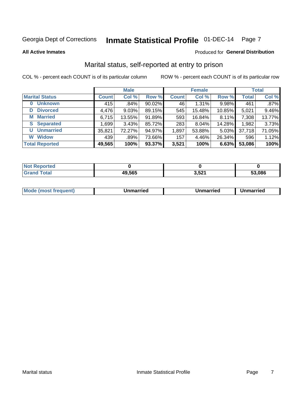# Inmate Statistical Profile 01-DEC-14 Page 7

**All Active Inmates** 

### Produced for General Distribution

# Marital status, self-reported at entry to prison

COL % - percent each COUNT is of its particular column

|                            | <b>Male</b>  |        |        |              | <b>Female</b> | <b>Total</b> |              |        |
|----------------------------|--------------|--------|--------|--------------|---------------|--------------|--------------|--------|
| <b>Marital Status</b>      | <b>Count</b> | Col %  | Row %  | <b>Count</b> | Col %         | Row %        | <b>Total</b> | Col %  |
| <b>Unknown</b><br>$\bf{0}$ | 415          | .84%   | 90.02% | 46           | 1.31%         | 9.98%        | 461          | .87%   |
| <b>Divorced</b><br>D       | 4,476        | 9.03%  | 89.15% | 545          | 15.48%        | 10.85%       | 5,021        | 9.46%  |
| <b>Married</b><br>М        | 6,715        | 13.55% | 91.89% | 593          | 16.84%        | 8.11%        | 7,308        | 13.77% |
| <b>Separated</b><br>S      | 1,699        | 3.43%  | 85.72% | 283          | 8.04%         | 14.28%       | 1,982        | 3.73%  |
| <b>Unmarried</b><br>U      | 35,821       | 72.27% | 94.97% | 1,897        | 53.88%        | 5.03%        | 37,718       | 71.05% |
| <b>Widow</b><br>W          | 439          | .89%   | 73.66% | 157          | 4.46%         | 26.34%       | 596          | 1.12%  |
| <b>Total Reported</b>      | 49,565       | 100%   | 93.37% | 3,521        | 100%          | 6.63%        | 53,086       | 100%   |

| .<br>Teo<br>NO |              |              |        |
|----------------|--------------|--------------|--------|
|                | 49,565<br>Дч | EO.<br>ו שני | 53.086 |

| <b>Mode (most frequent)</b><br>Unmarried<br>Unmarried<br>Jnmarried |
|--------------------------------------------------------------------|
|--------------------------------------------------------------------|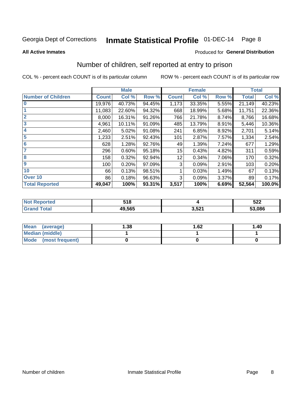# Inmate Statistical Profile 01-DEC-14 Page 8

#### **All Active Inmates**

### **Produced for General Distribution**

# Number of children, self reported at entry to prison

COL % - percent each COUNT is of its particular column

|                           |              | <b>Male</b> |        |              | <b>Female</b> |       |              | <b>Total</b> |
|---------------------------|--------------|-------------|--------|--------------|---------------|-------|--------------|--------------|
| <b>Number of Children</b> | <b>Count</b> | Col %       | Row %  | <b>Count</b> | Col %         | Row % | <b>Total</b> | Col %        |
| $\overline{\mathbf{0}}$   | 19,976       | 40.73%      | 94.45% | 1,173        | 33.35%        | 5.55% | 21,149       | 40.23%       |
|                           | 11,083       | 22.60%      | 94.32% | 668          | 18.99%        | 5.68% | 11,751       | 22.36%       |
| $\overline{2}$            | 8,000        | 16.31%      | 91.26% | 766          | 21.78%        | 8.74% | 8,766        | 16.68%       |
| $\overline{\mathbf{3}}$   | 4,961        | 10.11%      | 91.09% | 485          | 13.79%        | 8.91% | 5,446        | 10.36%       |
| 4                         | 2,460        | 5.02%       | 91.08% | 241          | 6.85%         | 8.92% | 2,701        | 5.14%        |
| $\overline{\mathbf{5}}$   | 1,233        | 2.51%       | 92.43% | 101          | 2.87%         | 7.57% | 1,334        | 2.54%        |
| 6                         | 628          | 1.28%       | 92.76% | 49           | 1.39%         | 7.24% | 677          | 1.29%        |
| 7                         | 296          | 0.60%       | 95.18% | 15           | 0.43%         | 4.82% | 311          | 0.59%        |
| $\overline{\mathbf{8}}$   | 158          | 0.32%       | 92.94% | 12           | 0.34%         | 7.06% | 170          | 0.32%        |
| 9                         | 100          | 0.20%       | 97.09% | 3            | 0.09%         | 2.91% | 103          | 0.20%        |
| 10                        | 66           | 0.13%       | 98.51% |              | 0.03%         | 1.49% | 67           | 0.13%        |
| Over 10                   | 86           | 0.18%       | 96.63% | 3            | 0.09%         | 3.37% | 89           | 0.17%        |
| <b>Total Reported</b>     | 49,047       | 100%        | 93.31% | 3,517        | 100%          | 6.69% | 52,564       | 100.0%       |

| 54 O<br>JIU |                  | 522    |
|-------------|------------------|--------|
| 19.565      | . E2<br>. J.JZ . | 53,086 |

| Mean<br>(average)       | 1.38 | 1.62 | 1.40 |
|-------------------------|------|------|------|
| Median (middle)         |      |      |      |
| Mode<br>(most frequent) |      |      |      |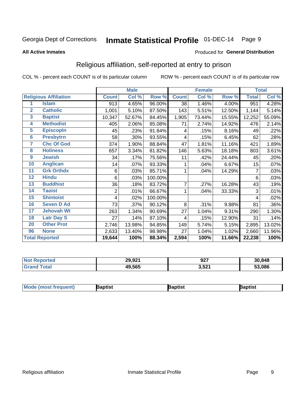#### Inmate Statistical Profile 01-DEC-14 Page 9

#### **All Active Inmates**

#### Produced for General Distribution

# Religious affiliation, self-reported at entry to prison

COL % - percent each COUNT is of its particular column

|                 |                              |              | <b>Male</b> |         |                | <b>Female</b> |        |              | <b>Total</b> |
|-----------------|------------------------------|--------------|-------------|---------|----------------|---------------|--------|--------------|--------------|
|                 | <b>Religious Affiliation</b> | <b>Count</b> | Col %       | Row %   | <b>Count</b>   | Col %         | Row %  | <b>Total</b> | Col %        |
| 1               | <b>Islam</b>                 | 913          | 4.65%       | 96.00%  | 38             | 1.46%         | 4.00%  | 951          | 4.28%        |
| $\overline{2}$  | <b>Catholic</b>              | 1,001        | 5.10%       | 87.50%  | 143            | 5.51%         | 12.50% | 1,144        | 5.14%        |
| $\mathbf{3}$    | <b>Baptist</b>               | 10,347       | 52.67%      | 84.45%  | 1,905          | 73.44%        | 15.55% | 12,252       | 55.09%       |
| 4               | <b>Methodist</b>             | 405          | 2.06%       | 85.08%  | 71             | 2.74%         | 14.92% | 476          | 2.14%        |
| 5               | <b>EpiscopIn</b>             | 45           | .23%        | 91.84%  | 4              | .15%          | 8.16%  | 49           | .22%         |
| $6\phantom{a}$  | <b>Presbytrn</b>             | 58           | .30%        | 93.55%  | 4              | .15%          | 6.45%  | 62           | .28%         |
| 7               | <b>Chc Of God</b>            | 374          | 1.90%       | 88.84%  | 47             | 1.81%         | 11.16% | 421          | 1.89%        |
| 8               | <b>Holiness</b>              | 657          | 3.34%       | 81.82%  | 146            | 5.63%         | 18.18% | 803          | 3.61%        |
| $\overline{9}$  | <b>Jewish</b>                | 34           | .17%        | 75.56%  | 11             | .42%          | 24.44% | 45           | .20%         |
| 10              | <b>Anglican</b>              | 14           | .07%        | 93.33%  |                | .04%          | 6.67%  | 15           | .07%         |
| 11              | <b>Grk Orthdx</b>            | 6            | .03%        | 85.71%  | 1              | .04%          | 14.29% | 7            | .03%         |
| 12              | <b>Hindu</b>                 | 6            | .03%        | 100.00% |                |               |        | 6            | .03%         |
| 13              | <b>Buddhist</b>              | 36           | .18%        | 83.72%  | $\overline{7}$ | .27%          | 16.28% | 43           | .19%         |
| 14              | <b>Taoist</b>                | 2            | .01%        | 66.67%  |                | .04%          | 33.33% | 3            | .01%         |
| 15              | <b>Shintoist</b>             | 4            | .02%        | 100.00% |                |               |        | 4            | .02%         |
| 16              | <b>Seven D Ad</b>            | 73           | .37%        | 90.12%  | 8              | .31%          | 9.88%  | 81           | .36%         |
| 17 <sub>2</sub> | <b>Jehovah Wt</b>            | 263          | 1.34%       | 90.69%  | 27             | 1.04%         | 9.31%  | 290          | 1.30%        |
| 18              | <b>Latr Day S</b>            | 27           | .14%        | 87.10%  | 4              | .15%          | 12.90% | 31           | .14%         |
| 20              | <b>Other Prot</b>            | 2,746        | 13.98%      | 94.85%  | 149            | 5.74%         | 5.15%  | 2,895        | 13.02%       |
| 96              | <b>None</b>                  | 2,633        | 13.40%      | 98.98%  | 27             | 1.04%         | 1.02%  | 2,660        | 11.96%       |
|                 | <b>Total Reported</b>        | 19,644       | 100%        | 88.34%  | 2,594          | 100%          | 11.66% | 22,238       | 100%         |

|                 | 29,921 | $\sim$<br>JZ. | 30,848     |
|-----------------|--------|---------------|------------|
| $\sim$ 4 $\sim$ | 49,565 | 3,521         | .086<br>-0 |

| Mω<br>∖aptist<br>Baptist<br>ˈaɒtist |  |  |  |  |  |
|-------------------------------------|--|--|--|--|--|
|-------------------------------------|--|--|--|--|--|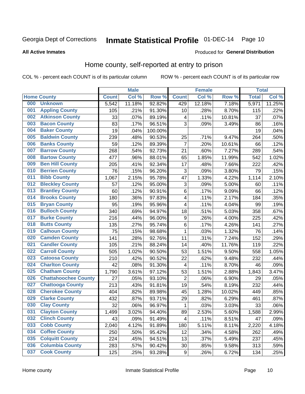# Inmate Statistical Profile 01-DEC-14 Page 10

#### **All Active Inmates**

#### Produced for General Distribution

### Home county, self-reported at entry to prison

COL % - percent each COUNT is of its particular column

|     |                             |              | <b>Male</b> |         |                  | <b>Female</b> |        | <b>Total</b> |        |
|-----|-----------------------------|--------------|-------------|---------|------------------|---------------|--------|--------------|--------|
|     | <b>Home County</b>          | <b>Count</b> | Col %       | Row %   | <b>Count</b>     | Col %         | Row %  | <b>Total</b> | Col %  |
| 000 | <b>Unknown</b>              | 5,542        | 11.18%      | 92.82%  | 429              | 12.18%        | 7.18%  | 5,971        | 11.25% |
| 001 | <b>Appling County</b>       | 105          | .21%        | 91.30%  | 10               | .28%          | 8.70%  | 115          | .22%   |
| 002 | <b>Atkinson County</b>      | 33           | .07%        | 89.19%  | 4                | .11%          | 10.81% | 37           | .07%   |
| 003 | <b>Bacon County</b>         | 83           | .17%        | 96.51%  | 3                | .09%          | 3.49%  | 86           | .16%   |
| 004 | <b>Baker County</b>         | 19           | .04%        | 100.00% |                  |               |        | 19           | .04%   |
| 005 | <b>Baldwin County</b>       | 239          | .48%        | 90.53%  | 25               | .71%          | 9.47%  | 264          | .50%   |
| 006 | <b>Banks County</b>         | 59           | .12%        | 89.39%  | $\overline{7}$   | .20%          | 10.61% | 66           | .12%   |
| 007 | <b>Barrow County</b>        | 268          | .54%        | 92.73%  | 21               | .60%          | 7.27%  | 289          | .54%   |
| 008 | <b>Bartow County</b>        | 477          | .96%        | 88.01%  | 65               | 1.85%         | 11.99% | 542          | 1.02%  |
| 009 | <b>Ben Hill County</b>      | 205          | .41%        | 92.34%  | 17               | .48%          | 7.66%  | 222          | .42%   |
| 010 | <b>Berrien County</b>       | 76           | .15%        | 96.20%  | 3                | .09%          | 3.80%  | 79           | .15%   |
| 011 | <b>Bibb County</b>          | 1,067        | 2.15%       | 95.78%  | 47               | 1.33%         | 4.22%  | 1,114        | 2.10%  |
| 012 | <b>Bleckley County</b>      | 57           | .12%        | 95.00%  | $\mathbf{3}$     | .09%          | 5.00%  | 60           | .11%   |
| 013 | <b>Brantley County</b>      | 60           | .12%        | 90.91%  | $\,6$            | .17%          | 9.09%  | 66           | .12%   |
| 014 | <b>Brooks County</b>        | 180          | .36%        | 97.83%  | $\overline{4}$   | .11%          | 2.17%  | 184          | .35%   |
| 015 | <b>Bryan County</b>         | 95           | .19%        | 95.96%  | 4                | .11%          | 4.04%  | 99           | .19%   |
| 016 | <b>Bulloch County</b>       | 340          | .69%        | 94.97%  | 18               | .51%          | 5.03%  | 358          | .67%   |
| 017 | <b>Burke County</b>         | 216          | .44%        | 96.00%  | $\boldsymbol{9}$ | .26%          | 4.00%  | 225          | .42%   |
| 018 | <b>Butts County</b>         | 135          | .27%        | 95.74%  | $\,6$            | .17%          | 4.26%  | 141          | .27%   |
| 019 | <b>Calhoun County</b>       | 75           | .15%        | 98.68%  | $\mathbf{1}$     | .03%          | 1.32%  | 76           | .14%   |
| 020 | <b>Camden County</b>        | 141          | .28%        | 92.76%  | 11               | .31%          | 7.24%  | 152          | .29%   |
| 021 | <b>Candler County</b>       | 105          | .21%        | 88.24%  | 14               | .40%          | 11.76% | 119          | .22%   |
| 022 | <b>Carroll County</b>       | 505          | 1.02%       | 90.50%  | 53               | 1.51%         | 9.50%  | 558          | 1.05%  |
| 023 | <b>Catoosa County</b>       | 210          | .42%        | 90.52%  | 22               | .62%          | 9.48%  | 232          | .44%   |
| 024 | <b>Charlton County</b>      | 42           | .08%        | 91.30%  | 4                | .11%          | 8.70%  | 46           | .09%   |
| 025 | <b>Chatham County</b>       | 1,790        | 3.61%       | 97.12%  | 53               | 1.51%         | 2.88%  | 1,843        | 3.47%  |
| 026 | <b>Chattahoochee County</b> | 27           | .05%        | 93.10%  | $\overline{2}$   | .06%          | 6.90%  | 29           | .05%   |
| 027 | <b>Chattooga County</b>     | 213          | .43%        | 91.81%  | 19               | .54%          | 8.19%  | 232          | .44%   |
| 028 | <b>Cherokee County</b>      | 404          | .82%        | 89.98%  | 45               | 1.28%         | 10.02% | 449          | .85%   |
| 029 | <b>Clarke County</b>        | 432          | .87%        | 93.71%  | 29               | .82%          | 6.29%  | 461          | .87%   |
| 030 | <b>Clay County</b>          | 32           | .06%        | 96.97%  | $\mathbf{1}$     | .03%          | 3.03%  | 33           | .06%   |
| 031 | <b>Clayton County</b>       | 1,499        | 3.02%       | 94.40%  | 89               | 2.53%         | 5.60%  | 1,588        | 2.99%  |
| 032 | <b>Clinch County</b>        | 43           | .09%        | 91.49%  | 4                | .11%          | 8.51%  | 47           | .09%   |
| 033 | <b>Cobb County</b>          | 2,040        | 4.12%       | 91.89%  | 180              | 5.11%         | 8.11%  | 2,220        | 4.18%  |
| 034 | <b>Coffee County</b>        | 250          | .50%        | 95.42%  | 12               | .34%          | 4.58%  | 262          | .49%   |
| 035 | <b>Colquitt County</b>      | 224          | .45%        | 94.51%  | 13               | .37%          | 5.49%  | 237          | .45%   |
| 036 | <b>Columbia County</b>      | 283          | .57%        | 90.42%  | 30               | .85%          | 9.58%  | 313          | .59%   |
| 037 | <b>Cook County</b>          | 125          | .25%        | 93.28%  | $\boldsymbol{9}$ | .26%          | 6.72%  | 134          | .25%   |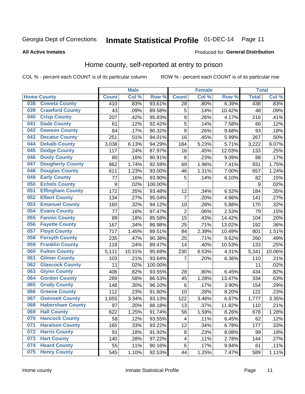# Inmate Statistical Profile 01-DEC-14 Page 11

**All Active Inmates** 

#### Produced for General Distribution

### Home county, self-reported at entry to prison

COL % - percent each COUNT is of its particular column

|     |                         |                  | <b>Male</b> |                  |                  | <b>Female</b> |        | <b>Total</b> |        |
|-----|-------------------------|------------------|-------------|------------------|------------------|---------------|--------|--------------|--------|
|     | <b>Home County</b>      | <b>Count</b>     | Col %       | Row <sup>%</sup> | <b>Count</b>     | Col %         | Row %  | <b>Total</b> | Col %  |
| 038 | <b>Coweta County</b>    | 410              | .83%        | 93.61%           | 28               | .80%          | 6.39%  | 438          | .83%   |
| 039 | <b>Crawford County</b>  | 43               | .09%        | 89.58%           | 5                | .14%          | 10.42% | 48           | .09%   |
| 040 | <b>Crisp County</b>     | 207              | .42%        | 95.83%           | $\boldsymbol{9}$ | .26%          | 4.17%  | 216          | .41%   |
| 041 | <b>Dade County</b>      | 61               | .12%        | 92.42%           | 5                | .14%          | 7.58%  | 66           | .12%   |
| 042 | <b>Dawson County</b>    | 84               | .17%        | 90.32%           | 9                | .26%          | 9.68%  | 93           | .18%   |
| 043 | <b>Decatur County</b>   | 251              | .51%        | 94.01%           | 16               | .45%          | 5.99%  | 267          | .50%   |
| 044 | <b>Dekalb County</b>    | 3,038            | 6.13%       | 94.29%           | 184              | 5.23%         | 5.71%  | 3,222        | 6.07%  |
| 045 | <b>Dodge County</b>     | 117              | .24%        | 87.97%           | 16               | .45%          | 12.03% | 133          | .25%   |
| 046 | <b>Dooly County</b>     | 80               | .16%        | 90.91%           | 8                | .23%          | 9.09%  | 88           | .17%   |
| 047 | <b>Dougherty County</b> | 862              | 1.74%       | 92.59%           | 69               | 1.96%         | 7.41%  | 931          | 1.75%  |
| 048 | <b>Douglas County</b>   | 611              | 1.23%       | 93.00%           | 46               | 1.31%         | 7.00%  | 657          | 1.24%  |
| 049 | <b>Early County</b>     | 77               | .16%        | 93.90%           | 5                | .14%          | 6.10%  | 82           | .15%   |
| 050 | <b>Echols County</b>    | $\boldsymbol{9}$ | .02%        | 100.00%          |                  |               |        | 9            | .02%   |
| 051 | <b>Effingham County</b> | 172              | .35%        | 93.48%           | 12               | .34%          | 6.52%  | 184          | .35%   |
| 052 | <b>Elbert County</b>    | 134              | .27%        | 95.04%           | $\overline{7}$   | .20%          | 4.96%  | 141          | .27%   |
| 053 | <b>Emanuel County</b>   | 160              | .32%        | 94.12%           | 10               | .28%          | 5.88%  | 170          | .32%   |
| 054 | <b>Evans County</b>     | 77               | .16%        | 97.47%           | $\mathbf 2$      | .06%          | 2.53%  | 79           | .15%   |
| 055 | <b>Fannin County</b>    | 89               | .18%        | 85.58%           | 15               | .43%          | 14.42% | 104          | .20%   |
| 056 | <b>Fayette County</b>   | 167              | .34%        | 86.98%           | 25               | .71%          | 13.02% | 192          | .36%   |
| 057 | <b>Floyd County</b>     | 717              | 1.45%       | 89.51%           | 84               | 2.39%         | 10.49% | 801          | 1.51%  |
| 058 | <b>Forsyth County</b>   | 235              | .47%        | 90.38%           | 25               | .71%          | 9.62%  | 260          | .49%   |
| 059 | <b>Franklin County</b>  | 119              | .24%        | 89.47%           | 14               | .40%          | 10.53% | 133          | .25%   |
| 060 | <b>Fulton County</b>    | 5,111            | 10.31%      | 95.69%           | 230              | 6.53%         | 4.31%  | 5,341        | 10.06% |
| 061 | <b>Gilmer County</b>    | 103              | .21%        | 93.64%           | 7                | .20%          | 6.36%  | 110          | .21%   |
| 062 | <b>Glascock County</b>  | 11               | .02%        | 100.00%          |                  |               |        | 11           | .02%   |
| 063 | <b>Glynn County</b>     | 406              | .82%        | 93.55%           | 28               | .80%          | 6.45%  | 434          | .82%   |
| 064 | <b>Gordon County</b>    | 289              | .58%        | 86.53%           | 45               | 1.28%         | 13.47% | 334          | .63%   |
| 065 | <b>Grady County</b>     | 148              | .30%        | 96.10%           | $\,6$            | .17%          | 3.90%  | 154          | .29%   |
| 066 | <b>Greene County</b>    | 112              | .23%        | 91.80%           | 10               | .28%          | 8.20%  | 122          | .23%   |
| 067 | <b>Gwinnett County</b>  | 1,655            | 3.34%       | 93.13%           | 122              | 3.46%         | 6.87%  | 1,777        | 3.35%  |
| 068 | <b>Habersham County</b> | 97               | .20%        | 88.18%           | 13               | .37%          | 11.82% | 110          | .21%   |
| 069 | <b>Hall County</b>      | 622              | 1.25%       | 91.74%           | 56               | 1.59%         | 8.26%  | 678          | 1.28%  |
| 070 | <b>Hancock County</b>   | 58               | .12%        | 93.55%           | 4                | .11%          | 6.45%  | 62           | .12%   |
| 071 | <b>Haralson County</b>  | 165              | .33%        | 93.22%           | 12               | .34%          | 6.78%  | 177          | .33%   |
| 072 | <b>Harris County</b>    | 91               | .18%        | 91.92%           | 8                | .23%          | 8.08%  | 99           | .19%   |
| 073 | <b>Hart County</b>      | 140              | .28%        | 97.22%           | 4                | .11%          | 2.78%  | 144          | .27%   |
| 074 | <b>Heard County</b>     | 55               | .11%        | 90.16%           | 6                | .17%          | 9.84%  | 61           | .11%   |
| 075 | <b>Henry County</b>     | 545              | 1.10%       | 92.53%           | 44               | 1.25%         | 7.47%  | 589          | 1.11%  |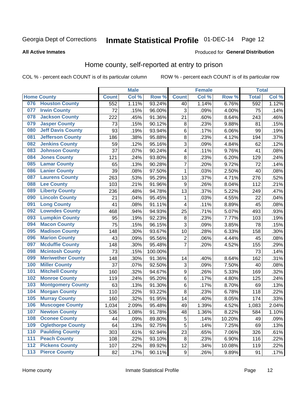# Inmate Statistical Profile 01-DEC-14 Page 12

#### **All Active Inmates**

#### Produced for General Distribution

### Home county, self-reported at entry to prison

COL % - percent each COUNT is of its particular column

|                  |                          |              | <b>Male</b> |                  |                         | <b>Female</b>     |        | <b>Total</b> |       |
|------------------|--------------------------|--------------|-------------|------------------|-------------------------|-------------------|--------|--------------|-------|
|                  | <b>Home County</b>       | <b>Count</b> | Col %       | Row <sup>%</sup> | <b>Count</b>            | Col %             | Row %  | <b>Total</b> | Col % |
| 076              | <b>Houston County</b>    | 552          | 1.11%       | 93.24%           | 40                      | 1.14%             | 6.76%  | 592          | 1.12% |
| 077              | <b>Irwin County</b>      | 72           | .15%        | 96.00%           | 3                       | .09%              | 4.00%  | 75           | .14%  |
| 078              | <b>Jackson County</b>    | 222          | .45%        | 91.36%           | 21                      | .60%              | 8.64%  | 243          | .46%  |
| 079              | <b>Jasper County</b>     | 73           | .15%        | 90.12%           | 8                       | .23%              | 9.88%  | 81           | .15%  |
| 080              | <b>Jeff Davis County</b> | 93           | .19%        | 93.94%           | 6                       | .17%              | 6.06%  | 99           | .19%  |
| 081              | <b>Jefferson County</b>  | 186          | .38%        | 95.88%           | 8                       | .23%              | 4.12%  | 194          | .37%  |
| 082              | <b>Jenkins County</b>    | 59           | .12%        | 95.16%           | 3                       | .09%              | 4.84%  | 62           | .12%  |
| 083              | <b>Johnson County</b>    | 37           | .07%        | 90.24%           | $\overline{\mathbf{4}}$ | .11%              | 9.76%  | 41           | .08%  |
| 084              | <b>Jones County</b>      | 121          | .24%        | 93.80%           | 8                       | .23%              | 6.20%  | 129          | .24%  |
| 085              | <b>Lamar County</b>      | 65           | .13%        | 90.28%           | 7                       | .20%              | 9.72%  | 72           | .14%  |
| 086              | <b>Lanier County</b>     | 39           | .08%        | 97.50%           | 1                       | .03%              | 2.50%  | 40           | .08%  |
| 087              | <b>Laurens County</b>    | 263          | .53%        | 95.29%           | 13                      | .37%              | 4.71%  | 276          | .52%  |
| 088              | <b>Lee County</b>        | 103          | .21%        | 91.96%           | 9                       | .26%              | 8.04%  | 112          | .21%  |
| 089              | <b>Liberty County</b>    | 236          | .48%        | 94.78%           | 13                      | .37%              | 5.22%  | 249          | .47%  |
| 090              | <b>Lincoln County</b>    | 21           | .04%        | 95.45%           | 1                       | .03%              | 4.55%  | 22           | .04%  |
| 091              | <b>Long County</b>       | 41           | .08%        | 91.11%           | $\overline{\mathbf{4}}$ | .11%              | 8.89%  | 45           | .08%  |
| 092              | <b>Lowndes County</b>    | 468          | .94%        | 94.93%           | 25                      | .71%              | 5.07%  | 493          | .93%  |
| 093              | <b>Lumpkin County</b>    | 95           | .19%        | 92.23%           | $\bf 8$                 | .23%              | 7.77%  | 103          | .19%  |
| 094              | <b>Macon County</b>      | 75           | .15%        | 96.15%           | 3                       | .09%              | 3.85%  | 78           | .15%  |
| 095              | <b>Madison County</b>    | 148          | .30%        | 93.67%           | 10                      | .28%              | 6.33%  | 158          | .30%  |
| 096              | <b>Marion County</b>     | 43           | .09%        | 95.56%           | $\overline{2}$          | .06%              | 4.44%  | 45           | .08%  |
| 097              | <b>Mcduffie County</b>   | 148          | .30%        | 95.48%           | $\overline{7}$          | .20%              | 4.52%  | 155          | .29%  |
| 098              | <b>Mcintosh County</b>   | 73           | .15%        | 100.00%          |                         |                   |        | 73           | .14%  |
| 099              | <b>Meriwether County</b> | 148          | .30%        | 91.36%           | 14                      | .40%              | 8.64%  | 162          | .31%  |
| 100              | <b>Miller County</b>     | 37           | .07%        | 92.50%           | 3                       | .09%              | 7.50%  | 40           | .08%  |
| 101              | <b>Mitchell County</b>   | 160          | .32%        | 94.67%           | $\boldsymbol{9}$        | .26%              | 5.33%  | 169          | .32%  |
| 102              | <b>Monroe County</b>     | 119          | .24%        | 95.20%           | $\overline{6}$          | .17%              | 4.80%  | 125          | .24%  |
| 103              | <b>Montgomery County</b> | 63           | .13%        | 91.30%           | 6                       | .17%              | 8.70%  | 69           | .13%  |
| 104              | <b>Morgan County</b>     | 110          | .22%        | 93.22%           | 8                       | $\overline{.}23%$ | 6.78%  | 118          | .22%  |
| 105              | <b>Murray County</b>     | 160          | .32%        | 91.95%           | 14                      | .40%              | 8.05%  | 174          | .33%  |
| 106              | <b>Muscogee County</b>   | 1,034        | 2.09%       | 95.48%           | 49                      | 1.39%             | 4.52%  | 1,083        | 2.04% |
| 107              | <b>Newton County</b>     | 536          | 1.08%       | 91.78%           | 48                      | 1.36%             | 8.22%  | 584          | 1.10% |
| 108              | <b>Oconee County</b>     | 44           | .09%        | 89.80%           | 5                       | .14%              | 10.20% | 49           | .09%  |
| 109              | <b>Oglethorpe County</b> | 64           | .13%        | 92.75%           | 5                       | .14%              | 7.25%  | 69           | .13%  |
| 110              | <b>Paulding County</b>   | 303          | .61%        | 92.94%           | 23                      | .65%              | 7.06%  | 326          | .61%  |
| 111              | <b>Peach County</b>      | 108          | .22%        | 93.10%           | 8                       | .23%              | 6.90%  | 116          | .22%  |
| $\overline{112}$ | <b>Pickens County</b>    | 107          | .22%        | 89.92%           | 12                      | .34%              | 10.08% | 119          | .22%  |
| 113              | <b>Pierce County</b>     | 82           | .17%        | 90.11%           | $\boldsymbol{9}$        | .26%              | 9.89%  | 91           | .17%  |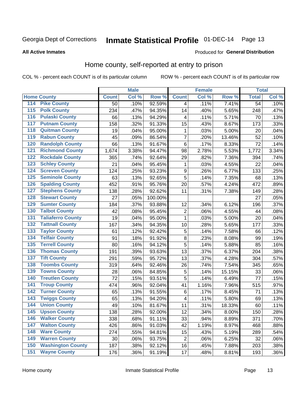# Inmate Statistical Profile 01-DEC-14 Page 13

#### **All Active Inmates**

#### Produced for General Distribution

### Home county, self-reported at entry to prison

COL % - percent each COUNT is of its particular column

|                                          |              | <b>Male</b> |         |                  | <b>Female</b> |        | <b>Total</b>    |         |
|------------------------------------------|--------------|-------------|---------|------------------|---------------|--------|-----------------|---------|
| <b>Home County</b>                       | <b>Count</b> | Col %       | Row %   | <b>Count</b>     | Col %         | Row %  | <b>Total</b>    | Col %   |
| 114<br><b>Pike County</b>                | 50           | .10%        | 92.59%  | 4                | .11%          | 7.41%  | $\overline{54}$ | .10%    |
| <b>Polk County</b><br>115                | 234          | .47%        | 94.35%  | 14               | .40%          | 5.65%  | 248             | .47%    |
| <b>Pulaski County</b><br>116             | 66           | .13%        | 94.29%  | 4                | .11%          | 5.71%  | 70              | .13%    |
| <b>Putnam County</b><br>117              | 158          | .32%        | 91.33%  | 15               | .43%          | 8.67%  | 173             | .33%    |
| 118<br><b>Quitman County</b>             | 19           | .04%        | 95.00%  | 1                | .03%          | 5.00%  | 20              | .04%    |
| <b>Rabun County</b><br>119               | 45           | .09%        | 86.54%  | $\overline{7}$   | .20%          | 13.46% | 52              | .10%    |
| <b>Randolph County</b><br>120            | 66           | .13%        | 91.67%  | $\,6$            | .17%          | 8.33%  | 72              | .14%    |
| <b>Richmond County</b><br>121            | 1,674        | 3.38%       | 94.47%  | 98               | 2.78%         | 5.53%  | 1,772           | 3.34%   |
| <b>Rockdale County</b><br>122            | 365          | .74%        | 92.64%  | 29               | .82%          | 7.36%  | 394             | .74%    |
| <b>Schley County</b><br>123              | 21           | .04%        | 95.45%  | $\mathbf{1}$     | .03%          | 4.55%  | 22              | .04%    |
| <b>Screven County</b><br>124             | 124          | .25%        | 93.23%  | $\boldsymbol{9}$ | .26%          | 6.77%  | 133             | .25%    |
| <b>Seminole County</b><br>125            | 63           | .13%        | 92.65%  | 5                | .14%          | 7.35%  | 68              | .13%    |
| <b>Spalding County</b><br>126            | 452          | .91%        | 95.76%  | 20               | .57%          | 4.24%  | 472             | .89%    |
| <b>Stephens County</b><br>127            | 138          | .28%        | 92.62%  | 11               | .31%          | 7.38%  | 149             | .28%    |
| <b>Stewart County</b><br>128             | 27           | .05%        | 100.00% |                  |               |        | 27              | .05%    |
| <b>Sumter County</b><br>129              | 184          | .37%        | 93.88%  | 12               | .34%          | 6.12%  | 196             | .37%    |
| <b>Talbot County</b><br>130              | 42           | .08%        | 95.45%  | 2                | .06%          | 4.55%  | 44              | .08%    |
| <b>Taliaferro County</b><br>131          | 19           | .04%        | 95.00%  | $\mathbf{1}$     | .03%          | 5.00%  | 20              | .04%    |
| <b>Tattnall County</b><br>132            | 167          | .34%        | 94.35%  | 10               | .28%          | 5.65%  | 177             | .33%    |
| <b>Taylor County</b><br>133              | 61           | .12%        | 92.42%  | 5                | .14%          | 7.58%  | 66              | .12%    |
| <b>Telfair County</b><br>134             | 91           | .18%        | 91.92%  | 8                | .23%          | 8.08%  | 99              | .19%    |
| <b>Terrell County</b><br>135             | 80           | .16%        | 94.12%  | 5                | .14%          | 5.88%  | 85              | .16%    |
| <b>Thomas County</b><br>136              | 191          | .39%        | 93.63%  | 13               | .37%          | 6.37%  | 204             | .38%    |
| <b>Tift County</b><br>137                | 291          | .59%        | 95.72%  | 13               | .37%          | 4.28%  | 304             | .57%    |
| <b>Toombs County</b><br>138              | 319          | .64%        | 92.46%  | 26               | .74%          | 7.54%  | 345             | .65%    |
| <b>Towns County</b><br>139               | 28           | .06%        | 84.85%  | 5                | .14%          | 15.15% | 33              | .06%    |
| <b>Treutlen County</b><br>140            | 72           | .15%        | 93.51%  | 5                | .14%          | 6.49%  | 77              | .15%    |
| <b>Troup County</b><br>141               | 474          | .96%        | 92.04%  | 41               | 1.16%         | 7.96%  | 515             | .97%    |
| <b>Turner County</b><br>$\overline{142}$ | 65           | .13%        | 91.55%  | 6                | .17%          | 8.45%  | 71              | .13%    |
| <b>Twiggs County</b><br>143              | 65           | .13%        | 94.20%  | 4                | .11%          | 5.80%  | 69              | .13%    |
| <b>Union County</b><br>144               | 49           | .10%        | 81.67%  | 11               | .31%          | 18.33% | 60              | .11%    |
| 145<br><b>Upson County</b>               | 138          | .28%        | 92.00%  | 12               | .34%          | 8.00%  | 150             | .28%    |
| <b>Walker County</b><br>146              | 338          | .68%        | 91.11%  | 33               | .94%          | 8.89%  | 371             | .70%    |
| <b>Walton County</b><br>147              | 426          | .86%        | 91.03%  | 42               | 1.19%         | 8.97%  | 468             | .88%    |
| <b>Ware County</b><br>148                | 274          | .55%        | 94.81%  | 15               | .43%          | 5.19%  | 289             | .54%    |
| <b>Warren County</b><br>149              | 30           | .06%        | 93.75%  | $\overline{2}$   | .06%          | 6.25%  | 32              | .06%    |
| <b>Washington County</b><br>150          | 187          | .38%        | 92.12%  | 16               | .45%          | 7.88%  | 203             | .38%    |
| <b>Wayne County</b><br>151               | 176          | .36%        | 91.19%  | 17               | .48%          | 8.81%  | 193             | $.36\%$ |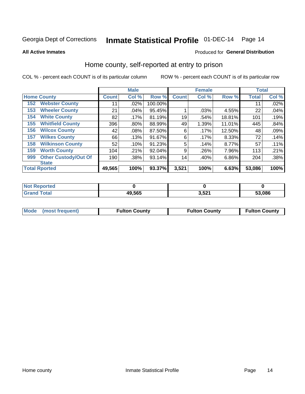# Inmate Statistical Profile 01-DEC-14 Page 14

**All Active Inmates** 

### Produced for General Distribution

### Home county, self-reported at entry to prison

COL % - percent each COUNT is of its particular column

|     |                             |              | <b>Male</b> |         |              | <b>Female</b> |        | <b>Total</b> |       |
|-----|-----------------------------|--------------|-------------|---------|--------------|---------------|--------|--------------|-------|
|     | <b>Home County</b>          | <b>Count</b> | Col %       | Row %   | <b>Count</b> | Col %         | Row %  | <b>Total</b> | Col % |
| 152 | <b>Webster County</b>       | 11           | .02%        | 100.00% |              |               |        | 11           | .02%  |
| 153 | <b>Wheeler County</b>       | 21           | .04%        | 95.45%  |              | .03%          | 4.55%  | 22           | .04%  |
| 154 | <b>White County</b>         | 82           | .17%        | 81.19%  | 19           | .54%          | 18.81% | 101          | .19%  |
| 155 | <b>Whitfield County</b>     | 396          | .80%        | 88.99%  | 49           | 1.39%         | 11.01% | 445          | .84%  |
| 156 | <b>Wilcox County</b>        | 42           | .08%        | 87.50%  | 6            | .17%          | 12.50% | 48           | .09%  |
| 157 | <b>Wilkes County</b>        | 66           | .13%        | 91.67%  | 6            | .17%          | 8.33%  | 72           | .14%  |
| 158 | <b>Wilkinson County</b>     | 52           | .10%        | 91.23%  | 5            | .14%          | 8.77%  | 57           | .11%  |
| 159 | <b>Worth County</b>         | 104          | .21%        | 92.04%  | 9            | .26%          | 7.96%  | 113          | .21%  |
| 999 | <b>Other Custody/Out Of</b> | 190          | .38%        | 93.14%  | 14           | .40%          | 6.86%  | 204          | .38%  |
|     | <b>State</b>                |              |             |         |              |               |        |              |       |
|     | <b>Total Rported</b>        | 49,565       | 100%        | 93.37%  | 3,521        | 100%          | 6.63%  | 53,086       | 100%  |

| <b>Not</b><br>Reported |        |              |        |
|------------------------|--------|--------------|--------|
| <b>Total</b>           | 49,565 | 2E24<br>ა,∋∠ | 53,086 |

| Mode (most frequent) | <b>Fulton County</b> | <b>Fulton County</b> | <b>Fulton County</b> |
|----------------------|----------------------|----------------------|----------------------|
|                      |                      |                      |                      |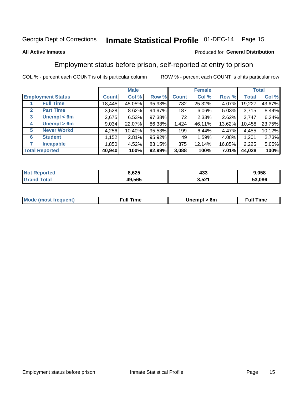# Inmate Statistical Profile 01-DEC-14 Page 15

#### **All Active Inmates**

#### Produced for General Distribution

# Employment status before prison, self-reported at entry to prison

COL % - percent each COUNT is of its particular column

|                                  |              | <b>Male</b> |        |              | <b>Female</b> |        |        | <b>Total</b> |
|----------------------------------|--------------|-------------|--------|--------------|---------------|--------|--------|--------------|
| <b>Employment Status</b>         | <b>Count</b> | Col %       | Row %  | <b>Count</b> | Col %         | Row %  | Total  | Col %        |
| <b>Full Time</b>                 | 18,445       | 45.05%      | 95.93% | 782          | 25.32%        | 4.07%  | 19,227 | 43.67%       |
| <b>Part Time</b><br>$\mathbf{2}$ | 3,528        | 8.62%       | 94.97% | 187          | 6.06%         | 5.03%  | 3,715  | 8.44%        |
| Unempl $<$ 6m<br>3               | 2,675        | 6.53%       | 97.38% | 72           | 2.33%         | 2.62%  | 2,747  | 6.24%        |
| Unempl > 6m<br>4                 | 9,034        | 22.07%      | 86.38% | 1,424        | 46.11%        | 13.62% | 10,458 | 23.75%       |
| <b>Never Workd</b><br>5          | 4,256        | 10.40%      | 95.53% | 199          | 6.44%         | 4.47%  | 4,455  | 10.12%       |
| <b>Student</b><br>6              | 1,152        | 2.81%       | 95.92% | 49           | 1.59%         | 4.08%  | 1,201  | 2.73%        |
| <b>Incapable</b>                 | 1,850        | 4.52%       | 83.15% | 375          | 12.14%        | 16.85% | 2,225  | 5.05%        |
| <b>Total Reported</b>            | 40,940       | 100%        | 92.99% | 3,088        | 100%          | 7.01%  | 44,028 | 100%         |

| тес.<br>w. | 8,625  | ,,,<br>433 | .058   |
|------------|--------|------------|--------|
| $\sim$     | 49.565 | 3,521      | 53.086 |

| <b>Moo.</b><br><b>THOST</b> | the contract of the contract of the contract of the contract of the contract of the contract of the contract of the contract of the contract of the contract of the contract of the contract of the contract of the contract o | 6m | ıme |
|-----------------------------|--------------------------------------------------------------------------------------------------------------------------------------------------------------------------------------------------------------------------------|----|-----|
|                             |                                                                                                                                                                                                                                |    |     |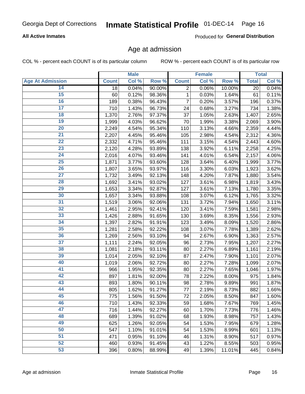### **All Active Inmates**

Produced for General Distribution

### Age at admission

COL % - percent each COUNT is of its particular column

|                         |                    | <b>Male</b> |        |              | Female |        |              | <b>Total</b> |
|-------------------------|--------------------|-------------|--------|--------------|--------|--------|--------------|--------------|
| <b>Age At Admission</b> | <b>Count</b>       | Col %       | Row %  | <b>Count</b> | Col %  | Row %  | <b>Total</b> | Col %        |
| 14                      | 18                 | 0.04%       | 90.00% | 2            | 0.06%  | 10.00% | 20           | 0.04%        |
| 15                      | 60                 | 0.12%       | 98.36% | $\mathbf{1}$ | 0.03%  | 1.64%  | 61           | 0.11%        |
| 16                      | 189                | 0.38%       | 96.43% | 7            | 0.20%  | 3.57%  | 196          | 0.37%        |
| $\overline{17}$         | 710                | 1.43%       | 96.73% | 24           | 0.68%  | 3.27%  | 734          | 1.38%        |
| $\overline{18}$         | 1,370              | 2.76%       | 97.37% | 37           | 1.05%  | 2.63%  | 1,407        | 2.65%        |
| 19                      | 1,999              | 4.03%       | 96.62% | 70           | 1.99%  | 3.38%  | 2,069        | 3.90%        |
| $\overline{20}$         | 2,249              | 4.54%       | 95.34% | 110          | 3.13%  | 4.66%  | 2,359        | 4.44%        |
| $\overline{21}$         | 2,207              | 4.45%       | 95.46% | 105          | 2.98%  | 4.54%  | 2,312        | 4.36%        |
| $\overline{22}$         | 2,332              | 4.71%       | 95.46% | 111          | 3.15%  | 4.54%  | 2,443        | 4.60%        |
| 23                      | 2,120              | 4.28%       | 93.89% | 138          | 3.92%  | 6.11%  | 2,258        | 4.25%        |
| $\overline{24}$         | 2,016              | 4.07%       | 93.46% | 141          | 4.01%  | 6.54%  | 2,157        | 4.06%        |
| 25                      | 1,871              | 3.77%       | 93.60% | 128          | 3.64%  | 6.40%  | 1,999        | 3.77%        |
| $\overline{26}$         | 1,807              | 3.65%       | 93.97% | 116          | 3.30%  | 6.03%  | 1,923        | 3.62%        |
| $\overline{27}$         | $\overline{1,732}$ | 3.49%       | 92.13% | 148          | 4.20%  | 7.87%  | 1,880        | 3.54%        |
| 28                      | 1,692              | 3.41%       | 93.02% | 127          | 3.61%  | 6.98%  | 1,819        | 3.43%        |
| 29                      | 1,653              | 3.34%       | 92.87% | 127          | 3.61%  | 7.13%  | 1,780        | 3.35%        |
| 30                      | 1,657              | 3.34%       | 93.88% | 108          | 3.07%  | 6.12%  | 1,765        | 3.32%        |
| $\overline{31}$         | 1,519              | 3.06%       | 92.06% | 131          | 3.72%  | 7.94%  | 1,650        | 3.11%        |
| 32                      | 1,461              | 2.95%       | 92.41% | 120          | 3.41%  | 7.59%  | 1,581        | 2.98%        |
| 33                      | 1,426              | 2.88%       | 91.65% | 130          | 3.69%  | 8.35%  | 1,556        | 2.93%        |
| 34                      | 1,397              | 2.82%       | 91.91% | 123          | 3.49%  | 8.09%  | 1,520        | 2.86%        |
| 35                      | 1,281              | 2.58%       | 92.22% | 108          | 3.07%  | 7.78%  | 1,389        | 2.62%        |
| 36                      | 1,269              | 2.56%       | 93.10% | 94           | 2.67%  | 6.90%  | 1,363        | 2.57%        |
| $\overline{37}$         | 1,111              | 2.24%       | 92.05% | 96           | 2.73%  | 7.95%  | 1,207        | 2.27%        |
| 38                      | 1,081              | 2.18%       | 93.11% | 80           | 2.27%  | 6.89%  | 1,161        | 2.19%        |
| 39                      | 1,014              | 2.05%       | 92.10% | 87           | 2.47%  | 7.90%  | 1,101        | 2.07%        |
| 40                      | 1,019              | 2.06%       | 92.72% | 80           | 2.27%  | 7.28%  | 1,099        | 2.07%        |
| 41                      | 966                | 1.95%       | 92.35% | 80           | 2.27%  | 7.65%  | 1,046        | 1.97%        |
| 42                      | 897                | 1.81%       | 92.00% | 78           | 2.22%  | 8.00%  | 975          | 1.84%        |
| 43                      | 893                | 1.80%       | 90.11% | 98           | 2.78%  | 9.89%  | 991          | 1.87%        |
| 44                      | 805                | 1.62%       | 91.27% | 77           | 2.19%  | 8.73%  | 882          | 1.66%        |
| 45                      | 775                | 1.56%       | 91.50% | 72           | 2.05%  | 8.50%  | 847          | 1.60%        |
| 46                      | 710                | 1.43%       | 92.33% | 59           | 1.68%  | 7.67%  | 769          | 1.45%        |
| 47                      | 716                | 1.44%       | 92.27% | 60           | 1.70%  | 7.73%  | 776          | 1.46%        |
| 48                      | 689                | 1.39%       | 91.02% | 68           | 1.93%  | 8.98%  | 757          | 1.43%        |
| 49                      | 625                | 1.26%       | 92.05% | 54           | 1.53%  | 7.95%  | 679          | 1.28%        |
| 50                      | 547                | 1.10%       | 91.01% | 54           | 1.53%  | 8.99%  | 601          | 1.13%        |
| 51                      | 471                | 0.95%       | 91.10% | 46           | 1.31%  | 8.90%  | 517          | 0.97%        |
| 52                      | 460                | 0.93%       | 91.45% | 43           | 1.22%  | 8.55%  | 503          | 0.95%        |
| 53                      | 396                | 0.80%       | 88.99% | 49           | 1.39%  | 11.01% | 445          | 0.84%        |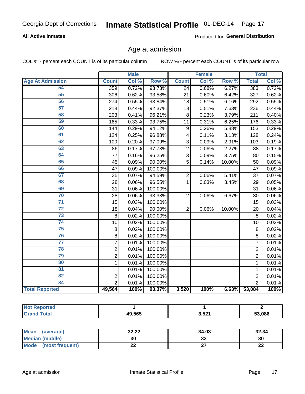### **All Active Inmates**

Produced for General Distribution

# Age at admission

COL % - percent each COUNT is of its particular column

|                         |                  | <b>Male</b> |         |                | <b>Female</b> |        |                | <b>Total</b> |
|-------------------------|------------------|-------------|---------|----------------|---------------|--------|----------------|--------------|
| <b>Age At Admission</b> | <b>Count</b>     | Col %       | Row %   | <b>Count</b>   | Col %         | Row %  | <b>Total</b>   | Col %        |
| 54                      | $\overline{359}$ | 0.72%       | 93.73%  | 24             | 0.68%         | 6.27%  | 383            | 0.72%        |
| 55                      | 306              | 0.62%       | 93.58%  | 21             | 0.60%         | 6.42%  | 327            | 0.62%        |
| 56                      | 274              | 0.55%       | 93.84%  | 18             | 0.51%         | 6.16%  | 292            | 0.55%        |
| 57                      | 218              | 0.44%       | 92.37%  | 18             | 0.51%         | 7.63%  | 236            | 0.44%        |
| 58                      | 203              | 0.41%       | 96.21%  | 8              | 0.23%         | 3.79%  | 211            | 0.40%        |
| 59                      | 165              | 0.33%       | 93.75%  | 11             | 0.31%         | 6.25%  | 176            | 0.33%        |
| 60                      | 144              | 0.29%       | 94.12%  | 9              | 0.26%         | 5.88%  | 153            | 0.29%        |
| 61                      | 124              | 0.25%       | 96.88%  | 4              | 0.11%         | 3.13%  | 128            | 0.24%        |
| 62                      | 100              | 0.20%       | 97.09%  | 3              | 0.09%         | 2.91%  | 103            | 0.19%        |
| 63                      | 86               | 0.17%       | 97.73%  | $\overline{2}$ | 0.06%         | 2.27%  | 88             | 0.17%        |
| 64                      | 77               | 0.16%       | 96.25%  | $\overline{3}$ | 0.09%         | 3.75%  | 80             | 0.15%        |
| 65                      | 45               | 0.09%       | 90.00%  | $\overline{5}$ | 0.14%         | 10.00% | 50             | 0.09%        |
| 66                      | 47               | 0.09%       | 100.00% |                |               |        | 47             | 0.09%        |
| 67                      | 35               | 0.07%       | 94.59%  | $\overline{2}$ | 0.06%         | 5.41%  | 37             | 0.07%        |
| 68                      | 28               | 0.06%       | 96.55%  | 1              | 0.03%         | 3.45%  | 29             | 0.05%        |
| 69                      | 31               | 0.06%       | 100.00% |                |               |        | 31             | 0.06%        |
| 70                      | 28               | 0.06%       | 93.33%  | $\overline{2}$ | 0.06%         | 6.67%  | 30             | 0.06%        |
| $\overline{71}$         | 15               | 0.03%       | 100.00% |                |               |        | 15             | 0.03%        |
| $\overline{72}$         | 18               | 0.04%       | 90.00%  | $\overline{2}$ | 0.06%         | 10.00% | 20             | 0.04%        |
| $\overline{73}$         | 8                | 0.02%       | 100.00% |                |               |        | 8              | 0.02%        |
| $\overline{74}$         | 10               | 0.02%       | 100.00% |                |               |        | 10             | 0.02%        |
| 75                      | 8                | 0.02%       | 100.00% |                |               |        | 8              | 0.02%        |
| 76                      | 8                | 0.02%       | 100.00% |                |               |        | 8              | 0.02%        |
| $\overline{77}$         | $\overline{7}$   | 0.01%       | 100.00% |                |               |        | $\overline{7}$ | 0.01%        |
| 78                      | $\overline{c}$   | 0.01%       | 100.00% |                |               |        | $\overline{2}$ | 0.01%        |
| 79                      | $\overline{2}$   | 0.01%       | 100.00% |                |               |        | $\overline{2}$ | 0.01%        |
| 80                      | $\mathbf{1}$     | 0.01%       | 100.00% |                |               |        | 1              | 0.01%        |
| 81                      | $\mathbf{1}$     | 0.01%       | 100.00% |                |               |        | 1              | 0.01%        |
| $\overline{82}$         | $\overline{c}$   | 0.01%       | 100.00% |                |               |        | $\overline{2}$ | 0.01%        |
| 84                      | $\overline{2}$   | 0.01%       | 100.00% |                |               |        | $\overline{2}$ | 0.01%        |
| <b>Total Reported</b>   | 49,564           | 100%        | 93.37%  | 3,520          | 100%          |        | 6.63% 53,084   | 100%         |

| <b>Not Reported</b> |        |       |        |
|---------------------|--------|-------|--------|
| <b>Grand Total</b>  | 49,565 | 3,521 | 53,086 |

| <b>Mean</b><br>(average)       | 32.22 | 34.03 | 32.34    |
|--------------------------------|-------|-------|----------|
| <b>Median (middle)</b>         | 30    | აა    | 30       |
| <b>Mode</b><br>(most frequent) | ∸∸    | ~-    | n,<br>LL |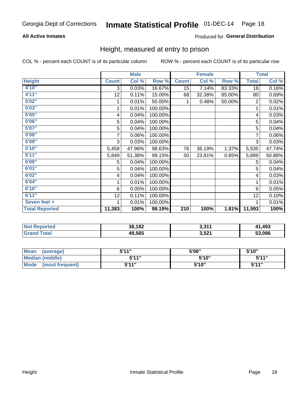### **All Active Inmates**

### Produced for General Distribution

### Height, measured at entry to prison

COL % - percent each COUNT is of its particular column

|                       |              | <b>Male</b> |         |              | <b>Female</b> |        |                | <b>Total</b> |
|-----------------------|--------------|-------------|---------|--------------|---------------|--------|----------------|--------------|
| <b>Height</b>         | <b>Count</b> | Col %       | Row %   | <b>Count</b> | Col %         | Row %  | <b>Total</b>   | Col %        |
| 4'10''                | 3            | 0.03%       | 16.67%  | 15           | 7.14%         | 83.33% | 18             | 0.16%        |
| 4'11''                | 12           | 0.11%       | 15.00%  | 68           | 32.38%        | 85.00% | 80             | 0.69%        |
| 5'02''                |              | 0.01%       | 50.00%  | 1.           | 0.48%         | 50.00% | $\overline{2}$ | 0.02%        |
| 5'03''                |              | 0.01%       | 100.00% |              |               |        |                | 0.01%        |
| 5'05''                | 4            | 0.04%       | 100.00% |              |               |        | 4              | 0.03%        |
| 5'06"                 | 5            | 0.04%       | 100.00% |              |               |        | 5              | 0.04%        |
| 5'07''                | 5            | 0.04%       | 100.00% |              |               |        | 5              | 0.04%        |
| 5'08''                | 7            | 0.06%       | 100.00% |              |               |        | 7              | 0.06%        |
| 5'09''                | 3            | 0.03%       | 100.00% |              |               |        | 3              | 0.03%        |
| 5'10''                | 5,459        | 47.96%      | 98.63%  | 76           | 36.19%        | 1.37%  | 5,535          | 47.74%       |
| 5'11''                | 5,849        | 51.38%      | 99.15%  | 50           | 23.81%        | 0.85%  | 5,899          | 50.88%       |
| 6'00''                | 5            | 0.04%       | 100.00% |              |               |        | 5              | 0.04%        |
| 6'01''                | 5            | 0.04%       | 100.00% |              |               |        | 5              | 0.04%        |
| 6'02"                 | 4            | 0.04%       | 100.00% |              |               |        | 4              | 0.03%        |
| 6'04"                 | 1            | 0.01%       | 100.00% |              |               |        | 1              | 0.01%        |
| 6'10''                | 6            | 0.05%       | 100.00% |              |               |        | 6              | 0.05%        |
| 6'11''                | 12           | 0.11%       | 100.00% |              |               |        | 12             | 0.10%        |
| Seven feet +          |              | 0.01%       | 100.00% |              |               |        |                | 0.01%        |
| <b>Total Reported</b> | 11,383       | 100%        | 98.19%  | 210          | 100%          | 1.81%  | 11,593         | 100%         |

| τeα      | 38,182 | <b>つ つイイ</b> | ,493   |
|----------|--------|--------------|--------|
| <b>N</b> |        | - 3.3 1 1    | лп     |
|          | 49.565 | 3,521        | 53.086 |

| Mean<br>(average)              | 544"  | 5'06" | 5'10" |
|--------------------------------|-------|-------|-------|
| Median (middle)                | 5'11" | 5'10" | 5'11" |
| <b>Mode</b><br>(most frequent) | 544 " | 5'10" | 544"  |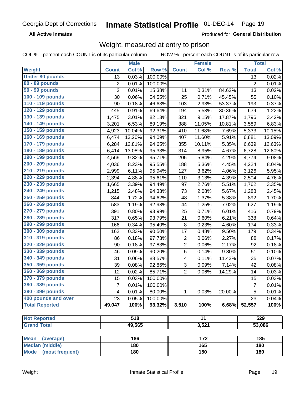**All Active Inmates** 

Produced for General Distribution

# Weight, measured at entry to prison

COL % - percent each COUNT is of its particular column

|                          |                | <b>Male</b> |         |                         | Female           |        |                | <b>Total</b> |
|--------------------------|----------------|-------------|---------|-------------------------|------------------|--------|----------------|--------------|
| Weight                   | <b>Count</b>   | Col %       | Row %   | <b>Count</b>            | Col %            | Row %  | <b>Total</b>   | Col %        |
| <b>Under 80 pounds</b>   | 13             | 0.03%       | 100.00% |                         |                  |        | 13             | 0.02%        |
| 80 - 89 pounds           | $\overline{2}$ | 0.01%       | 100.00% |                         |                  |        | $\overline{2}$ | 0.01%        |
| 90 - 99 pounds           | $\overline{2}$ | 0.01%       | 15.38%  | 11                      | 0.31%            | 84.62% | 13             | 0.02%        |
| 100 - 109 pounds         | 30             | 0.06%       | 54.55%  | 25                      | 0.71%            | 45.45% | 55             | 0.10%        |
| 110 - 119 pounds         | 90             | 0.18%       | 46.63%  | 103                     | 2.93%            | 53.37% | 193            | 0.37%        |
| 120 - 129 pounds         | 445            | 0.91%       | 69.64%  | 194                     | 5.53%            | 30.36% | 639            | 1.22%        |
| 130 - 139 pounds         | 1,475          | 3.01%       | 82.13%  | 321                     | 9.15%            | 17.87% | 1,796          | 3.42%        |
| 140 - 149 pounds         | 3,201          | 6.53%       | 89.19%  | 388                     | 11.05%           | 10.81% | 3,589          | 6.83%        |
| 150 - 159 pounds         | 4,923          | 10.04%      | 92.31%  | 410                     | 11.68%           | 7.69%  | 5,333          | 10.15%       |
| 160 - 169 pounds         | 6,474          | 13.20%      | 94.09%  | 407                     | 11.60%           | 5.91%  | 6,881          | 13.09%       |
| 170 - 179 pounds         | 6,284          | 12.81%      | 94.65%  | 355                     | 10.11%           | 5.35%  | 6,639          | 12.63%       |
| 180 - 189 pounds         | 6,414          | 13.08%      | 95.33%  | 314                     | 8.95%            | 4.67%  | 6,728          | 12.80%       |
| 190 - 199 pounds         | 4,569          | 9.32%       | 95.71%  | 205                     | 5.84%            | 4.29%  | 4,774          | 9.08%        |
| 200 - 209 pounds         | 4,036          | 8.23%       | 95.55%  | 188                     | 5.36%            | 4.45%  | 4,224          | 8.04%        |
| 210 - 219 pounds         | 2,999          | 6.11%       | 95.94%  | 127                     | 3.62%            | 4.06%  | 3,126          | 5.95%        |
| 220 - 229 pounds         | 2,394          | 4.88%       | 95.61%  | 110                     | 3.13%            | 4.39%  | 2,504          | 4.76%        |
| 230 - 239 pounds         | 1,665          | 3.39%       | 94.49%  | 97                      | 2.76%            | 5.51%  | 1,762          | 3.35%        |
| 240 - 249 pounds         | 1,215          | 2.48%       | 94.33%  | 73                      | 2.08%            | 5.67%  | 1,288          | 2.45%        |
| 250 - 259 pounds         | 844            | 1.72%       | 94.62%  | 48                      | 1.37%            | 5.38%  | 892            | 1.70%        |
| 260 - 269 pounds         | 583            | 1.19%       | 92.98%  | 44                      | 1.25%            | 7.02%  | 627            | 1.19%        |
| 270 - 279 pounds         | 391            | 0.80%       | 93.99%  | 25                      | 0.71%            | 6.01%  | 416            | 0.79%        |
| 280 - 289 pounds         | 317            | 0.65%       | 93.79%  | 21                      | 0.60%            | 6.21%  | 338            | 0.64%        |
| 290 - 299 pounds         | 166            | 0.34%       | 95.40%  | 8                       | 0.23%            | 4.60%  | 174            | 0.33%        |
| 300 - 309 pounds         | 162            | 0.33%       | 90.50%  | 17                      | 0.48%            | 9.50%  | 179            | 0.34%        |
| 310 - 319 pounds         | 86             | 0.18%       | 97.73%  | $\overline{c}$          | 0.06%            | 2.27%  | 88             | 0.17%        |
| 320 - 329 pounds         | 90             | 0.18%       | 97.83%  | $\overline{2}$          | 0.06%            | 2.17%  | 92             | 0.18%        |
| 330 - 339 pounds         | 46             | 0.09%       | 90.20%  | 5                       | 0.14%            | 9.80%  | 51             | 0.10%        |
| 340 - 349 pounds         | 31             | 0.06%       | 88.57%  | $\overline{\mathbf{4}}$ | 0.11%            | 11.43% | 35             | 0.07%        |
| 350 - 359 pounds         | 39             | 0.08%       | 92.86%  | $\overline{3}$          | 0.09%            | 7.14%  | 42             | 0.08%        |
| 360 - 369 pounds         | 12             | 0.02%       | 85.71%  | $\overline{2}$          | 0.06%            | 14.29% | 14             | 0.03%        |
| 370 - 379 pounds         | 15             | 0.03%       | 100.00% |                         |                  |        | 15             | 0.03%        |
| 380 - 389 pounds         | $\overline{7}$ | 0.01%       | 100.00% |                         |                  |        | $\overline{7}$ | 0.01%        |
| 390 - 399 pounds         | 4              | 0.01%       | 80.00%  | 1                       | 0.03%            | 20.00% | 5              | 0.01%        |
| 400 pounds and over      | 23             | 0.05%       | 100.00% |                         |                  |        | 23             | 0.04%        |
| <b>Total Reported</b>    | 49,047         | 100%        | 93.32%  | 3,510                   | 100%             | 6.68%  | 52,557         | 100%         |
|                          |                |             |         |                         |                  |        |                |              |
| <b>Not Reported</b>      |                | 518         |         |                         | $\overline{11}$  |        |                | 529          |
| <b>Grand Total</b>       |                | 49,565      |         |                         | 3,521            |        |                | 53,086       |
|                          |                |             |         |                         |                  |        |                |              |
| <b>Mean</b><br>(average) |                | 186         |         |                         | $\overline{172}$ |        |                | 185          |
| <b>Median (middle)</b>   |                | 180         |         |                         | 165              |        |                | 180          |
| Mode (most frequent)     |                | 180         |         |                         | 150              |        |                | 180          |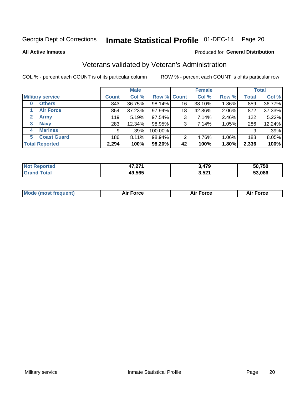# Inmate Statistical Profile 01-DEC-14 Page 20

**All Active Inmates** 

### Produced for General Distribution

# Veterans validated by Veteran's Administration

COL % - percent each COUNT is of its particular column

|                             | <b>Male</b>  |        |             | <b>Female</b> |        |       | <b>Total</b> |        |
|-----------------------------|--------------|--------|-------------|---------------|--------|-------|--------------|--------|
| <b>Military service</b>     | <b>Count</b> | Col %  | Row % Count |               | Col %  | Row % | <b>Total</b> | Col %  |
| <b>Others</b><br>0          | 843          | 36.75% | 98.14%      | 16            | 38.10% | 1.86% | 859          | 36.77% |
| <b>Air Force</b>            | 854          | 37.23% | 97.94%      | 18            | 42.86% | 2.06% | 872          | 37.33% |
| $\mathbf{2}$<br><b>Army</b> | 119          | 5.19%  | 97.54%      | 3             | 7.14%  | 2.46% | 122          | 5.22%  |
| <b>Navy</b><br>3            | 283          | 12.34% | 98.95%      | 3             | 7.14%  | 1.05% | 286          | 12.24% |
| <b>Marines</b><br>4         | 9            | .39%   | 100.00%     |               |        |       | 9            | .39%   |
| <b>Coast Guard</b><br>5.    | 186          | 8.11%  | 98.94%      | 2             | 4.76%  | 1.06% | 188          | 8.05%  |
| <b>Total Reported</b>       | 2,294        | 100%   | 98.20%      | 42            | 100%   | 1.80% | 2,336        | 100%   |

| <b>ported</b><br><b>NOT</b><br>$\overline{\phantom{a}}$ | 17 O.Z<br>71,41 I | 479,  | 50,750 |
|---------------------------------------------------------|-------------------|-------|--------|
| īota.                                                   | 49,565            | 3,521 | 53.086 |

| <b>Mode (most frequent)</b> | <b>Force</b> | ™∩rra | <b>Force</b><br>- |
|-----------------------------|--------------|-------|-------------------|
|                             |              |       |                   |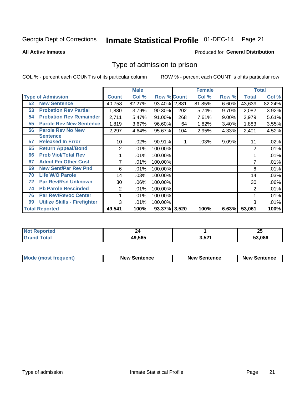# Inmate Statistical Profile 01-DEC-14 Page 21

#### **All Active Inmates**

#### Produced for General Distribution

### Type of admission to prison

COL % - percent each COUNT is of its particular column

|    |                                     |                 | <b>Male</b> |                    |     | <b>Female</b> |          | <b>Total</b> |        |
|----|-------------------------------------|-----------------|-------------|--------------------|-----|---------------|----------|--------------|--------|
|    | <b>Type of Admission</b>            | <b>Count</b>    | Col %       | <b>Row % Count</b> |     | Col %         | Row %    | Total        | Col %  |
| 52 | <b>New Sentence</b>                 | 40,758          | 82.27%      | 93.40% 2,881       |     | 81.85%        | 6.60%    | 43,639       | 82.24% |
| 53 | <b>Probation Rev Partial</b>        | 1,880           | 3.79%       | 90.30%             | 202 | 5.74%         | 9.70%    | 2,082        | 3.92%  |
| 54 | <b>Probation Rev Remainder</b>      | 2,711           | 5.47%       | 91.00%             | 268 | 7.61%         | $9.00\%$ | 2,979        | 5.61%  |
| 55 | <b>Parole Rev New Sentence</b>      | 1,819           | 3.67%       | 96.60%             | 64  | 1.82%         | 3.40%    | 1,883        | 3.55%  |
| 56 | <b>Parole Rev No New</b>            | 2,297           | 4.64%       | 95.67%             | 104 | 2.95%         | 4.33%    | 2,401        | 4.52%  |
|    | <b>Sentence</b>                     |                 |             |                    |     |               |          |              |        |
| 57 | <b>Released In Error</b>            | 10 <sup>1</sup> | .02%        | 90.91%             |     | .03%          | 9.09%    | 11           | .02%   |
| 65 | <b>Return Appeal/Bond</b>           | 2               | .01%        | 100.00%            |     |               |          | 2            | .01%   |
| 66 | <b>Prob Viol/Total Rev</b>          |                 | .01%        | 100.00%            |     |               |          |              | .01%   |
| 67 | <b>Admit Fm Other Cust</b>          | 7               | .01%        | 100.00%            |     |               |          | 7            | .01%   |
| 69 | <b>New Sent/Par Rev Pnd</b>         | 6               | .01%        | 100.00%            |     |               |          | 6            | .01%   |
| 70 | <b>Life W/O Parole</b>              | 14              | .03%        | 100.00%            |     |               |          | 14           | .03%   |
| 72 | <b>Par Rev/Rsn Unknown</b>          | 30              | .06%        | 100.00%            |     |               |          | 30           | .06%   |
| 74 | <b>Pb Parole Rescinded</b>          | 2               | .01%        | 100.00%            |     |               |          | 2            | .01%   |
| 76 | <b>Par Rev/Revoc Center</b>         | 1               | .01%        | 100.00%            |     |               |          |              | .01%   |
| 99 | <b>Utilize Skills - Firefighter</b> | 3               | .01%        | 100.00%            |     |               |          | 3            | .01%   |
|    | <b>Total Reported</b>               | 49,541          | 100%        | 93.37% 3,520       |     | 100%          | 6.63%    | 53,061       | 100%   |

| orted<br>NO |        |       | י ה<br>ZJ |
|-------------|--------|-------|-----------|
| . Gr        | 49.565 | 3,521 | 53.086    |

| <b>Mode (most frequent)</b> | <b>New Sentence</b> | <b>New Sentence</b> | <b>New Sentence</b> |
|-----------------------------|---------------------|---------------------|---------------------|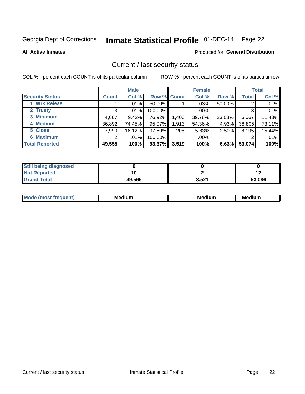# Inmate Statistical Profile 01-DEC-14 Page 22

**All Active Inmates** 

#### Produced for General Distribution

### Current / last security status

COL % - percent each COUNT is of its particular column

|                        |              | <b>Male</b> |             |       | <b>Female</b> |        |              | <b>Total</b> |
|------------------------|--------------|-------------|-------------|-------|---------------|--------|--------------|--------------|
| <b>Security Status</b> | <b>Count</b> | Col %       | Row % Count |       | Col %         | Row %  | <b>Total</b> | Col %        |
| <b>Wrk Releas</b>      |              | $.01\%$     | 50.00%      |       | $.03\%$       | 50.00% | 2            | .01%         |
| 2 Trusty               | 3            | .01%        | 100.00%     |       | $.00\%$       |        | 3            | .01%         |
| 3 Minimum              | 4,667        | 9.42%       | 76.92%      | 1,400 | 39.78%        | 23.08% | 6,067        | 11.43%       |
| 4 Medium               | 36,892       | 74.45%      | 95.07%      | 1,913 | 54.36%        | 4.93%  | 38,805       | 73.11%       |
| 5 Close                | 7,990        | 16.12%      | 97.50%      | 205   | 5.83%         | 2.50%  | 8,195        | 15.44%       |
| <b>6 Maximum</b>       | 2            | $.01\%$     | 100.00%     |       | $.00\%$       |        | 2            | .01%         |
| <b>Total Reported</b>  | 49,555       | 100%        | 93.37%      | 3,519 | 100%          | 6.63%  | 53,074       | 100%         |

| <b>Still being diagnosed</b> |        |       |        |
|------------------------------|--------|-------|--------|
| <b>Not Reported</b>          |        |       |        |
| <b>Grand Total</b>           | 49.565 | 3,521 | 53.086 |

| <b>Mo</b><br>ети | M.<br>. .<br>dium | M٢<br>. | <br><b>Medium</b> |
|------------------|-------------------|---------|-------------------|
|                  |                   |         |                   |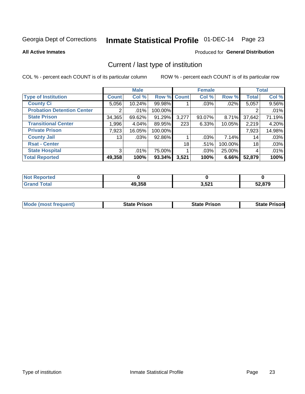# Inmate Statistical Profile 01-DEC-14 Page 23

**All Active Inmates** 

#### Produced for General Distribution

# Current / last type of institution

COL % - percent each COUNT is of its particular column

|                                   |                | <b>Male</b> |             |       | <b>Female</b> |         |              | <b>Total</b> |
|-----------------------------------|----------------|-------------|-------------|-------|---------------|---------|--------------|--------------|
| <b>Type of Institution</b>        | <b>Count</b>   | Col %       | Row % Count |       | Col %         | Row %   | <b>Total</b> | Col %        |
| <b>County Ci</b>                  | 5,056          | 10.24%      | 99.98%      |       | .03%          | .02%    | 5,057        | 9.56%        |
| <b>Probation Detention Center</b> |                | .01%        | 100.00%     |       |               |         |              | .01%         |
| <b>State Prison</b>               | 34,365         | 69.62%      | 91.29%      | 3,277 | 93.07%        | 8.71%   | 37,642       | 71.19%       |
| <b>Transitional Center</b>        | 1,996          | 4.04%       | 89.95%      | 223   | 6.33%         | 10.05%  | 2,219        | 4.20%        |
| <b>Private Prison</b>             | 7,923          | 16.05%      | 100.00%     |       |               |         | 7,923        | 14.98%       |
| <b>County Jail</b>                | 13             | .03%        | 92.86%      |       | .03%          | 7.14%   | 14           | .03%         |
| <b>Rsat - Center</b>              |                |             |             | 18    | .51%          | 100.00% | 18           | .03%         |
| <b>State Hospital</b>             | 3 <sup>1</sup> | .01%        | 75.00%      |       | .03%          | 25.00%  | 4            | .01%         |
| <b>Total Reported</b>             | 49,358         | 100%        | $93.34\%$   | 3,521 | 100%          | 6.66%   | 52,879       | 100%         |

| $^{\dagger}$ Not $\cdot$<br>Reported |        |       |        |
|--------------------------------------|--------|-------|--------|
| <b>Total</b>                         | 49,358 | 3,521 | 52,879 |

| Mode (most frequent) | <b>State Prison</b> | <b>State Prison</b> | <b>State Prisonl</b> |
|----------------------|---------------------|---------------------|----------------------|
|                      |                     |                     |                      |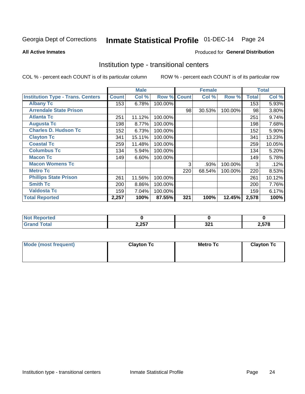# Inmate Statistical Profile 01-DEC-14 Page 24

#### **All Active Inmates**

#### Produced for General Distribution

### Institution type - transitional centers

COL % - percent each COUNT is of its particular column

|                                          |              | <b>Male</b> |         |              | <b>Female</b> |         |              | <b>Total</b> |
|------------------------------------------|--------------|-------------|---------|--------------|---------------|---------|--------------|--------------|
| <b>Institution Type - Trans. Centers</b> | <b>Count</b> | Col %       | Row %   | <b>Count</b> | Col %         | Row %   | <b>Total</b> | Col %        |
| <b>Albany Tc</b>                         | 153          | 6.78%       | 100.00% |              |               |         | 153          | 5.93%        |
| <b>Arrendale State Prison</b>            |              |             |         | 98           | 30.53%        | 100.00% | 98           | 3.80%        |
| <b>Atlanta Tc</b>                        | 251          | 11.12%      | 100.00% |              |               |         | 251          | 9.74%        |
| <b>Augusta Tc</b>                        | 198          | 8.77%       | 100.00% |              |               |         | 198          | 7.68%        |
| <b>Charles D. Hudson Tc</b>              | 152          | 6.73%       | 100.00% |              |               |         | 152          | 5.90%        |
| <b>Clayton Tc</b>                        | 341          | 15.11%      | 100.00% |              |               |         | 341          | 13.23%       |
| <b>Coastal Tc</b>                        | 259          | 11.48%      | 100.00% |              |               |         | 259          | 10.05%       |
| <b>Columbus Tc</b>                       | 134          | 5.94%       | 100.00% |              |               |         | 134          | 5.20%        |
| <b>Macon Tc</b>                          | 149          | 6.60%       | 100.00% |              |               |         | 149          | 5.78%        |
| <b>Macon Womens Tc</b>                   |              |             |         | 3            | .93%          | 100.00% | 3            | .12%         |
| <b>Metro Tc</b>                          |              |             |         | 220          | 68.54%        | 100.00% | 220          | 8.53%        |
| <b>Phillips State Prison</b>             | 261          | 11.56%      | 100.00% |              |               |         | 261          | 10.12%       |
| <b>Smith Tc</b>                          | 200          | 8.86%       | 100.00% |              |               |         | 200          | 7.76%        |
| <b>Valdosta Tc</b>                       | 159          | 7.04%       | 100.00% |              |               |         | 159          | 6.17%        |
| <b>Total Reported</b>                    | 2,257        | 100%        | 87.55%  | 321          | 100%          | 12.45%  | 2,578        | 100%         |

| Reported<br>. |       |           |                     |
|---------------|-------|-----------|---------------------|
| <b>otal</b>   | 2,257 | nn.<br>◡▵ | $E = 7C$<br>$-0.07$ |

| Mode (most frequent) | <b>Clayton Tc</b> | <b>Metro Tc</b> | <b>Clayton Tc</b> |
|----------------------|-------------------|-----------------|-------------------|
|                      |                   |                 |                   |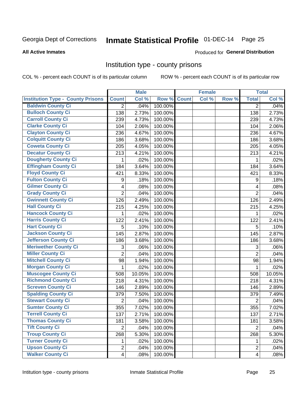# Inmate Statistical Profile 01-DEC-14 Page 25

#### **All Active Inmates**

### **Produced for General Distribution**

### Institution type - county prisons

COL % - percent each COUNT is of its particular column

|                                          |                          | <b>Male</b> |         |              | <b>Female</b> |       |                | <b>Total</b> |
|------------------------------------------|--------------------------|-------------|---------|--------------|---------------|-------|----------------|--------------|
| <b>Institution Type - County Prisons</b> | <b>Count</b>             | Col %       | Row %   | <b>Count</b> | Col %         | Row % | <b>Total</b>   | Col %        |
| <b>Baldwin County Ci</b>                 | $\overline{2}$           | .04%        | 100.00% |              |               |       | $\overline{2}$ | .04%         |
| <b>Bulloch County Ci</b>                 | 138                      | 2.73%       | 100.00% |              |               |       | 138            | 2.73%        |
| <b>Carroll County Ci</b>                 | 239                      | 4.73%       | 100.00% |              |               |       | 239            | 4.73%        |
| <b>Clarke County Ci</b>                  | 104                      | 2.06%       | 100.00% |              |               |       | 104            | 2.06%        |
| <b>Clayton County Ci</b>                 | 236                      | 4.67%       | 100.00% |              |               |       | 236            | 4.67%        |
| <b>Colquitt County Ci</b>                | 186                      | 3.68%       | 100.00% |              |               |       | 186            | 3.68%        |
| <b>Coweta County Ci</b>                  | 205                      | 4.05%       | 100.00% |              |               |       | 205            | 4.05%        |
| <b>Decatur County Ci</b>                 | 213                      | 4.21%       | 100.00% |              |               |       | 213            | 4.21%        |
| <b>Dougherty County Ci</b>               | 1                        | .02%        | 100.00% |              |               |       | 1              | .02%         |
| <b>Effingham County Ci</b>               | 184                      | 3.64%       | 100.00% |              |               |       | 184            | 3.64%        |
| <b>Floyd County Ci</b>                   | 421                      | 8.33%       | 100.00% |              |               |       | 421            | 8.33%        |
| <b>Fulton County Ci</b>                  | 9                        | .18%        | 100.00% |              |               |       | 9              | .18%         |
| <b>Gilmer County Ci</b>                  | $\overline{\mathbf{4}}$  | .08%        | 100.00% |              |               |       | 4              | .08%         |
| <b>Grady County Ci</b>                   | $\overline{2}$           | .04%        | 100.00% |              |               |       | $\overline{2}$ | .04%         |
| <b>Gwinnett County Ci</b>                | 126                      | 2.49%       | 100.00% |              |               |       | 126            | 2.49%        |
| <b>Hall County Ci</b>                    | 215                      | 4.25%       | 100.00% |              |               |       | 215            | 4.25%        |
| <b>Hancock County Ci</b>                 | 1                        | .02%        | 100.00% |              |               |       | 1              | .02%         |
| <b>Harris County Ci</b>                  | 122                      | 2.41%       | 100.00% |              |               |       | 122            | 2.41%        |
| <b>Hart County Ci</b>                    | 5                        | .10%        | 100.00% |              |               |       | 5              | .10%         |
| <b>Jackson County Ci</b>                 | 145                      | 2.87%       | 100.00% |              |               |       | 145            | 2.87%        |
| Jefferson County Ci                      | 186                      | 3.68%       | 100.00% |              |               |       | 186            | 3.68%        |
| <b>Meriwether County Ci</b>              | 3                        | .06%        | 100.00% |              |               |       | 3              | .06%         |
| <b>Miller County Ci</b>                  | $\overline{2}$           | .04%        | 100.00% |              |               |       | $\overline{2}$ | .04%         |
| <b>Mitchell County Ci</b>                | 98                       | 1.94%       | 100.00% |              |               |       | 98             | 1.94%        |
| <b>Morgan County Ci</b>                  | 1                        | .02%        | 100.00% |              |               |       | 1              | .02%         |
| <b>Muscogee County Ci</b>                | 508                      | 10.05%      | 100.00% |              |               |       | 508            | 10.05%       |
| <b>Richmond County Ci</b>                | 218                      | 4.31%       | 100.00% |              |               |       | 218            | 4.31%        |
| <b>Screven County Ci</b>                 | 146                      | 2.89%       | 100.00% |              |               |       | 146            | 2.89%        |
| <b>Spalding County Ci</b>                | 379                      | 7.50%       | 100.00% |              |               |       | 379            | 7.49%        |
| <b>Stewart County Ci</b>                 | $\overline{2}$           | .04%        | 100.00% |              |               |       | $\overline{2}$ | .04%         |
| <b>Sumter County Ci</b>                  | 355                      | 7.02%       | 100.00% |              |               |       | 355            | 7.02%        |
| <b>Terrell County Ci</b>                 | 137                      | 2.71%       | 100.00% |              |               |       | 137            | 2.71%        |
| <b>Thomas County Ci</b>                  | 181                      | 3.58%       | 100.00% |              |               |       | 181            | 3.58%        |
| <b>Tift County Ci</b>                    | $\overline{2}$           | .04%        | 100.00% |              |               |       | $\overline{2}$ | .04%         |
| <b>Troup County Ci</b>                   | 268                      | 5.30%       | 100.00% |              |               |       | 268            | 5.30%        |
| <b>Turner County Ci</b>                  | 1                        | .02%        | 100.00% |              |               |       | 1              | .02%         |
| <b>Upson County Ci</b>                   | $\overline{2}$           | .04%        | 100.00% |              |               |       | $\overline{2}$ | .04%         |
| <b>Walker County Ci</b>                  | $\overline{\mathcal{A}}$ | .08%        | 100.00% |              |               |       | $\overline{4}$ | .08%         |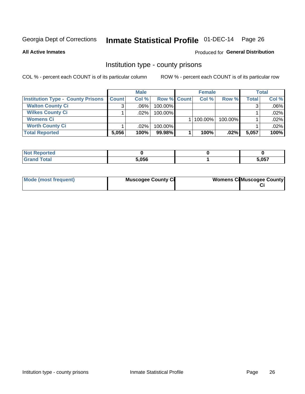# Inmate Statistical Profile 01-DEC-14 Page 26

**All Active Inmates** 

### **Produced for General Distribution**

### Institution type - county prisons

COL % - percent each COUNT is of its particular column

|                                          | <b>Male</b>  |         |                    | <b>Female</b> |         |              | <b>Total</b> |  |
|------------------------------------------|--------------|---------|--------------------|---------------|---------|--------------|--------------|--|
| <b>Institution Type - County Prisons</b> | <b>Count</b> | Col%    | <b>Row % Count</b> | Col%          | Row %   | <b>Total</b> | Col %        |  |
| <b>Walton County Ci</b>                  | 3            | $.06\%$ | 100.00%            |               |         |              | $.06\%$      |  |
| <b>Wilkes County Ci</b>                  |              | $.02\%$ | 100.00%            |               |         |              | .02%         |  |
| <b>Womens Ci</b>                         |              |         |                    | $ 100.00\% $  | 100.00% |              | .02%         |  |
| <b>Worth County Ci</b>                   |              | $.02\%$ | 100.00%            |               |         |              | $.02\%$      |  |
| <b>Total Reported</b>                    | 5,056        | 100%    | 99.98%             | 100%          | .02%    | 5,057        | 100%         |  |

| portea<br>N. |       |       |
|--------------|-------|-------|
| _____        | 5,056 | 5,057 |

| Mode (most frequent) | <b>Muscogee County Ci</b> | <b>Womens Ci</b> Muscogee County |
|----------------------|---------------------------|----------------------------------|
|----------------------|---------------------------|----------------------------------|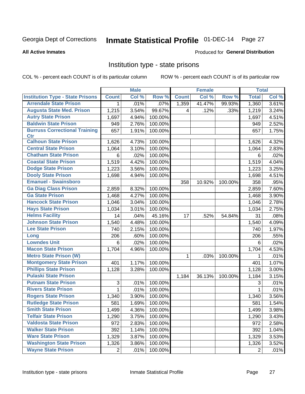# Inmate Statistical Profile 01-DEC-14 Page 27

#### **All Active Inmates**

#### Produced for General Distribution

### Institution type - state prisons

COL % - percent each COUNT is of its particular column

|                                         |              | <b>Male</b> |         |              | <b>Female</b> |         | <b>Total</b>   |       |
|-----------------------------------------|--------------|-------------|---------|--------------|---------------|---------|----------------|-------|
| <b>Institution Type - State Prisons</b> | <b>Count</b> | Col %       | Row %   | <b>Count</b> | Col %         | Row %   | <b>Total</b>   | Col % |
| <b>Arrendale State Prison</b>           | 1            | .01%        | .07%    | 1,359        | 41.47%        | 99.93%  | 1,360          | 3.61% |
| <b>Augusta State Med. Prison</b>        | 1,215        | 3.54%       | 99.67%  | 4            | .12%          | .33%    | 1,219          | 3.24% |
| <b>Autry State Prison</b>               | 1,697        | 4.94%       | 100.00% |              |               |         | 1,697          | 4.51% |
| <b>Baldwin State Prison</b>             | 949          | 2.76%       | 100.00% |              |               |         | 949            | 2.52% |
| <b>Burruss Correctional Training</b>    | 657          | 1.91%       | 100.00% |              |               |         | 657            | 1.75% |
| <b>Ctr</b>                              |              |             |         |              |               |         |                |       |
| <b>Calhoun State Prison</b>             | 1,626        | 4.73%       | 100.00% |              |               |         | 1,626          | 4.32% |
| <b>Central State Prison</b>             | 1,064        | 3.10%       | 100.00% |              |               |         | 1,064          | 2.83% |
| <b>Chatham State Prison</b>             | 6            | .02%        | 100.00% |              |               |         | 6              | .02%  |
| <b>Coastal State Prison</b>             | 1,519        | 4.42%       | 100.00% |              |               |         | 1,519          | 4.04% |
| <b>Dodge State Prison</b>               | 1,223        | 3.56%       | 100.00% |              |               |         | 1,223          | 3.25% |
| <b>Dooly State Prison</b>               | 1,698        | 4.94%       | 100.00% |              |               |         | 1,698          | 4.51% |
| <b>Emanuel - Swainsboro</b>             |              |             |         | 358          | 10.92%        | 100.00% | 358            | .95%  |
| <b>Ga Diag Class Prison</b>             | 2,859        | 8.32%       | 100.00% |              |               |         | 2,859          | 7.60% |
| <b>Ga State Prison</b>                  | 1,468        | 4.27%       | 100.00% |              |               |         | 1,468          | 3.90% |
| <b>Hancock State Prison</b>             | 1,046        | 3.04%       | 100.00% |              |               |         | 1,046          | 2.78% |
| <b>Hays State Prison</b>                | 1,034        | 3.01%       | 100.00% |              |               |         | 1,034          | 2.75% |
| <b>Helms Facility</b>                   | 14           | .04%        | 45.16%  | 17           | .52%          | 54.84%  | 31             | .08%  |
| <b>Johnson State Prison</b>             | 1,540        | 4.48%       | 100.00% |              |               |         | 1,540          | 4.09% |
| <b>Lee State Prison</b>                 | 740          | 2.15%       | 100.00% |              |               |         | 740            | 1.97% |
| Long                                    | 206          | .60%        | 100.00% |              |               |         | 206            | .55%  |
| <b>Lowndes Unit</b>                     | 6            | .02%        | 100.00% |              |               |         | 6              | .02%  |
| <b>Macon State Prison</b>               | 1,704        | 4.96%       | 100.00% |              |               |         | 1,704          | 4.53% |
| <b>Metro State Prison (W)</b>           |              |             |         | 1            | .03%          | 100.00% | 1              | .01%  |
| <b>Montgomery State Prison</b>          | 401          | 1.17%       | 100.00% |              |               |         | 401            | 1.07% |
| <b>Phillips State Prison</b>            | 1,128        | 3.28%       | 100.00% |              |               |         | 1,128          | 3.00% |
| <b>Pulaski State Prison</b>             |              |             |         | 1,184        | 36.13%        | 100.00% | 1,184          | 3.15% |
| <b>Putnam State Prison</b>              | 3            | .01%        | 100.00% |              |               |         | 3              | .01%  |
| <b>Rivers State Prison</b>              | $\mathbf{1}$ | .01%        | 100.00% |              |               |         | 1              | .01%  |
| <b>Rogers State Prison</b>              | 1,340        | 3.90%       | 100.00% |              |               |         | 1,340          | 3.56% |
| <b>Rutledge State Prison</b>            | 581          | 1.69%       | 100.00% |              |               |         | 581            | 1.54% |
| <b>Smith State Prison</b>               | 1,499        | 4.36%       | 100.00% |              |               |         | 1,499          | 3.98% |
| <b>Telfair State Prison</b>             | 1,290        | 3.75%       | 100.00% |              |               |         | 1,290          | 3.43% |
| <b>Valdosta State Prison</b>            | 972          | 2.83%       | 100.00% |              |               |         | 972            | 2.58% |
| <b>Walker State Prison</b>              | 392          | 1.14%       | 100.00% |              |               |         | 392            | 1.04% |
| <b>Ware State Prison</b>                | 1,329        | 3.87%       | 100.00% |              |               |         | 1,329          | 3.53% |
| <b>Washington State Prison</b>          | 1,326        | 3.86%       | 100.00% |              |               |         | 1,326          | 3.52% |
| <b>Wayne State Prison</b>               | 2            | .01%        | 100.00% |              |               |         | $\overline{2}$ | .01%  |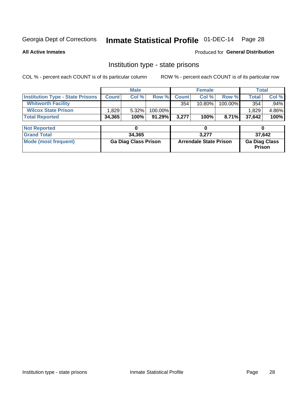# Inmate Statistical Profile 01-DEC-14 Page 28

**All Active Inmates** 

Produced for General Distribution

# Institution type - state prisons

COL % - percent each COUNT is of its particular column

|                                         | <b>Male</b>                 |        |         | <b>Female</b>                 |           |         | <b>Total</b>                   |       |  |
|-----------------------------------------|-----------------------------|--------|---------|-------------------------------|-----------|---------|--------------------------------|-------|--|
| <b>Institution Type - State Prisons</b> | <b>Count</b>                | Col %  | Row %   | <b>Count</b>                  | Col %     | Row %   | <b>Total</b>                   | Col % |  |
| <b>Whitworth Facility</b>               |                             |        |         | 354                           | $10.80\%$ | 100.00% | 354                            | .94%  |  |
| <b>Wilcox State Prison</b>              | 1,829                       | 5.32%  | 100.00% |                               |           |         | 1,829                          | 4.86% |  |
| <b>Total Reported</b>                   | 34,365                      | 100%   | 91.29%  | 3,277                         | 100%      | 8.71%   | 37,642                         | 100%  |  |
|                                         |                             |        |         |                               |           |         |                                |       |  |
| <b>Not Reported</b>                     |                             | 0      |         |                               | 0         |         |                                | 0     |  |
| <b>Grand Total</b>                      |                             | 34,365 |         |                               | 3,277     |         | 37,642                         |       |  |
| <b>Mode (most frequent)</b>             | <b>Ga Diag Class Prison</b> |        |         | <b>Arrendale State Prison</b> |           |         | <b>Ga Diag Class</b><br>Prison |       |  |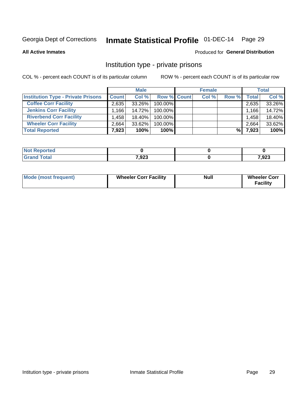# Inmate Statistical Profile 01-DEC-14 Page 29

**All Active Inmates** 

#### Produced for General Distribution

# Institution type - private prisons

COL % - percent each COUNT is of its particular column

|                                           | <b>Male</b>  |           |             | <b>Female</b> |       |       | <b>Total</b> |        |
|-------------------------------------------|--------------|-----------|-------------|---------------|-------|-------|--------------|--------|
| <b>Institution Type - Private Prisons</b> | <b>Count</b> | Col %     | Row % Count |               | Col % | Row % | <b>Total</b> | Col %  |
| <b>Coffee Corr Facility</b>               | 2,635        | 33.26%    | 100.00%     |               |       |       | 2,635        | 33.26% |
| <b>Jenkins Corr Facility</b>              | $.166+$      | 14.72%    | 100.00%     |               |       |       | 1.166        | 14.72% |
| <b>Riverbend Corr Facility</b>            | .458         | 18.40%    | 100.00%     |               |       |       | 1,458        | 18.40% |
| <b>Wheeler Corr Facility</b>              | 2.664        | $33.62\%$ | 100.00%     |               |       |       | 2,664        | 33.62% |
| <b>Total Reported</b>                     | 7,923        | 100%      | $100\%$     |               |       | %     | 7,923        | 100%   |

| <b>Not</b><br><b>Reported</b> |       |       |
|-------------------------------|-------|-------|
| <b>Total</b>                  | 7,923 | 7,923 |

| <b>Mode (most frequent)</b> | <b>Wheeler Corr Facility</b> | <b>Null</b> | <b>Wheeler Corr</b><br><b>Facility</b> |
|-----------------------------|------------------------------|-------------|----------------------------------------|
|-----------------------------|------------------------------|-------------|----------------------------------------|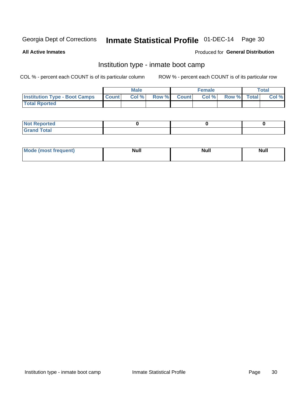# Inmate Statistical Profile 01-DEC-14 Page 30

**All Active Inmates** 

### Produced for General Distribution

# Institution type - inmate boot camp

COL % - percent each COUNT is of its particular column

|                                      |                  | <b>Male</b> |              |              | <b>Female</b> |             | <b>Total</b> |
|--------------------------------------|------------------|-------------|--------------|--------------|---------------|-------------|--------------|
| <b>Institution Type - Boot Camps</b> | <b>I</b> Count I | Col %       | <b>Row %</b> | <b>Count</b> | Col %         | Row % Total | Col %        |
| <b>Total Rported</b>                 |                  |             |              |              |               |             |              |

| <b>Not Reported</b>            |  |  |
|--------------------------------|--|--|
| <b>Total</b><br>C <sub>r</sub> |  |  |

| Mod<br>uamo | Nul.<br>$- - - - - -$ | <b>Null</b> | . .<br>uu.<br>------ |
|-------------|-----------------------|-------------|----------------------|
|             |                       |             |                      |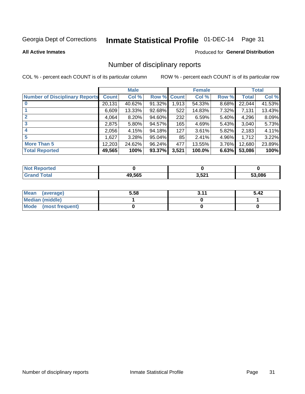# Inmate Statistical Profile 01-DEC-14 Page 31

**All Active Inmates** 

#### Produced for General Distribution

# Number of disciplinary reports

COL % - percent each COUNT is of its particular column

|                                       |              | <b>Male</b> |        |                  | <b>Female</b> |          |        | <b>Total</b> |
|---------------------------------------|--------------|-------------|--------|------------------|---------------|----------|--------|--------------|
| <b>Number of Disciplinary Reports</b> | <b>Count</b> | Col %       |        | Row % Count      | Col %         | Row %    | Total  | Col %        |
| $\bf{0}$                              | 20,131       | 40.62%      | 91.32% | 1,913            | 54.33%        | 8.68%    | 22,044 | 41.53%       |
|                                       | 6,609        | 13.33%      | 92.68% | 522              | 14.83%        | 7.32%    | 7,131  | 13.43%       |
| $\mathbf{2}$                          | 4,064        | 8.20%       | 94.60% | 232              | 6.59%         | $5.40\%$ | 4,296  | 8.09%        |
| 3                                     | 2,875        | 5.80%       | 94.57% | 165 <sub>1</sub> | 4.69%         | 5.43%    | 3,040  | 5.73%        |
|                                       | 2,056        | 4.15%       | 94.18% | 127              | 3.61%         | 5.82%    | 2,183  | 4.11%        |
| 5                                     | 1,627        | 3.28%       | 95.04% | 85               | 2.41%         | 4.96%    | 1,712  | 3.22%        |
| <b>More Than 5</b>                    | 12,203       | 24.62%      | 96.24% | 477              | 13.55%        | 3.76%    | 12,680 | 23.89%       |
| <b>Total Reported</b>                 | 49,565       | 100%        | 93.37% | 3,521            | 100.0%        | 6.63%    | 53,086 | 100%         |

| วrted<br>NO |        |       |        |
|-------------|--------|-------|--------|
| Total       | 49.565 | 3,521 | 53.086 |

| Mean (average)       | 5.58 | 3.11 | 5.42 |
|----------------------|------|------|------|
| Median (middle)      |      |      |      |
| Mode (most frequent) |      |      |      |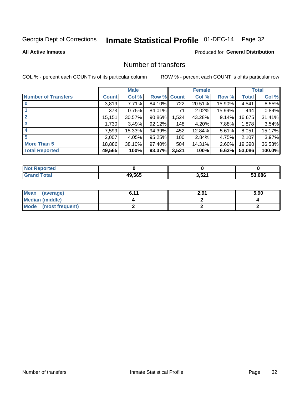# Inmate Statistical Profile 01-DEC-14 Page 32

#### **All Active Inmates**

### **Produced for General Distribution**

# Number of transfers

COL % - percent each COUNT is of its particular column

|                            |              | <b>Male</b> |        |              | <b>Female</b> |          |              | <b>Total</b> |
|----------------------------|--------------|-------------|--------|--------------|---------------|----------|--------------|--------------|
| <b>Number of Transfers</b> | <b>Count</b> | Col %       | Row %  | <b>Count</b> | Col %         | Row %    | <b>Total</b> | Col %        |
|                            | 3,819        | 7.71%       | 84.10% | 722          | 20.51%        | 15.90%   | 4,541        | 8.55%        |
|                            | 373          | 0.75%       | 84.01% | 71           | 2.02%         | 15.99%   | 444          | 0.84%        |
| $\mathbf{2}$               | 15,151       | 30.57%      | 90.86% | 1,524        | 43.28%        | 9.14%    | 16,675       | 31.41%       |
| 3                          | 1,730        | 3.49%       | 92.12% | 148          | 4.20%         | 7.88%    | 1,878        | 3.54%        |
| 4                          | 7.599        | 15.33%      | 94.39% | 452          | 12.84%        | $5.61\%$ | 8,051        | 15.17%       |
| 5                          | 2,007        | 4.05%       | 95.25% | 100          | 2.84%         | 4.75%    | 2,107        | 3.97%        |
| <b>More Than 5</b>         | 18,886       | 38.10%      | 97.40% | 504          | 14.31%        | $2.60\%$ | 19,390       | 36.53%       |
| <b>Total Reported</b>      | 49,565       | 100%        | 93.37% | 3,521        | 100%          | 6.63%    | 53,086       | 100.0%       |

| วrted<br>NO  |        |       |        |
|--------------|--------|-------|--------|
| <b>Fotal</b> | 49.565 | 3,521 | 53.086 |

| Mean (average)       | 6.11 | 2.91 | 5.90 |
|----------------------|------|------|------|
| Median (middle)      |      |      |      |
| Mode (most frequent) |      |      |      |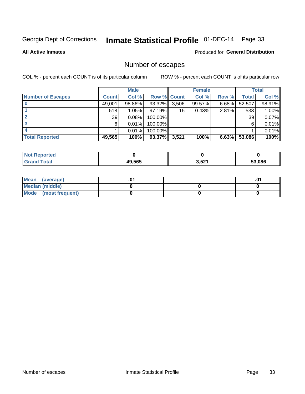# Inmate Statistical Profile 01-DEC-14 Page 33

**All Active Inmates** 

### **Produced for General Distribution**

# Number of escapes

COL % - percent each COUNT is of its particular column

|                          |              | <b>Male</b> |             |       | <b>Female</b> |       |        | <b>Total</b> |
|--------------------------|--------------|-------------|-------------|-------|---------------|-------|--------|--------------|
| <b>Number of Escapes</b> | <b>Count</b> | Col %       | Row % Count |       | Col %         | Row % | Total  | Col %        |
|                          | 49,001       | 98.86%      | 93.32%      | 3,506 | 99.57%        | 6.68% | 52,507 | 98.91%       |
|                          | 518          | 1.05%       | $97.19\%$   | 15    | 0.43%         | 2.81% | 533    | 1.00%        |
|                          | 39           | 0.08%       | 100.00%     |       |               |       | 39     | 0.07%        |
|                          | 6            | 0.01%       | 100.00%     |       |               |       | 6      | 0.01%        |
|                          |              | 0.01%       | 100.00%     |       |               |       |        | 0.01%        |
| <b>Total Reported</b>    | 49,565       | 100%        | 93.37%      | 3,521 | 100%          | 6.63% | 53,086 | 100%         |

| <b>orted</b><br>NOT. |        |       |        |
|----------------------|--------|-------|--------|
| <b>Total</b>         | 49.565 | 3,521 | 53.086 |

| Mean (average)       |  | .01 |
|----------------------|--|-----|
| Median (middle)      |  |     |
| Mode (most frequent) |  |     |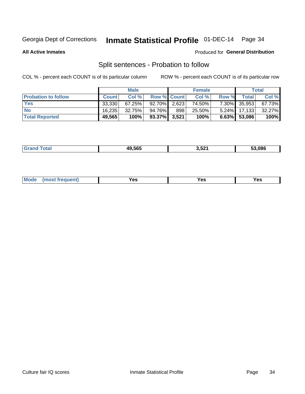# Inmate Statistical Profile 01-DEC-14 Page 34

**All Active Inmates** 

#### Produced for General Distribution

# Split sentences - Probation to follow

COL % - percent each COUNT is of its particular column

|                            | <b>Male</b>  |           |                    | <b>Female</b> |        |          | <b>Total</b>    |        |
|----------------------------|--------------|-----------|--------------------|---------------|--------|----------|-----------------|--------|
| <b>Probation to follow</b> | <b>Count</b> | Col%      | <b>Row % Count</b> |               | Col %  | Row %    | <b>Total</b>    | Col %  |
| <b>Yes</b>                 | 33.330       | 67.25%    | $92.70\%$ 2.623    |               | 74.50% |          | 7.30% 35,953    | 67.73% |
| <b>No</b>                  | 16.235       | $32.75\%$ | 94.76%             | 898           | 25.50% | $5.24\%$ | 17,133          | 32.27% |
| <b>Total Reported</b>      | 49,565       | 100%      | 93.37% 3,521       |               | 100%   |          | $6.63\%$ 53,086 | 100%   |

| _______ | IN ECE<br><b><i><u>III.</u></i></b><br>חה. | 3,521<br>$\sim$ | 3 086 |
|---------|--------------------------------------------|-----------------|-------|
|         |                                            |                 |       |

| M <sub>o</sub><br>requent)<br>'es<br>res<br>$\sim$<br>$ -$ |
|------------------------------------------------------------|
|------------------------------------------------------------|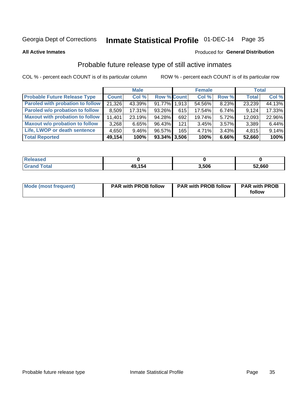# Inmate Statistical Profile 01-DEC-14 Page 35

**All Active Inmates** 

#### Produced for General Distribution

# Probable future release type of still active inmates

COL % - percent each COUNT is of its particular column

|                                         |              | <b>Male</b> |                    |     | <b>Female</b> |          | <b>Total</b> |        |
|-----------------------------------------|--------------|-------------|--------------------|-----|---------------|----------|--------------|--------|
| <b>Probable Future Release Type</b>     | <b>Count</b> | Col %       | <b>Row % Count</b> |     | Col %         | Row %    | <b>Total</b> | Col %  |
| <b>Paroled with probation to follow</b> | 21,326       | 43.39%      | 91.77% 1.913       |     | 54.56%        | 8.23%    | 23,239       | 44.13% |
| Paroled w/o probation to follow         | 8,509        | 17.31%      | 93.26%             | 615 | 17.54%        | 6.74%    | 9,124        | 17.33% |
| <b>Maxout with probation to follow</b>  | 11,401       | 23.19%      | 94.28%             | 692 | 19.74%        | 5.72%    | 12,093       | 22.96% |
| <b>Maxout w/o probation to follow</b>   | 3,268        | 6.65%       | 96.43%             | 121 | 3.45%         | 3.57%    | 3,389        | 6.44%  |
| Life, LWOP or death sentence            | 4,650        | $9.46\%$    | 96.57%             | 165 | 4.71%         | $3.43\%$ | 4,815        | 9.14%  |
| <b>Total Reported</b>                   | 49,154       | 100%        | $93.34\%$ 3,506    |     | 100%          | $6.66\%$ | 52,660       | 100%   |

| $f \wedge f \wedge f$ | 49,154 | 3.506 | 52,660 |
|-----------------------|--------|-------|--------|

| <b>Mode (most frequent)</b> | <b>PAR with PROB follow</b> | <b>PAR with PROB follow</b> | <b>PAR with PROB</b> |
|-----------------------------|-----------------------------|-----------------------------|----------------------|
|                             |                             |                             | follow               |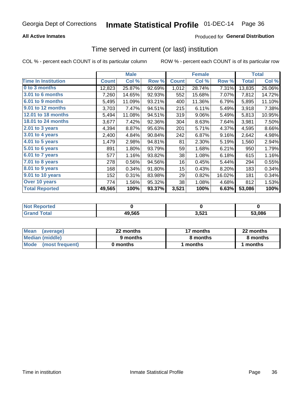### **All Active Inmates**

### **Produced for General Distribution**

### Time served in current (or last) institution

COL % - percent each COUNT is of its particular column

|                            |              | <b>Male</b> |        |                  | <b>Female</b> |        |              | <b>Total</b> |
|----------------------------|--------------|-------------|--------|------------------|---------------|--------|--------------|--------------|
| <b>Time In Institution</b> | <b>Count</b> | Col %       | Row %  | <b>Count</b>     | Col %         | Row %  | <b>Total</b> | Col %        |
| 0 to 3 months              | 12,823       | 25.87%      | 92.69% | 1,012            | 28.74%        | 7.31%  | 13,835       | 26.06%       |
| <b>3.01 to 6 months</b>    | 7,260        | 14.65%      | 92.93% | 552              | 15.68%        | 7.07%  | 7,812        | 14.72%       |
| 6.01 to 9 months           | 5,495        | 11.09%      | 93.21% | 400              | 11.36%        | 6.79%  | 5,895        | 11.10%       |
| 9.01 to 12 months          | 3,703        | 7.47%       | 94.51% | 215              | 6.11%         | 5.49%  | 3,918        | 7.38%        |
| <b>12.01 to 18 months</b>  | 5,494        | 11.08%      | 94.51% | 319              | 9.06%         | 5.49%  | 5,813        | 10.95%       |
| <b>18.01 to 24 months</b>  | 3,677        | 7.42%       | 92.36% | 304              | 8.63%         | 7.64%  | 3,981        | 7.50%        |
| 2.01 to 3 years            | 4,394        | 8.87%       | 95.63% | 201              | 5.71%         | 4.37%  | 4,595        | 8.66%        |
| $3.01$ to 4 years          | 2,400        | 4.84%       | 90.84% | 242              | 6.87%         | 9.16%  | 2,642        | 4.98%        |
| 4.01 to 5 years            | 1,479        | 2.98%       | 94.81% | 81               | 2.30%         | 5.19%  | 1,560        | 2.94%        |
| 5.01 to 6 years            | 891          | 1.80%       | 93.79% | 59               | 1.68%         | 6.21%  | 950          | 1.79%        |
| $6.01$ to 7 years          | 577          | 1.16%       | 93.82% | 38               | 1.08%         | 6.18%  | 615          | 1.16%        |
| $7.01$ to 8 years          | 278          | 0.56%       | 94.56% | 16               | 0.45%         | 5.44%  | 294          | 0.55%        |
| $8.01$ to 9 years          | 168          | 0.34%       | 91.80% | 15 <sub>15</sub> | 0.43%         | 8.20%  | 183          | 0.34%        |
| 9.01 to 10 years           | 152          | 0.31%       | 83.98% | 29               | 0.82%         | 16.02% | 181          | 0.34%        |
| Over 10 years              | 774          | 1.56%       | 95.32% | 38               | 1.08%         | 4.68%  | 812          | 1.53%        |
| <b>Total Reported</b>      | 49,565       | 100%        | 93.37% | 3,521            | 100%          | 6.63%  | 53,086       | 100%         |

| <b>NOT</b><br>oneo |        |                    |        |
|--------------------|--------|--------------------|--------|
| nta.               | 49,565 | EO4<br>$\sim$ $ -$ | 53.086 |

| <b>Mean</b><br>(average) | 22 months | 17 months | 22 months |
|--------------------------|-----------|-----------|-----------|
| Median (middle)          | 9 months  | 8 months  | 8 months  |
| Mode (most frequent)     | 0 months  | months    | l months  |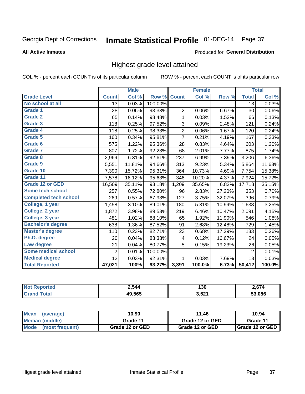# Inmate Statistical Profile 01-DEC-14 Page 37

#### **All Active Inmates**

#### Produced for General Distribution

# Highest grade level attained

COL % - percent each COUNT is of its particular column

|                              |                 | <b>Male</b> |         |                         | <b>Female</b>             |        |                | <b>Total</b> |
|------------------------------|-----------------|-------------|---------|-------------------------|---------------------------|--------|----------------|--------------|
| <b>Grade Level</b>           | <b>Count</b>    | Col %       | Row %   | <b>Count</b>            | $\overline{\text{Col}}$ % | Row %  | <b>Total</b>   | Col %        |
| No school at all             | $\overline{13}$ | 0.03%       | 100.00% |                         |                           |        | 13             | 0.03%        |
| Grade 1                      | 28              | 0.06%       | 93.33%  | 2                       | 0.06%                     | 6.67%  | 30             | 0.06%        |
| <b>Grade 2</b>               | 65              | 0.14%       | 98.48%  | 1                       | 0.03%                     | 1.52%  | 66             | 0.13%        |
| <b>Grade 3</b>               | 118             | 0.25%       | 97.52%  | 3                       | 0.09%                     | 2.48%  | 121            | 0.24%        |
| Grade 4                      | 118             | 0.25%       | 98.33%  | $\overline{\mathbf{c}}$ | 0.06%                     | 1.67%  | 120            | 0.24%        |
| Grade 5                      | 160             | 0.34%       | 95.81%  | $\overline{7}$          | 0.21%                     | 4.19%  | 167            | 0.33%        |
| Grade 6                      | 575             | 1.22%       | 95.36%  | 28                      | 0.83%                     | 4.64%  | 603            | 1.20%        |
| <b>Grade 7</b>               | 807             | 1.72%       | 92.23%  | 68                      | 2.01%                     | 7.77%  | 875            | 1.74%        |
| Grade 8                      | 2,969           | 6.31%       | 92.61%  | 237                     | 6.99%                     | 7.39%  | 3,206          | 6.36%        |
| Grade 9                      | 5,551           | 11.81%      | 94.66%  | 313                     | 9.23%                     | 5.34%  | 5,864          | 11.63%       |
| Grade 10                     | 7,390           | 15.72%      | 95.31%  | 364                     | 10.73%                    | 4.69%  | 7,754          | 15.38%       |
| Grade 11                     | 7,578           | 16.12%      | 95.63%  | 346                     | 10.20%                    | 4.37%  | 7,924          | 15.72%       |
| Grade 12 or GED              | 16,509          | 35.11%      | 93.18%  | 1,209                   | 35.65%                    | 6.82%  | 17,718         | 35.15%       |
| Some tech school             | 257             | 0.55%       | 72.80%  | 96                      | 2.83%                     | 27.20% | 353            | 0.70%        |
| <b>Completed tech school</b> | 269             | 0.57%       | 67.93%  | 127                     | 3.75%                     | 32.07% | 396            | 0.79%        |
| College, 1 year              | 1,458           | 3.10%       | 89.01%  | 180                     | 5.31%                     | 10.99% | 1,638          | 3.25%        |
| College, 2 year              | 1,872           | 3.98%       | 89.53%  | 219                     | 6.46%                     | 10.47% | 2,091          | 4.15%        |
| College, 3 year              | 481             | 1.02%       | 88.10%  | 65                      | 1.92%                     | 11.90% | 546            | 1.08%        |
| <b>Bachelor's degree</b>     | 638             | 1.36%       | 87.52%  | 91                      | 2.68%                     | 12.48% | 729            | 1.45%        |
| <b>Master's degree</b>       | 110             | 0.23%       | 82.71%  | 23                      | 0.68%                     | 17.29% | 133            | 0.26%        |
| Ph.D. degree                 | 20              | 0.04%       | 83.33%  | 4                       | 0.12%                     | 16.67% | 24             | 0.05%        |
| Law degree                   | 21              | 0.04%       | 80.77%  | 5                       | 0.15%                     | 19.23% | 26             | 0.05%        |
| <b>Some medical school</b>   | $\overline{2}$  | 0.01%       | 100.00% |                         |                           |        | $\overline{2}$ | 0.01%        |
| <b>Medical degree</b>        | 12              | 0.03%       | 92.31%  | 1                       | 0.03%                     | 7.69%  | 13             | 0.03%        |
| <b>Total Reported</b>        | 47,021          | 100%        | 93.27%  | 3,391                   | 100.0%                    | 6.73%  | 50,412         | 100.0%       |

| 2.544  | 130                | 2 674  |
|--------|--------------------|--------|
| 49.565 | 2F21<br>J.JŁ<br>__ | 53.086 |

| <b>Mean</b><br>(average)       | 10.90           | 11.46           | 10.94           |
|--------------------------------|-----------------|-----------------|-----------------|
| Median (middle)                | Grade 11        | Grade 12 or GED | Grade 11        |
| <b>Mode</b><br>(most frequent) | Grade 12 or GED | Grade 12 or GED | Grade 12 or GED |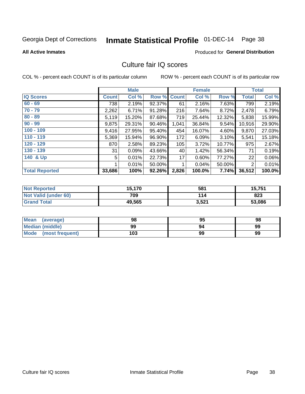# Inmate Statistical Profile 01-DEC-14 Page 38

### **All Active Inmates**

### **Produced for General Distribution**

### Culture fair IQ scores

COL % - percent each COUNT is of its particular column

|                       |              | <b>Male</b> |        |              | <b>Female</b> |        |                | <b>Total</b> |
|-----------------------|--------------|-------------|--------|--------------|---------------|--------|----------------|--------------|
| <b>IQ Scores</b>      | <b>Count</b> | Col %       | Row %  | <b>Count</b> | Col %         | Row %  | <b>Total</b>   | Col %        |
| $60 - 69$             | 738          | 2.19%       | 92.37% | 61           | 2.16%         | 7.63%  | 799            | 2.19%        |
| $70 - 79$             | 2,262        | 6.71%       | 91.28% | 216          | 7.64%         | 8.72%  | 2,478          | 6.79%        |
| $80 - 89$             | 5,119        | 15.20%      | 87.68% | 719          | 25.44%        | 12.32% | 5,838          | 15.99%       |
| $90 - 99$             | 9,875        | 29.31%      | 90.46% | 1,041        | 36.84%        | 9.54%  | 10,916         | 29.90%       |
| $100 - 109$           | 9,416        | 27.95%      | 95.40% | 454          | 16.07%        | 4.60%  | 9,870          | 27.03%       |
| $110 - 119$           | 5,369        | 15.94%      | 96.90% | 172          | 6.09%         | 3.10%  | 5,541          | 15.18%       |
| 120 - 129             | 870          | 2.58%       | 89.23% | 105          | 3.72%         | 10.77% | 975            | 2.67%        |
| 130 - 139             | 31           | 0.09%       | 43.66% | 40           | 1.42%         | 56.34% | 71             | 0.19%        |
| 140 & Up              | 5            | 0.01%       | 22.73% | 17           | 0.60%         | 77.27% | 22             | 0.06%        |
|                       |              | 0.01%       | 50.00% | 1            | 0.04%         | 50.00% | $\overline{2}$ | 0.01%        |
| <b>Total Reported</b> | 33,686       | 100%        | 92.26% | 2,826        | 100.0%        | 7.74%  | 36,512         | 100.0%       |

| <b>Not Reported</b>  | 15,170 | 581   | 15,751 |
|----------------------|--------|-------|--------|
| Not Valid (under 60) | 709    | 114   | 823    |
| <b>Grand Total</b>   | 49,565 | 3,521 | 53,086 |

| <b>Mean</b><br>(average) | 98  | 95 | 98 |
|--------------------------|-----|----|----|
| Median (middle)          | 99  |    | 99 |
| Mode (most frequent)     | 103 | 99 | 99 |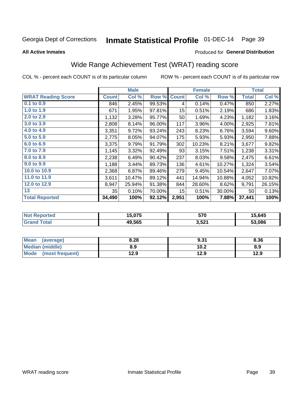# Inmate Statistical Profile 01-DEC-14 Page 39

**All Active Inmates** 

### **Produced for General Distribution**

## Wide Range Achievement Test (WRAT) reading score

COL % - percent each COUNT is of its particular column

|                           |              | <b>Male</b> |        |                  | <b>Female</b> |        |              | <b>Total</b> |
|---------------------------|--------------|-------------|--------|------------------|---------------|--------|--------------|--------------|
| <b>WRAT Reading Score</b> | <b>Count</b> | Col %       | Row %  | <b>Count</b>     | Col %         | Row %  | <b>Total</b> | Col %        |
| 0.1 to 0.9                | 846          | 2.45%       | 99.53% | 4                | 0.14%         | 0.47%  | 850          | 2.27%        |
| 1.0 to 1.9                | 671          | 1.95%       | 97.81% | 15 <sub>15</sub> | 0.51%         | 2.19%  | 686          | 1.83%        |
| 2.0 to 2.9                | 1,132        | 3.28%       | 95.77% | 50               | 1.69%         | 4.23%  | 1,182        | 3.16%        |
| 3.0 to 3.9                | 2,808        | 8.14%       | 96.00% | 117              | 3.96%         | 4.00%  | 2,925        | 7.81%        |
| 4.0 to 4.9                | 3,351        | 9.72%       | 93.24% | 243              | 8.23%         | 6.76%  | 3,594        | 9.60%        |
| 5.0 to 5.9                | 2,775        | 8.05%       | 94.07% | 175              | 5.93%         | 5.93%  | 2,950        | 7.88%        |
| 6.0 to 6.9                | 3,375        | 9.79%       | 91.79% | 302              | 10.23%        | 8.21%  | 3,677        | 9.82%        |
| 7.0 to 7.9                | 1,145        | 3.32%       | 92.49% | 93               | 3.15%         | 7.51%  | 1,238        | 3.31%        |
| 8.0 to 8.9                | 2,238        | 6.49%       | 90.42% | 237              | 8.03%         | 9.58%  | 2,475        | 6.61%        |
| 9.0 to 9.9                | 1,188        | 3.44%       | 89.73% | 136              | 4.61%         | 10.27% | 1,324        | 3.54%        |
| 10.0 to 10.9              | 2,368        | 6.87%       | 89.46% | 279              | 9.45%         | 10.54% | 2,647        | 7.07%        |
| 11.0 to 11.9              | 3,611        | 10.47%      | 89.12% | 441              | 14.94%        | 10.88% | 4,052        | 10.82%       |
| 12.0 to 12.9              | 8,947        | 25.94%      | 91.38% | 844              | 28.60%        | 8.62%  | 9,791        | 26.15%       |
| 13                        | 35           | 0.10%       | 70.00% | 15 <sub>1</sub>  | 0.51%         | 30.00% | 50           | 0.13%        |
| <b>Total Reported</b>     | 34,490       | 100%        | 92.12% | 2,951            | 100%          | 7.88%  | 37,441       | 100%         |

| errer.<br>NO | 1 F A - F<br>15.U75 | 570   | 5.645  |
|--------------|---------------------|-------|--------|
|              | 49.565              | 3,521 | 53.086 |

| <b>Mean</b><br>(average) | 8.28 | 9.31 | 8.36 |
|--------------------------|------|------|------|
| Median (middle)          | 8.9  | 10.2 | 8.9  |
| Mode<br>(most frequent)  | 12.9 | 12.9 | 12.9 |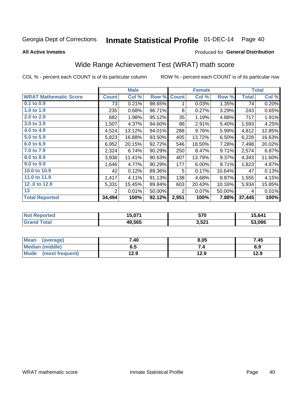# Inmate Statistical Profile 01-DEC-14 Page 40

**All Active Inmates** 

### Produced for General Distribution

## Wide Range Achievement Test (WRAT) math score

COL % - percent each COUNT is of its particular column

|                              |              | <b>Male</b> |        |              | <b>Female</b> |        |              | <b>Total</b> |
|------------------------------|--------------|-------------|--------|--------------|---------------|--------|--------------|--------------|
| <b>WRAT Mathematic Score</b> | <b>Count</b> | Col %       | Row %  | <b>Count</b> | Col %         | Row %  | <b>Total</b> | Col %        |
| $0.1$ to $0.9$               | 73           | 0.21%       | 98.65% | 1            | 0.03%         | 1.35%  | 74           | 0.20%        |
| 1.0 to 1.9                   | 235          | 0.68%       | 96.71% | 8            | 0.27%         | 3.29%  | 243          | 0.65%        |
| 2.0 to 2.9                   | 682          | 1.98%       | 95.12% | 35           | 1.19%         | 4.88%  | 717          | 1.91%        |
| 3.0 to 3.9                   | 1,507        | 4.37%       | 94.60% | 86           | 2.91%         | 5.40%  | 1,593        | 4.25%        |
| 4.0 to 4.9                   | 4,524        | 13.12%      | 94.01% | 288          | 9.76%         | 5.99%  | 4,812        | 12.85%       |
| 5.0 to 5.9                   | 5,823        | 16.88%      | 93.50% | 405          | 13.72%        | 6.50%  | 6,228        | 16.63%       |
| 6.0 to 6.9                   | 6,952        | 20.15%      | 92.72% | 546          | 18.50%        | 7.28%  | 7,498        | 20.02%       |
| 7.0 to 7.9                   | 2,324        | 6.74%       | 90.29% | 250          | 8.47%         | 9.71%  | 2,574        | 6.87%        |
| 8.0 to 8.9                   | 3,936        | 11.41%      | 90.63% | 407          | 13.79%        | 9.37%  | 4,343        | 11.60%       |
| 9.0 to 9.9                   | 1,646        | 4.77%       | 90.29% | 177          | 6.00%         | 9.71%  | 1,823        | 4.87%        |
| 10.0 to 10.9                 | 42           | 0.12%       | 89.36% | 5            | 0.17%         | 10.64% | 47           | 0.13%        |
| 11.0 to 11.9                 | 1,417        | 4.11%       | 91.13% | 138          | 4.68%         | 8.87%  | 1,555        | 4.15%        |
| 12.0 to 12.9                 | 5,331        | 15.45%      | 89.84% | 603          | 20.43%        | 10.16% | 5,934        | 15.85%       |
| 13                           | 2            | 0.01%       | 50.00% | 2            | 0.07%         | 50.00% | 4            | 0.01%        |
| <b>Total Reported</b>        | 34,494       | 100%        | 92.12% | 2,951        | 100%          | 7.88%  | 37,445       | 100%         |

| Reported<br>∵N∩f | I5 071 | 570   | 15,641 |
|------------------|--------|-------|--------|
| <b>cotal</b>     | 49.565 | 3,521 | 53.086 |

| Mean<br>(average)       | 7.40 | 8.05 | 7.45 |
|-------------------------|------|------|------|
| Median (middle)         | כ.ס  |      | 6.9  |
| Mode<br>(most frequent) | 12.9 | 12.9 | 12.9 |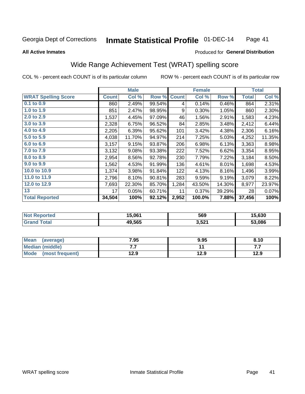#### Inmate Statistical Profile 01-DEC-14 Page 41

### **All Active Inmates**

### **Produced for General Distribution**

### Wide Range Achievement Test (WRAT) spelling score

COL % - percent each COUNT is of its particular column

|                            |              | <b>Male</b> |        |              | <b>Female</b> |        |              | <b>Total</b> |
|----------------------------|--------------|-------------|--------|--------------|---------------|--------|--------------|--------------|
| <b>WRAT Spelling Score</b> | <b>Count</b> | Col %       | Row %  | <b>Count</b> | Col %         | Row %  | <b>Total</b> | Col %        |
| $0.1$ to $0.9$             | 860          | 2.49%       | 99.54% | 4            | 0.14%         | 0.46%  | 864          | 2.31%        |
| 1.0 to 1.9                 | 851          | 2.47%       | 98.95% | 9            | 0.30%         | 1.05%  | 860          | 2.30%        |
| 2.0 to 2.9                 | 1,537        | 4.45%       | 97.09% | 46           | 1.56%         | 2.91%  | 1,583        | 4.23%        |
| 3.0 to 3.9                 | 2,328        | 6.75%       | 96.52% | 84           | 2.85%         | 3.48%  | 2,412        | 6.44%        |
| 4.0 to 4.9                 | 2,205        | 6.39%       | 95.62% | 101          | 3.42%         | 4.38%  | 2,306        | 6.16%        |
| 5.0 to 5.9                 | 4,038        | 11.70%      | 94.97% | 214          | 7.25%         | 5.03%  | 4,252        | 11.35%       |
| 6.0 to 6.9                 | 3,157        | 9.15%       | 93.87% | 206          | 6.98%         | 6.13%  | 3,363        | 8.98%        |
| 7.0 to 7.9                 | 3,132        | 9.08%       | 93.38% | 222          | 7.52%         | 6.62%  | 3,354        | 8.95%        |
| 8.0 to 8.9                 | 2,954        | 8.56%       | 92.78% | 230          | 7.79%         | 7.22%  | 3,184        | 8.50%        |
| 9.0 to 9.9                 | 1,562        | 4.53%       | 91.99% | 136          | 4.61%         | 8.01%  | 1,698        | 4.53%        |
| 10.0 to 10.9               | 1,374        | 3.98%       | 91.84% | 122          | 4.13%         | 8.16%  | 1,496        | 3.99%        |
| 11.0 to 11.9               | 2,796        | 8.10%       | 90.81% | 283          | 9.59%         | 9.19%  | 3,079        | 8.22%        |
| 12.0 to 12.9               | 7,693        | 22.30%      | 85.70% | 1,284        | 43.50%        | 14.30% | 8,977        | 23.97%       |
| 13                         | 17           | 0.05%       | 60.71% | 11           | 0.37%         | 39.29% | 28           | 0.07%        |
| <b>Total Reported</b>      | 34,504       | 100%        | 92.12% | 2,952        | 100.0%        | 7.88%  | 37,456       | 100%         |

| orted<br>NO | 15,061 | 569   | 15,630 |
|-------------|--------|-------|--------|
|             | 49.565 | 3,521 | 53.086 |

| <b>Mean</b><br>(average) | 7.95 | 9.95 | 8.10 |
|--------------------------|------|------|------|
| Median (middle)          | .    |      | .    |
| Mode (most frequent)     | 12.9 | 12.9 | 12.9 |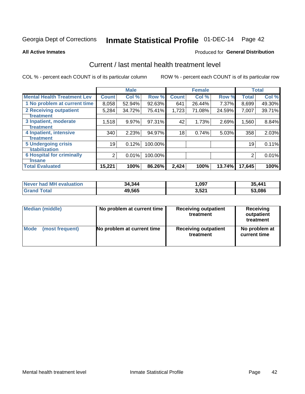# Inmate Statistical Profile 01-DEC-14 Page 42

### **All Active Inmates**

### Produced for General Distribution

## Current / last mental health treatment level

COL % - percent each COUNT is of its particular column

|                                    |                | <b>Male</b> |         |              | <b>Female</b> |        |              | <b>Total</b> |
|------------------------------------|----------------|-------------|---------|--------------|---------------|--------|--------------|--------------|
| <b>Mental Health Treatment Lev</b> | <b>Count</b>   | Col %       | Row %   | <b>Count</b> | Col %         | Row %  | <b>Total</b> | Col %        |
| 1 No problem at current time       | 8,058          | 52.94%      | 92.63%  | 641          | 26.44%        | 7.37%  | 8,699        | 49.30%       |
| 2 Receiving outpatient             | 5,284          | 34.72%      | 75.41%  | 1,723        | 71.08%        | 24.59% | 7,007        | 39.71%       |
| <b>Treatment</b>                   |                |             |         |              |               |        |              |              |
| 3 Inpatient, moderate              | 1,518          | 9.97%       | 97.31%  | 42           | 1.73%         | 2.69%  | 1,560        | 8.84%        |
| Treatment                          |                |             |         |              |               |        |              |              |
| 4 Inpatient, intensive             | 340            | 2.23%       | 94.97%  | 18           | 0.74%         | 5.03%  | 358          | 2.03%        |
| Treatment                          |                |             |         |              |               |        |              |              |
| 5 Undergoing crisis                | 19             | 0.12%       | 100.00% |              |               |        | 19           | 0.11%        |
| <b>stabilization</b>               |                |             |         |              |               |        |              |              |
| <b>6 Hospital for criminally</b>   | $\overline{2}$ | 0.01%       | 100.00% |              |               |        | 2            | 0.01%        |
| <b>Tinsane</b>                     |                |             |         |              |               |        |              |              |
| <b>Total Evaluated</b>             | 15,221         | 100%        | 86.26%  | 2,424        | 100%          | 13.74% | 17,645       | 100%         |

| Never had MH evaluation | 34,344 | ,097  | 35,441 |
|-------------------------|--------|-------|--------|
| <b>Grand Total</b>      | 49,565 | 3,521 | 53,086 |

| Median (middle) | No problem at current time | <b>Receiving outpatient</b><br>treatment | <b>Receiving</b><br>outpatient<br>treatment |
|-----------------|----------------------------|------------------------------------------|---------------------------------------------|
| <b>Mode</b>     | No problem at current time | <b>Receiving outpatient</b>              | No problem at                               |
| (most frequent) |                            | treatment                                | current time                                |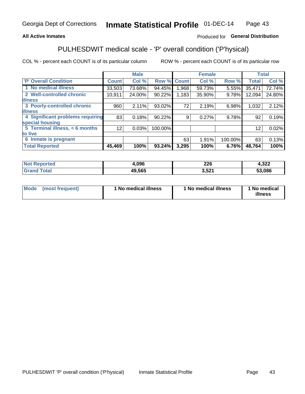### **All Active Inmates**

### Produced for General Distribution

## PULHESDWIT medical scale - 'P' overall condition ('P'hysical)

COL % - percent each COUNT is of its particular column

|                                  |              | <b>Male</b> |         |              | <b>Female</b> |         |              | <b>Total</b> |
|----------------------------------|--------------|-------------|---------|--------------|---------------|---------|--------------|--------------|
| 'P' Overall Condition            | <b>Count</b> | Col %       | Row %   | <b>Count</b> | Col %         | Row %   | <b>Total</b> | Col %        |
| 1 No medical illness             | 33,503       | 73.68%      | 94.45%  | 1.968        | 59.73%        | 5.55%   | 35,471       | 72.74%       |
| 2 Well-controlled chronic        | 10,911       | 24.00%      | 90.22%  | 1,183        | 35.90%        | 9.78%   | 12,094       | 24.80%       |
| <b>lillness</b>                  |              |             |         |              |               |         |              |              |
| 3 Poorly-controlled chronic      | 960          | 2.11%       | 93.02%  | 72           | 2.19%         | 6.98%   | 1,032        | 2.12%        |
| <b>lillness</b>                  |              |             |         |              |               |         |              |              |
| 4 Significant problems requiring | 83           | 0.18%       | 90.22%  | 9            | 0.27%         | 9.78%   | 92           | 0.19%        |
| special housing                  |              |             |         |              |               |         |              |              |
| 5 Terminal illness, < 6 months   | 12           | 0.03%       | 100.00% |              |               |         | 12           | 0.02%        |
| to live                          |              |             |         |              |               |         |              |              |
| 6 Inmate is pregnant             |              |             |         | 63           | 1.91%         | 100.00% | 63           | 0.13%        |
| <b>Total Reported</b>            | 45,469       | 100%        | 93.24%  | 3,295        | 100%          | 6.76%   | 48,764       | 100%         |

| тес | .096         | ባባር<br>ZZU | ົາງາ<br>HJZZ. |
|-----|--------------|------------|---------------|
|     | 19.565<br>дu | EO4<br>__  | 53.086        |

| Mode<br>(most frequent) |  | <sup>1</sup> No medical illness | 1 No medical illness | 1 No medical<br>illness |
|-------------------------|--|---------------------------------|----------------------|-------------------------|
|-------------------------|--|---------------------------------|----------------------|-------------------------|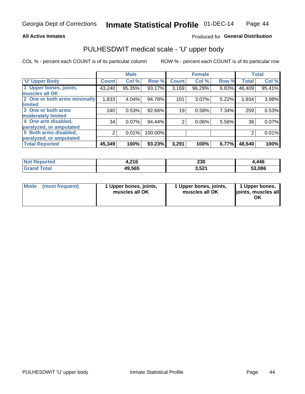### **All Active Inmates**

### Produced for General Distribution

## PULHESDWIT medical scale - 'U' upper body

COL % - percent each COUNT is of its particular column

|                              |              | <b>Male</b> |         |              | <b>Female</b> |       |              | <b>Total</b> |
|------------------------------|--------------|-------------|---------|--------------|---------------|-------|--------------|--------------|
| <b>U' Upper Body</b>         | <b>Count</b> | Col %       | Row %   | <b>Count</b> | Col %         | Row % | <b>Total</b> | Col %        |
| 1 Upper bones, joints,       | 43,240       | 95.35%      | 93.17%  | 3,169        | 96.29%        | 6.83% | 46,409       | 95.41%       |
| muscles all OK               |              |             |         |              |               |       |              |              |
| 2 One or both arms minimally | 1,833        | 4.04%       | 94.78%  | 101          | 3.07%         | 5.22% | 1,934        | 3.98%        |
| limited                      |              |             |         |              |               |       |              |              |
| 3 One or both arms           | 240          | 0.53%       | 92.66%  | 19           | 0.58%         | 7.34% | 259          | 0.53%        |
| <b>moderately limited</b>    |              |             |         |              |               |       |              |              |
| 4 One arm disabled,          | 34           | 0.07%       | 94.44%  | 2            | 0.06%         | 5.56% | 36           | 0.07%        |
| paralyzed, or amputated      |              |             |         |              |               |       |              |              |
| 5 Both arms disabled,        | 2            | 0.01%       | 100.00% |              |               |       | 2            | 0.01%        |
| paralyzed, or amputated      |              |             |         |              |               |       |              |              |
| <b>Total Reported</b>        | 45,349       | 100%        | 93.23%  | 3,291        | 100%          | 6.77% | 48,640       | 100%         |

| <b>Not Reported</b>          | 4,216  | 230   | .446   |
|------------------------------|--------|-------|--------|
| <b>Total</b><br><b>Grand</b> | 49,565 | 3,521 | 53,086 |

| Mode<br>(most frequent) | 1 Upper bones, joints,<br>muscles all OK | 1 Upper bones, joints,<br>muscles all OK | 1 Upper bones,<br>joints, muscles all<br>ΟK |
|-------------------------|------------------------------------------|------------------------------------------|---------------------------------------------|
|-------------------------|------------------------------------------|------------------------------------------|---------------------------------------------|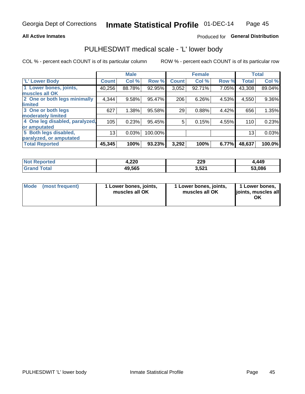### **All Active Inmates**

### Produced for General Distribution

### PULHESDWIT medical scale - 'L' lower body

COL % - percent each COUNT is of its particular column

|                                |              | <b>Male</b> |         |              | <b>Female</b> |       |              | <b>Total</b> |
|--------------------------------|--------------|-------------|---------|--------------|---------------|-------|--------------|--------------|
| 'L' Lower Body                 | <b>Count</b> | Col %       | Row %   | <b>Count</b> | Col %         | Row % | <b>Total</b> | Col %        |
| 1 Lower bones, joints,         | 40,256       | 88.78%      | 92.95%  | 3,052        | 92.71%        | 7.05% | 43,308       | 89.04%       |
| muscles all OK                 |              |             |         |              |               |       |              |              |
| 2 One or both legs minimally   | 4,344        | 9.58%       | 95.47%  | 206          | 6.26%         | 4.53% | 4,550        | 9.36%        |
| limited                        |              |             |         |              |               |       |              |              |
| 3 One or both legs             | 627          | 1.38%       | 95.58%  | 29           | 0.88%         | 4.42% | 656          | 1.35%        |
| moderately limited             |              |             |         |              |               |       |              |              |
| 4 One leg disabled, paralyzed, | 105          | 0.23%       | 95.45%  | 5            | 0.15%         | 4.55% | 110          | 0.23%        |
| or amputated                   |              |             |         |              |               |       |              |              |
| 5 Both legs disabled,          | 13           | 0.03%       | 100.00% |              |               |       | 13           | 0.03%        |
| paralyzed, or amputated        |              |             |         |              |               |       |              |              |
| <b>Total Reported</b>          | 45,345       | 100%        | 93.23%  | 3,292        | 100%          | 6.77% | 48,637       | 100.0%       |

| <b>Not Reported</b>   | 4,220  | 229   | ,449   |
|-----------------------|--------|-------|--------|
| <b>Total</b><br>Grand | 49,565 | 3,521 | 53,086 |

| Mode | (most frequent) | 1 Lower bones, joints,<br>muscles all OK | I Lower bones, joints,<br>muscles all OK | 1 Lower bones,<br>joints, muscles all<br>ΟK |
|------|-----------------|------------------------------------------|------------------------------------------|---------------------------------------------|
|------|-----------------|------------------------------------------|------------------------------------------|---------------------------------------------|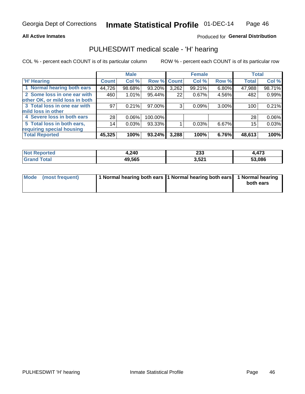### **All Active Inmates**

### Produced for General Distribution

### PULHESDWIT medical scale - 'H' hearing

COL % - percent each COUNT is of its particular column

|                                |              | <b>Male</b> |             |       | <b>Female</b> |          | <b>Total</b> |        |
|--------------------------------|--------------|-------------|-------------|-------|---------------|----------|--------------|--------|
| <b>H' Hearing</b>              | <b>Count</b> | Col %       | Row % Count |       | Col %         | Row %    | <b>Total</b> | Col %  |
| 1 Normal hearing both ears     | 44,726       | 98.68%      | 93.20%      | 3,262 | 99.21%        | $6.80\%$ | 47,988       | 98.71% |
| 2 Some loss in one ear with    | 460          | 1.01%       | 95.44%      | 22    | 0.67%         | 4.56%    | 482          | 0.99%  |
| other OK, or mild loss in both |              |             |             |       |               |          |              |        |
| 3 Total loss in one ear with   | 97           | 0.21%       | 97.00%      | 3     | 0.09%         | $3.00\%$ | 100          | 0.21%  |
| mild loss in other             |              |             |             |       |               |          |              |        |
| 4 Severe loss in both ears     | 28           | 0.06%       | 100.00%     |       |               |          | 28           | 0.06%  |
| 5 Total loss in both ears,     | 14           | 0.03%       | 93.33%      |       | 0.03%         | $6.67\%$ | 15           | 0.03%  |
| requiring special housing      |              |             |             |       |               |          |              |        |
| <b>Total Reported</b>          | 45,325       | 100%        | 93.24%      | 3,288 | 100%          | 6.76%    | 48,613       | 100%   |

| <b>orted</b><br>NOT | .240،  | nns<br>∠ാാ | 4,473  |
|---------------------|--------|------------|--------|
| $F$ atal            | 49,565 | 3,521      | 53,086 |

| Mode (most frequent) | 1 Normal hearing both ears 11 Normal hearing both ears 1 Normal hearing | both ears |
|----------------------|-------------------------------------------------------------------------|-----------|
|                      |                                                                         |           |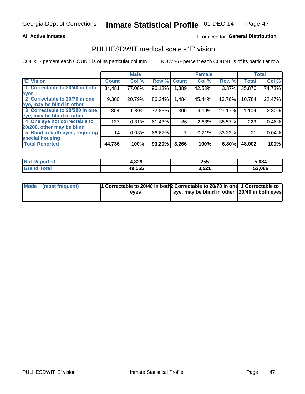### **All Active Inmates**

### Produced for General Distribution

### PULHESDWIT medical scale - 'E' vision

COL % - percent each COUNT is of its particular column

|                                 |              | <b>Male</b> |        |              | <b>Female</b> |        |              | <b>Total</b> |
|---------------------------------|--------------|-------------|--------|--------------|---------------|--------|--------------|--------------|
| 'E' Vision                      | <b>Count</b> | Col %       | Row %  | <b>Count</b> | Col %         | Row %  | <b>Total</b> | Col %        |
| 1 Correctable to 20/40 in both  | 34,481       | 77.08%      | 96.13% | .389         | 42.53%        | 3.87%  | 35,870       | 74.73%       |
| eyes                            |              |             |        |              |               |        |              |              |
| 2 Correctable to 20/70 in one   | 9,300        | 20.79%      | 86.24% | .484         | 45.44%        | 13.76% | 10,784       | 22.47%       |
| eye, may be blind in other      |              |             |        |              |               |        |              |              |
| 3 Correctable to 20/200 in one  | 804          | 1.80%       | 72.83% | 300          | 9.19%         | 27.17% | 1,104        | 2.30%        |
| leye, may be blind in other     |              |             |        |              |               |        |              |              |
| 4 One eye not correctable to    | 137          | 0.31%       | 61.43% | 86           | 2.63%         | 38.57% | 223          | 0.46%        |
| 20/200, other may be blind      |              |             |        |              |               |        |              |              |
| 5 Blind in both eyes, requiring | 14           | 0.03%       | 66.67% |              | 0.21%         | 33.33% | 21           | 0.04%        |
| special housing                 |              |             |        |              |               |        |              |              |
| <b>Total Reported</b>           | 44,736       | 100%        | 93.20% | 3,266        | 100%          | 6.80%  | 48,002       | 100%         |

| <b>Not Reno</b><br>orted | 1,829  | 255   | 5,084  |
|--------------------------|--------|-------|--------|
| ัวtal                    | 49,565 | 3,521 | 53.086 |

| Mode (most frequent) | <sup>1</sup> Correctable to 20/40 in both 2 Correctable to 20/70 in one 1 Correctable to |                                               |  |
|----------------------|------------------------------------------------------------------------------------------|-----------------------------------------------|--|
|                      | eves                                                                                     | eye, may be blind in other 20/40 in both eyes |  |
|                      |                                                                                          |                                               |  |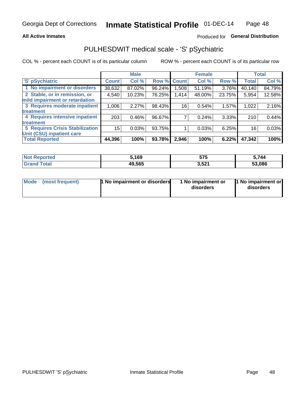### **All Active Inmates**

### Produced for General Distribution

## PULHESDWIT medical scale - 'S' pSychiatric

COL % - percent each COUNT is of its particular column

|                                        |              | <b>Male</b> |        |                   | <b>Female</b> |        |              | <b>Total</b> |
|----------------------------------------|--------------|-------------|--------|-------------------|---------------|--------|--------------|--------------|
| 'S' pSychiatric                        | <b>Count</b> | Col %       | Row %  | <b>Count</b>      | Col %         | Row %  | <b>Total</b> | Col %        |
| 1 No impairment or disorders           | 38,632       | 87.02%      | 96.24% | .508 <sub>1</sub> | 51.19%        | 3.76%  | 40,140       | 84.79%       |
| 2 Stable, or in remission, or          | 4,540        | 10.23%      | 76.25% | 1,414             | 48.00%        | 23.75% | 5,954        | 12.58%       |
| mild impairment or retardation         |              |             |        |                   |               |        |              |              |
| 3 Requires moderate inpatient          | 1,006        | 2.27%       | 98.43% | 16                | 0.54%         | 1.57%  | 1,022        | 2.16%        |
| treatment                              |              |             |        |                   |               |        |              |              |
| 4 Requires intensive inpatient         | 203          | 0.46%       | 96.67% |                   | 0.24%         | 3.33%  | 210          | 0.44%        |
| treatment                              |              |             |        |                   |               |        |              |              |
| <b>5 Requires Crisis Stabilization</b> | 15           | 0.03%       | 93.75% |                   | 0.03%         | 6.25%  | 16           | 0.03%        |
| Unit (CSU) inpatient care              |              |             |        |                   |               |        |              |              |
| <b>Total Reported</b>                  | 44,396       | 100%        | 93.78% | 2,946             | 100%          | 6.22%  | 47,342       | 100%         |

| <b>Not Reported</b> | 5,169  | <b>E7E</b><br>ວ / ວ | 5,744  |
|---------------------|--------|---------------------|--------|
| Total               | 49,565 | 3,521               | 53,086 |

| Mode<br>1 No impairment or disorders<br>(most frequent) | 1 No impairment or<br>disorders | 1 No impairment or<br>disorders |
|---------------------------------------------------------|---------------------------------|---------------------------------|
|---------------------------------------------------------|---------------------------------|---------------------------------|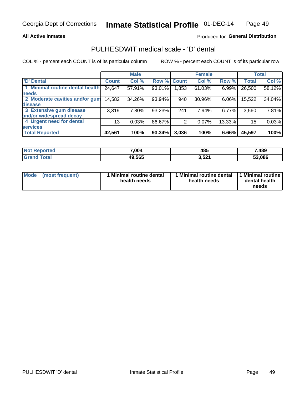### **All Active Inmates**

### Produced for General Distribution

## PULHESDWIT medical scale - 'D' dental

COL % - percent each COUNT is of its particular column

|                                 |                 | <b>Male</b> |        |              | <b>Female</b> |        |              | <b>Total</b> |
|---------------------------------|-----------------|-------------|--------|--------------|---------------|--------|--------------|--------------|
| <b>D'</b> Dental                | <b>Count</b>    | Col %       | Row %  | <b>Count</b> | Col %         | Row %  | <b>Total</b> | Col %        |
| 1 Minimal routine dental health | 24,647          | 57.91%      | 93.01% | .853         | 61.03%        | 6.99%  | 26,500       | 58.12%       |
| <b>needs</b>                    |                 |             |        |              |               |        |              |              |
| 2 Moderate cavities and/or gum  | 14,582          | 34.26%      | 93.94% | 940          | 30.96%        | 6.06%  | 15,522       | 34.04%       |
| disease                         |                 |             |        |              |               |        |              |              |
| 3 Extensive gum disease         | 3,319           | 7.80%       | 93.23% | 241          | 7.94%         | 6.77%  | 3,560        | 7.81%        |
| and/or widespread decay         |                 |             |        |              |               |        |              |              |
| 4 Urgent need for dental        | 13 <sub>1</sub> | 0.03%       | 86.67% |              | 0.07%         | 13.33% | 15           | 0.03%        |
| <b>services</b>                 |                 |             |        |              |               |        |              |              |
| <b>Total Reported</b>           | 42,561          | 100%        | 93.34% | 3,036        | 100%          | 6.66%  | 45,597       | 100%         |

| Reported<br>'NO. | 7,004  | 485   | ,489   |
|------------------|--------|-------|--------|
| `otal            | 49,565 | 3,521 | 53.086 |

| <b>Mode</b> | (most frequent) | <b>Minimal routine dental</b><br>health needs | 1 Minimal routine dental   1 Minimal routine  <br>health needs | dental health<br>needs |
|-------------|-----------------|-----------------------------------------------|----------------------------------------------------------------|------------------------|
|-------------|-----------------|-----------------------------------------------|----------------------------------------------------------------|------------------------|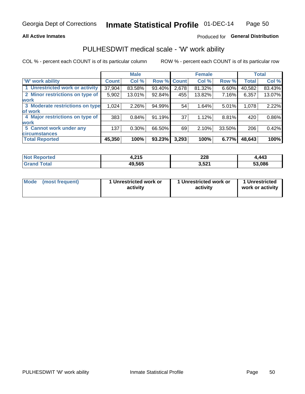### **All Active Inmates**

### Produced for General Distribution

### PULHESDWIT medical scale - 'W' work ability

COL % - percent each COUNT is of its particular column

|                                 |              | <b>Male</b> |        |              | <b>Female</b> |        |              | <b>Total</b> |
|---------------------------------|--------------|-------------|--------|--------------|---------------|--------|--------------|--------------|
| <b>W' work ability</b>          | <b>Count</b> | Col %       | Row %  | <b>Count</b> | Col %         | Row %  | <b>Total</b> | Col %        |
| 1 Unrestricted work or activity | 37,904       | 83.58%      | 93.40% | 2,678        | 81.32%        | 6.60%  | 40,582       | 83.43%       |
| 2 Minor restrictions on type of | 5,902        | 13.01%      | 92.84% | 455          | 13.82%        | 7.16%  | 6,357        | 13.07%       |
| <b>work</b>                     |              |             |        |              |               |        |              |              |
| 3 Moderate restrictions on type | 1,024        | 2.26%       | 94.99% | 54           | 1.64%         | 5.01%  | 1,078        | 2.22%        |
| lof work                        |              |             |        |              |               |        |              |              |
| 4 Major restrictions on type of | 383          | 0.84%       | 91.19% | 37           | 1.12%         | 8.81%  | 420          | 0.86%        |
| <b>work</b>                     |              |             |        |              |               |        |              |              |
| 5 Cannot work under any         | 137          | $0.30\%$    | 66.50% | 69           | 2.10%         | 33.50% | 206          | 0.42%        |
| <b>circumstances</b>            |              |             |        |              |               |        |              |              |
| <b>Total Reported</b>           | 45,350       | 100%        | 93.23% | 3,293        | 100%          | 6.77%  | 48,643       | 100%         |

| <b>Enorted</b><br>N0 | 24E<br>. ש<br>. . | nna<br>220<br>___ | ,443   |
|----------------------|-------------------|-------------------|--------|
| Гоtal                | 49,565            | 3,521             | 53,086 |

| Mode            | 1 Unrestricted work or | 1 Unrestricted work or | 1 Unrestricted   |
|-----------------|------------------------|------------------------|------------------|
| (most frequent) | activity               | activity               | work or activity |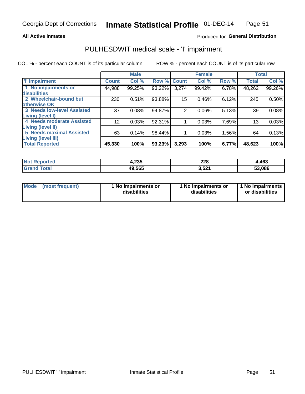### **All Active Inmates**

### Produced for General Distribution

## PULHESDWIT medical scale - 'I' impairment

COL % - percent each COUNT is of its particular column

|                                                       |                 | <b>Male</b> |        |             | <b>Female</b> |       |              | <b>Total</b> |
|-------------------------------------------------------|-----------------|-------------|--------|-------------|---------------|-------|--------------|--------------|
| <b>T' Impairment</b>                                  | <b>Count</b>    | Col %       |        | Row % Count | Col %         | Row % | <b>Total</b> | Col %        |
| 1 No impairments or<br>disabilities                   | 44,988          | 99.25%      | 93.22% | 3,274       | 99.42%        | 6.78% | 48,262       | 99.26%       |
| 2 Wheelchair-bound but<br>otherwise OK                | 230             | 0.51%       | 93.88% | 15          | 0.46%         | 6.12% | 245          | 0.50%        |
| <b>3 Needs low-level Assisted</b><br>Living (level I) | 37              | 0.08%       | 94.87% | 2           | 0.06%         | 5.13% | 39           | 0.08%        |
| 4 Needs moderate Assisted<br><b>Living (level II)</b> | 12 <sup>2</sup> | 0.03%       | 92.31% |             | 0.03%         | 7.69% | 13           | 0.03%        |
| <b>5 Needs maximal Assisted</b><br>Living (level III) | 63              | 0.14%       | 98.44% |             | 0.03%         | 1.56% | 64           | 0.13%        |
| <b>Total Reported</b>                                 | 45,330          | 100%        | 93.23% | 3,293       | 100%          | 6.77% | 48,623       | 100%         |

| Reported<br>NOI | 1,235  | 228<br>___           | 4,463  |
|-----------------|--------|----------------------|--------|
| Total           | 49,565 | <b>E94</b><br>ا ∡כ,כ | 53,086 |

| <b>Mode</b> | (most frequent) | <b>No impairments or</b><br>disabilities | 1 No impairments or<br>disabilities | 1 No impairments<br>or disabilities |
|-------------|-----------------|------------------------------------------|-------------------------------------|-------------------------------------|
|-------------|-----------------|------------------------------------------|-------------------------------------|-------------------------------------|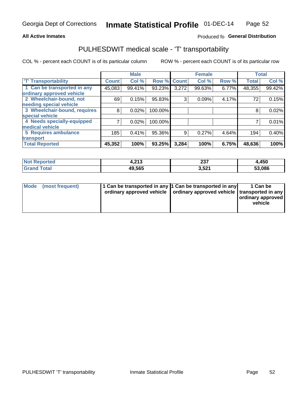### **All Active Inmates**

### Produced fo General Distribution

## PULHESDWIT medical scale - 'T' transportability

COL % - percent each COUNT is of its particular column

|                              |              | <b>Male</b> |         |              | <b>Female</b> |       |              | <b>Total</b> |
|------------------------------|--------------|-------------|---------|--------------|---------------|-------|--------------|--------------|
| <b>T' Transportability</b>   | <b>Count</b> | Col %       | Row %   | <b>Count</b> | Col %         | Row % | <b>Total</b> | Col %        |
| 1 Can be transported in any  | 45,083       | 99.41%      | 93.23%  | 3,272        | 99.63%        | 6.77% | 48,355       | 99.42%       |
| ordinary approved vehicle    |              |             |         |              |               |       |              |              |
| 2 Wheelchair-bound, not      | 69           | 0.15%       | 95.83%  | 3            | 0.09%         | 4.17% | 72           | 0.15%        |
| needing special vehicle      |              |             |         |              |               |       |              |              |
| 3 Wheelchair-bound, requires | 8            | 0.02%       | 100.00% |              |               |       | 8            | 0.02%        |
| special vehicle              |              |             |         |              |               |       |              |              |
| 4 Needs specially-equipped   |              | 0.02%       | 100.00% |              |               |       |              | 0.01%        |
| medical vehicle              |              |             |         |              |               |       |              |              |
| <b>5 Requires ambulance</b>  | 185          | 0.41%       | 95.36%  | 9            | 0.27%         | 4.64% | 194          | 0.40%        |
| transport                    |              |             |         |              |               |       |              |              |
| <b>Total Reported</b>        | 45,352       | 100%        | 93.25%  | 3,284        | 100%          | 6.75% | 48,636       | 100%         |

| <b>Not</b><br>Reported | 242<br>1.Z I J | ິ<br>، ت ک<br>$-$    | 4,450  |
|------------------------|----------------|----------------------|--------|
| Total                  | 49,565         | <b>E94</b><br>ا ∡כ,כ | 53,086 |

|  | Mode (most frequent) | 1 Can be transported in any 1 Can be transported in any<br>ordinary approved vehicle   ordinary approved vehicle   transported in any |  | 1 Can be<br>  ordinary approved  <br>vehicle |
|--|----------------------|---------------------------------------------------------------------------------------------------------------------------------------|--|----------------------------------------------|
|--|----------------------|---------------------------------------------------------------------------------------------------------------------------------------|--|----------------------------------------------|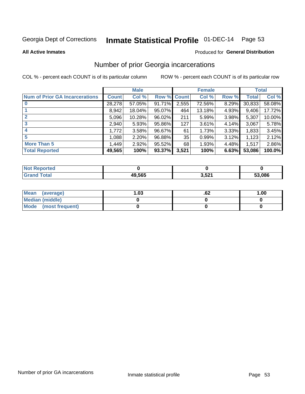# Inmate Statistical Profile 01-DEC-14 Page 53

### **All Active Inmates**

### Produced for General Distribution

### Number of prior Georgia incarcerations

COL % - percent each COUNT is of its particular column

|                                       |              | <b>Male</b> |             |       | <b>Female</b> |       |        | <b>Total</b> |
|---------------------------------------|--------------|-------------|-------------|-------|---------------|-------|--------|--------------|
| <b>Num of Prior GA Incarcerations</b> | <b>Count</b> | Col %       | Row % Count |       | Col %         | Row % | Total  | Col %        |
|                                       | 28,278       | 57.05%      | 91.71%      | 2,555 | 72.56%        | 8.29% | 30,833 | 58.08%       |
|                                       | 8,942        | 18.04%      | 95.07%      | 464   | 13.18%        | 4.93% | 9,406  | 17.72%       |
| $\overline{2}$                        | 5,096        | 10.28%      | 96.02%      | 211   | 5.99%         | 3.98% | 5,307  | 10.00%       |
| 3                                     | 2,940        | 5.93%       | 95.86%      | 127   | 3.61%         | 4.14% | 3,067  | 5.78%        |
| $\boldsymbol{4}$                      | 1,772        | 3.58%       | 96.67%      | 61    | 1.73%         | 3.33% | 1,833  | 3.45%        |
| 5                                     | 1,088        | 2.20%       | 96.88%      | 35    | 0.99%         | 3.12% | 1,123  | 2.12%        |
| <b>More Than 5</b>                    | 1,449        | 2.92%       | $95.52\%$   | 68    | 1.93%         | 4.48% | 1,517  | 2.86%        |
| <b>Total Reported</b>                 | 49,565       | 100%        | 93.37%      | 3,521 | 100%          | 6.63% | 53,086 | 100.0%       |

| orted<br>Nt |        |       |        |
|-------------|--------|-------|--------|
|             | 49.565 | 3,521 | 53,086 |

| Mean (average)       | 1.03 | ٥۷. | 1.00 |
|----------------------|------|-----|------|
| Median (middle)      |      |     |      |
| Mode (most frequent) |      |     |      |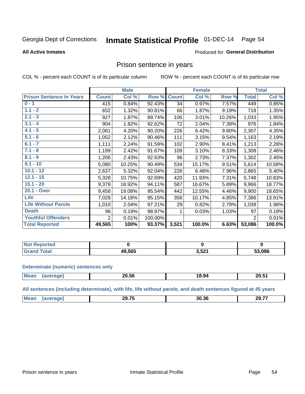#### Inmate Statistical Profile 01-DEC-14 Page 54

### **All Active Inmates**

### Produced for General Distribution

### Prison sentence in years

COL % - percent each COUNT is of its particular column

ROW % - percent each COUNT is of its particular row

|                                 | <b>Male</b>    |        |         |              | <b>Female</b> | <b>Total</b> |                |        |
|---------------------------------|----------------|--------|---------|--------------|---------------|--------------|----------------|--------|
| <b>Prison Sentence In Years</b> | <b>Count</b>   | Col %  | Row %   | <b>Count</b> | Col %         | Row %        | <b>Total</b>   | Col %  |
| $0 - 1$                         | 415            | 0.84%  | 92.43%  | 34           | 0.97%         | 7.57%        | 449            | 0.85%  |
| $1.1 - 2$                       | 652            | 1.32%  | 90.81%  | 66           | 1.87%         | 9.19%        | 718            | 1.35%  |
| $2.1 - 3$                       | 927            | 1.87%  | 89.74%  | 106          | 3.01%         | 10.26%       | 1,033          | 1.95%  |
| $3.1 - 4$                       | 904            | 1.82%  | 92.62%  | 72           | 2.04%         | 7.38%        | 976            | 1.84%  |
| $4.1 - 5$                       | 2,081          | 4.20%  | 90.20%  | 226          | 6.42%         | 9.80%        | 2,307          | 4.35%  |
| $5.1 - 6$                       | 1,052          | 2.12%  | 90.46%  | 111          | 3.15%         | 9.54%        | 1,163          | 2.19%  |
| $6.1 - 7$                       | 1,111          | 2.24%  | 91.59%  | 102          | 2.90%         | 8.41%        | 1,213          | 2.28%  |
| $7.1 - 8$                       | 1,199          | 2.42%  | 91.67%  | 109          | 3.10%         | 8.33%        | 1,308          | 2.46%  |
| $8.1 - 9$                       | 1,206          | 2.43%  | 92.63%  | 96           | 2.73%         | 7.37%        | 1,302          | 2.45%  |
| $9.1 - 10$                      | 5,080          | 10.25% | 90.49%  | 534          | 15.17%        | 9.51%        | 5,614          | 10.58% |
| $10.1 - 12$                     | 2,637          | 5.32%  | 92.04%  | 228          | 6.48%         | 7.96%        | 2,865          | 5.40%  |
| $12.1 - 15$                     | 5,328          | 10.75% | 92.69%  | 420          | 11.93%        | 7.31%        | 5,748          | 10.83% |
| $15.1 - 20$                     | 9,379          | 18.92% | 94.11%  | 587          | 16.67%        | 5.89%        | 9,966          | 18.77% |
| 20.1 - Over                     | 9,458          | 19.08% | 95.54%  | 442          | 12.55%        | 4.46%        | 9,900          | 18.65% |
| <b>Life</b>                     | 7,028          | 14.18% | 95.15%  | 358          | 10.17%        | 4.85%        | 7,386          | 13.91% |
| <b>Life Without Parole</b>      | 1,010          | 2.04%  | 97.21%  | 29           | 0.82%         | 2.79%        | 1,039          | 1.96%  |
| <b>Death</b>                    | 96             | 0.19%  | 98.97%  |              | 0.03%         | 1.03%        | 97             | 0.18%  |
| <b>Youthful Offenders</b>       | $\overline{2}$ | 0.01%  | 100.00% |              |               |              | $\overline{2}$ | 0.01%  |
| <b>Total Reported</b>           | 49,565         | 100%   | 93.37%  | 3,521        | 100.0%        | 6.63%        | 53,086         | 100.0% |

| ported<br>I NOT |              |            |        |
|-----------------|--------------|------------|--------|
|                 | 19.565<br>ДЧ | <b>E24</b> | 53,086 |

### **Determinate (numeric) sentences only**

| <b>Mean</b> | $\sim$ $\sim$ $\sim$<br>∠0.56 | 18.94 | 20E<br>∠∪.ɔ∵ |
|-------------|-------------------------------|-------|--------------|
|             |                               |       |              |

All sentences (including determinate), with life, life without parole, and death sentences figured at 45 years

| $\sim$ $\sim$ $\sim$<br>30 36<br>29.77<br>Me<br>п,<br>.<br>74<br>____<br>___ |  |  |  |
|------------------------------------------------------------------------------|--|--|--|
|                                                                              |  |  |  |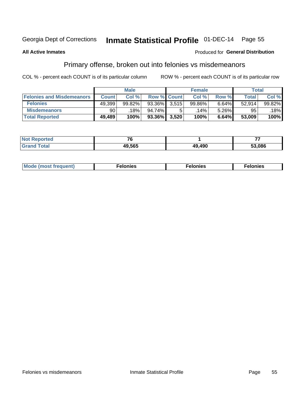## Inmate Statistical Profile 01-DEC-14 Page 55

### **All Active Inmates**

### Produced for General Distribution

### Primary offense, broken out into felonies vs misdemeanors

COL % - percent each COUNT is of its particular column

|                                  | <b>Male</b>  |        |           |                    | <b>Female</b> | Total |        |        |
|----------------------------------|--------------|--------|-----------|--------------------|---------------|-------|--------|--------|
| <b>Felonies and Misdemeanors</b> | <b>Count</b> | Col%   |           | <b>Row % Count</b> | Col%          | Row % | Total, | Col %  |
| <b>Felonies</b>                  | 49,399       | 99.82% | 93.36%    | 3.515              | 99.86%        | 6.64% | 52.914 | 99.82% |
| <b>Misdemeanors</b>              | 90           | 18%    | $94.74\%$ |                    | 14%           | 5.26% | 95     | 18%    |
| <b>Total Reported</b>            | 49,489       | 100%   | 93.36%    | 3,520              | 100%          | 6.64% | 53,009 | 100%   |

| <b>Not</b><br><b>rted</b><br>×eno∟ | --     |        |        |
|------------------------------------|--------|--------|--------|
| ⊺otal<br><b>Grand</b>              | 49.565 | 49,490 | 53.086 |

| Mo | ___ | 11 C.S<br>. | onies<br>. |
|----|-----|-------------|------------|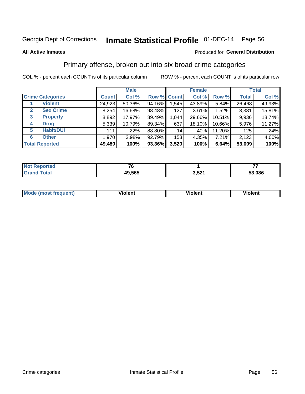## Inmate Statistical Profile 01-DEC-14 Page 56

### **All Active Inmates**

### Produced for General Distribution

### Primary offense, broken out into six broad crime categories

COL % - percent each COUNT is of its particular column

|                                 | <b>Male</b>  |        |        |                    | <b>Female</b> | <b>Total</b> |              |        |
|---------------------------------|--------------|--------|--------|--------------------|---------------|--------------|--------------|--------|
| <b>Crime Categories</b>         | <b>Count</b> | Col %  |        | <b>Row % Count</b> | Col %         | Row %        | <b>Total</b> | Col %  |
| <b>Violent</b>                  | 24,923       | 50.36% | 94.16% | 1,545              | 43.89%        | 5.84%        | 26,468       | 49.93% |
| <b>Sex Crime</b><br>2           | 8,254        | 16.68% | 98.48% | 127                | 3.61%         | 1.52%        | 8,381        | 15.81% |
| $\mathbf{3}$<br><b>Property</b> | 8,892        | 17.97% | 89.49% | 1,044              | 29.66%        | 10.51%       | 9,936        | 18.74% |
| <b>Drug</b><br>4                | 5,339        | 10.79% | 89.34% | 637                | 18.10%        | 10.66%       | 5,976        | 11.27% |
| <b>Habit/DUI</b><br>5           | 111          | .22%   | 88.80% | 14                 | .40%          | 11.20%       | 125          | .24%   |
| <b>Other</b><br>6               | 1,970        | 3.98%  | 92.79% | 153                | 4.35%         | 7.21%        | 2,123        | 4.00%  |
| <b>Total Reported</b>           | 49,489       | 100%   | 93.36% | 3,520              | 100%          | 6.64%        | 53,009       | 100%   |

| rted<br>NO   |        |       |            |
|--------------|--------|-------|------------|
| <b>Ental</b> | 49,565 | 3,521 | .086<br>-0 |

| Mo<br>uent)<br>nos | .<br>/iolent | <br>Violent | - --<br><b>Tiolent</b> |
|--------------------|--------------|-------------|------------------------|
|                    |              |             |                        |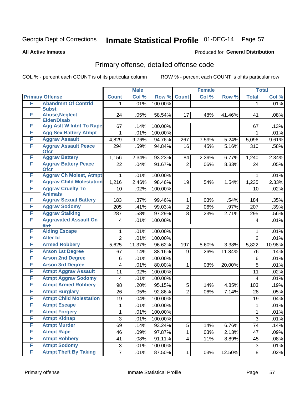# Inmate Statistical Profile 01-DEC-14 Page 57

### **All Active Inmates**

### Produced for General Distribution

## Primary offense, detailed offense code

COL % - percent each COUNT is of its particular column

|   |                                             |                | <b>Male</b> |         |                | <b>Female</b> |        |                | <b>Total</b> |
|---|---------------------------------------------|----------------|-------------|---------|----------------|---------------|--------|----------------|--------------|
|   | <b>Primary Offense</b>                      | <b>Count</b>   | Col %       | Row %   | <b>Count</b>   | Col %         | Row %  | <b>Total</b>   | Col %        |
| F | <b>Abandmnt Of Contrld</b>                  | $\mathbf 1$    | .01%        | 100.00% |                |               |        | 1              | .01%         |
|   | <b>Subst</b>                                |                |             |         |                |               |        |                |              |
| F | <b>Abuse, Neglect</b><br><b>Elder/Disab</b> | 24             | .05%        | 58.54%  | 17             | .48%          | 41.46% | 41             | .08%         |
| F | <b>Agg Aslt W Intnt To Rape</b>             | 67             | .14%        | 100.00% |                |               |        | 67             | .13%         |
| F | <b>Agg Sex Battery Atmpt</b>                | 1              | .01%        | 100.00% |                |               |        | 1              | .01%         |
| F | <b>Aggrav Assault</b>                       | 4,829          | 9.76%       | 94.76%  | 267            | 7.59%         | 5.24%  | 5,096          | 9.61%        |
| F | <b>Aggrav Assault Peace</b>                 | 294            | .59%        | 94.84%  | 16             | .45%          | 5.16%  | 310            | .58%         |
|   | <b>Ofcr</b>                                 |                |             |         |                |               |        |                |              |
| F | <b>Aggrav Battery</b>                       | 1,156          | 2.34%       | 93.23%  | 84             | 2.39%         | 6.77%  | 1,240          | 2.34%        |
| F | <b>Aggrav Battery Peace</b><br><b>Ofcr</b>  | 22             | .04%        | 91.67%  | $\overline{2}$ | .06%          | 8.33%  | 24             | .05%         |
| F | <b>Aggrav Ch Molest, Atmpt</b>              | 1              | .01%        | 100.00% |                |               |        | 1              | .01%         |
| F | <b>Aggrav Child Molestation</b>             | 1,216          | 2.46%       | 98.46%  | 19             | .54%          | 1.54%  | 1,235          | 2.33%        |
| F | <b>Aggrav Cruelty To</b>                    | 10             | .02%        | 100.00% |                |               |        | 10             | .02%         |
|   | <b>Animals</b>                              |                |             |         |                |               |        |                |              |
| F | <b>Aggrav Sexual Battery</b>                | 183            | .37%        | 99.46%  | $\mathbf{1}$   | .03%          | .54%   | 184            | .35%         |
| F | <b>Aggrav Sodomy</b>                        | 205            | .41%        | 99.03%  | $\overline{2}$ | .06%          | .97%   | 207            | .39%         |
| F | <b>Aggrav Stalking</b>                      | 287            | .58%        | 97.29%  | 8              | .23%          | 2.71%  | 295            | .56%         |
| F | <b>Aggravated Assault On</b><br>$65+$       | 4              | .01%        | 100.00% |                |               |        | $\overline{4}$ | .01%         |
| F | <b>Aiding Escape</b>                        | $\mathbf{1}$   | .01%        | 100.00% |                |               |        | 1              | .01%         |
| F | <b>Alter Id</b>                             | $\overline{2}$ | .01%        | 100.00% |                |               |        | $\overline{2}$ | .01%         |
| F | <b>Armed Robbery</b>                        | 5,625          | 11.37%      | 96.62%  | 197            | 5.60%         | 3.38%  | 5,822          | 10.98%       |
| F | <b>Arson 1st Degree</b>                     | 67             | .14%        | 88.16%  | 9              | .26%          | 11.84% | 76             | .14%         |
| F | <b>Arson 2nd Degree</b>                     | 6              | .01%        | 100.00% |                |               |        | 6              | .01%         |
| F | <b>Arson 3rd Degree</b>                     | 4              | .01%        | 80.00%  | $\mathbf{1}$   | .03%          | 20.00% | 5              | .01%         |
| F | <b>Atmpt Aggrav Assault</b>                 | 11             | .02%        | 100.00% |                |               |        | 11             | .02%         |
| F | <b>Atmpt Aggrav Sodomy</b>                  | 4              | .01%        | 100.00% |                |               |        | 4              | .01%         |
| F | <b>Atmpt Armed Robbery</b>                  | 98             | .20%        | 95.15%  | 5              | .14%          | 4.85%  | 103            | .19%         |
| F | <b>Atmpt Burglary</b>                       | 26             | .05%        | 92.86%  | $\overline{2}$ | .06%          | 7.14%  | 28             | .05%         |
| F | <b>Atmpt Child Molestation</b>              | 19             | .04%        | 100.00% |                |               |        | 19             | .04%         |
| F | <b>Atmpt Escape</b>                         | 1              | .01%        | 100.00% |                |               |        | 1              | .01%         |
| F | <b>Atmpt Forgery</b>                        | 1              | .01%        | 100.00% |                |               |        | 1              | .01%         |
| F | <b>Atmpt Kidnap</b>                         | 3              | .01%        | 100.00% |                |               |        | 3              | .01%         |
| F | <b>Atmpt Murder</b>                         | 69             | .14%        | 93.24%  | 5              | .14%          | 6.76%  | 74             | .14%         |
| F | <b>Atmpt Rape</b>                           | 46             | .09%        | 97.87%  | $\mathbf{1}$   | .03%          | 2.13%  | 47             | .09%         |
| F | <b>Atmpt Robbery</b>                        | 41             | .08%        | 91.11%  | $\overline{4}$ | .11%          | 8.89%  | 45             | .08%         |
| F | <b>Atmpt Sodomy</b>                         | 3              | .01%        | 100.00% |                |               |        | 3              | .01%         |
| F | <b>Atmpt Theft By Taking</b>                | $\overline{7}$ | .01%        | 87.50%  | 1              | .03%          | 12.50% | 8              | .02%         |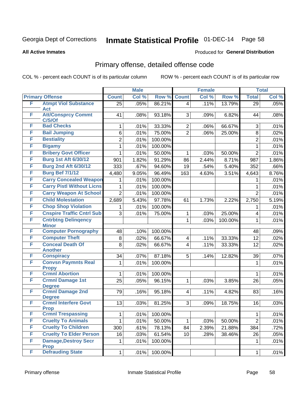# Inmate Statistical Profile 01-DEC-14 Page 58

### **All Active Inmates**

### Produced for General Distribution

## Primary offense, detailed offense code

COL % - percent each COUNT is of its particular column

|        |                                             |                 | <b>Male</b> |         |                 | <b>Female</b> |         |                         | <b>Total</b> |
|--------|---------------------------------------------|-----------------|-------------|---------|-----------------|---------------|---------|-------------------------|--------------|
|        | <b>Primary Offense</b>                      | <b>Count</b>    | Col %       | Row %   | <b>Count</b>    | Col %         | Row %   | <b>Total</b>            | Col %        |
| F      | <b>Atmpt Viol Substance</b>                 | $\overline{25}$ | .05%        | 86.21%  | $\vert 4 \vert$ | .11%          | 13.79%  | 29                      | .05%         |
| F      | Act                                         |                 |             |         |                 |               |         |                         |              |
|        | <b>Att/Consprcy Commt</b><br>C/S/Of         | 41              | .08%        | 93.18%  | 3               | .09%          | 6.82%   | 44                      | .08%         |
| F      | <b>Bad Checks</b>                           | 1               | .01%        | 33.33%  | $\overline{2}$  | .06%          | 66.67%  | 3                       | .01%         |
| F      | <b>Bail Jumping</b>                         | $6\phantom{a}$  | .01%        | 75.00%  | $\overline{2}$  | .06%          | 25.00%  | 8                       | .02%         |
| F      | <b>Bestiality</b>                           | $\overline{2}$  | .01%        | 100.00% |                 |               |         | $\overline{2}$          | .01%         |
| F      | <b>Bigamy</b>                               | 1               | .01%        | 100.00% |                 |               |         | 1                       | .01%         |
| F      | <b>Bribery Govt Officer</b>                 | 1               | .01%        | 50.00%  | 1               | .03%          | 50.00%  | $\overline{2}$          | .01%         |
| F      | <b>Burg 1st Aft 6/30/12</b>                 | 901             | 1.82%       | 91.29%  | 86              | 2.44%         | 8.71%   | 987                     | 1.86%        |
| F      | <b>Burg 2nd Aft 6/30/12</b>                 | 333             | .67%        | 94.60%  | 19              | .54%          | 5.40%   | 352                     | .66%         |
| F      | <b>Burg Bef 7/1/12</b>                      | 4,480           | 9.05%       | 96.49%  | 163             | 4.63%         | 3.51%   | 4,643                   | 8.76%        |
| F      | <b>Carry Concealed Weapon</b>               | 1               | .01%        | 100.00% |                 |               |         | 1                       | .01%         |
| F      | <b>Carry Pistl Without Licns</b>            | 1               | .01%        | 100.00% |                 |               |         | 1                       | .01%         |
| F      | <b>Carry Weapon At School</b>               | $\overline{2}$  | .01%        | 100.00% |                 |               |         | $\overline{2}$          | .01%         |
| F      | <b>Child Molestation</b>                    | 2,689           | 5.43%       | 97.78%  | 61              | 1.73%         | 2.22%   | 2,750                   | 5.19%        |
| F      | <b>Chop Shop Violation</b>                  | 1               | .01%        | 100.00% |                 |               |         | 1                       | .01%         |
| F      | <b>Cnspire Traffic Cntrl Sub</b>            | 3               | .01%        | 75.00%  | 1               | .03%          | 25.00%  | $\overline{\mathbf{4}}$ | .01%         |
| F      | <b>Cntrbtng Delingency</b>                  |                 |             |         | $\mathbf{1}$    | .03%          | 100.00% | 1                       | .01%         |
| F      | <b>Minor</b><br><b>Computer Pornography</b> | 48              | .10%        | 100.00% |                 |               |         | 48                      | .09%         |
| F      | <b>Computer Theft</b>                       | 8               | .02%        | 66.67%  | $\overline{4}$  | .11%          | 33.33%  | 12                      | .02%         |
| F      | <b>Conceal Death Of</b>                     | 8               | .02%        | 66.67%  | $\overline{4}$  | .11%          | 33.33%  | 12                      | .02%         |
|        | <b>Another</b>                              |                 |             |         |                 |               |         |                         |              |
| F      | <b>Conspiracy</b>                           | 34              | .07%        | 87.18%  | 5               | .14%          | 12.82%  | 39                      | .07%         |
| F      | <b>Convsn Paymnts Real</b>                  | 1               | .01%        | 100.00% |                 |               |         | 1                       | .01%         |
|        | <b>Propy</b>                                |                 |             |         |                 |               |         |                         |              |
| F<br>F | <b>Crmnl Abortion</b>                       | $\mathbf{1}$    | .01%        | 100.00% |                 |               |         | 1                       | .01%         |
|        | <b>Crmnl Damage 1st</b><br><b>Degree</b>    | 25              | .05%        | 96.15%  | $\mathbf{1}$    | .03%          | 3.85%   | 26                      | .05%         |
| F      | <b>Crmnl Damage 2nd</b>                     | 79              | .16%        | 95.18%  | $\overline{4}$  | .11%          | 4.82%   | 83                      | .16%         |
|        | <b>Degree</b>                               |                 |             |         |                 |               |         |                         |              |
| F      | <b>Crmnl Interfere Govt</b>                 | 13              | .03%        | 81.25%  | 3 <sup>1</sup>  | .09%          | 18.75%  | 16                      | .03%         |
| F      | <b>Prop</b><br><b>Crmnl Trespassing</b>     | $\mathbf{1}$    | .01%        | 100.00% |                 |               |         | $\mathbf{1}$            | .01%         |
| F      | <b>Cruelty To Animals</b>                   | $\mathbf 1$     | .01%        | 50.00%  | $\mathbf 1$     | .03%          | 50.00%  | $\overline{2}$          |              |
| F      | <b>Cruelty To Children</b>                  | 300             | .61%        | 78.13%  | 84              | 2.39%         | 21.88%  | 384                     | .01%<br>.72% |
| F      | <b>Cruelty To Elder Person</b>              | 16              | .03%        | 61.54%  | 10              | .28%          | 38.46%  | 26                      | .05%         |
| F      | <b>Damage, Destroy Secr</b>                 | 1               | .01%        | 100.00% |                 |               |         | $\mathbf{1}$            | .01%         |
|        | <b>Prop</b>                                 |                 |             |         |                 |               |         |                         |              |
| F      | <b>Defrauding State</b>                     | 1               | .01%        | 100.00% |                 |               |         | $\mathbf{1}$            | .01%         |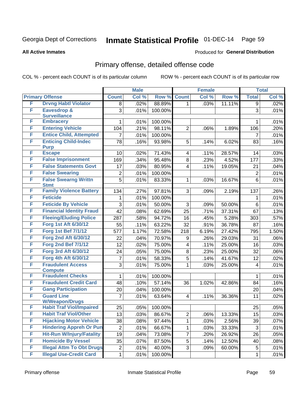# Inmate Statistical Profile 01-DEC-14 Page 59

**All Active Inmates** 

### Produced for General Distribution

## Primary offense, detailed offense code

COL % - percent each COUNT is of its particular column

|   |                                            |                | <b>Male</b> |         |                         | <b>Female</b> |        |                | <b>Total</b> |
|---|--------------------------------------------|----------------|-------------|---------|-------------------------|---------------|--------|----------------|--------------|
|   | <b>Primary Offense</b>                     | <b>Count</b>   | Col %       | Row %   | <b>Count</b>            | Col %         | Row %  | <b>Total</b>   | Col %        |
| F | <b>Drvng Habtl Violator</b>                | 8              | .02%        | 88.89%  | 1 <sup>1</sup>          | .03%          | 11.11% | $\overline{9}$ | .02%         |
| F | <b>Eavesdrop &amp;</b>                     | 3              | .01%        | 100.00% |                         |               |        | 3              | .01%         |
|   | <b>Surveillance</b>                        |                |             |         |                         |               |        |                |              |
| F | <b>Embracery</b>                           | 1              | .01%        | 100.00% |                         |               |        | 1              | .01%         |
| F | <b>Entering Vehicle</b>                    | 104            | .21%        | 98.11%  | $\overline{2}$          | .06%          | 1.89%  | 106            | .20%         |
| F | <b>Entice Child, Attempted</b>             | 7              | .01%        | 100.00% |                         |               |        | $\overline{7}$ | .01%         |
| F | <b>Enticing Child-Indec</b>                | 78             | .16%        | 93.98%  | 5                       | .14%          | 6.02%  | 83             | .16%         |
| F | <b>Purp</b><br><b>Escape</b>               | 10             |             |         | $\overline{4}$          |               |        |                | .03%         |
| F | <b>False Imprisonment</b>                  |                | .02%        | 71.43%  |                         | .11%          | 28.57% | 14             |              |
| F |                                            | 169            | .34%        | 95.48%  | 8                       | .23%          | 4.52%  | 177            | .33%         |
|   | <b>False Statements Govt</b>               | 17             | .03%        | 80.95%  | $\overline{4}$          | .11%          | 19.05% | 21             | .04%         |
| F | <b>False Swearing</b>                      | $\overline{2}$ | .01%        | 100.00% |                         |               |        | $\overline{2}$ | .01%         |
| F | <b>False Swearng Writtn</b><br><b>Stmt</b> | $\overline{5}$ | .01%        | 83.33%  | $\mathbf 1$             | .03%          | 16.67% | $6\phantom{a}$ | .01%         |
| F | <b>Family Violence Battery</b>             | 134            | .27%        | 97.81%  | 3                       | .09%          | 2.19%  | 137            | .26%         |
| F | <b>Feticide</b>                            | 1.             | .01%        | 100.00% |                         |               |        | 1              | .01%         |
| F | <b>Feticide By Vehicle</b>                 | 3              | .01%        | 50.00%  | 3                       | .09%          | 50.00% | 6              | .01%         |
| F | <b>Financial Identity Fraud</b>            | 42             | .08%        | 62.69%  | 25                      | .71%          | 37.31% | 67             | .13%         |
| F | <b>Fleeing/Eluding Police</b>              | 287            | .58%        | 94.72%  | 16                      | .45%          | 5.28%  | 303            | .57%         |
| F | <b>Forg 1st Aft 6/30/12</b>                | 55             | .11%        | 63.22%  | 32                      | .91%          | 36.78% | 87             | .16%         |
| F | <b>Forg 1st Bef 7/1/12</b>                 | 577            | 1.17%       | 72.58%  | 218                     | 6.19%         | 27.42% | 795            | 1.50%        |
| F | <b>Forg 2nd Aft 6/30/12</b>                | 22             | .04%        | 70.97%  | 9                       | .26%          | 29.03% | 31             | $.06\%$      |
| F | <b>Forg 2nd Bef 7/1/12</b>                 | 12             | .02%        | 75.00%  | $\overline{\mathbf{4}}$ | .11%          | 25.00% | 16             | .03%         |
| F | <b>Forg 3rd Aft 6/30/12</b>                | 24             | .05%        | 75.00%  | 8                       | .23%          | 25.00% | 32             | .06%         |
| F | Forg 4th Aft 6/30/12                       | 7              | .01%        | 58.33%  | $\overline{5}$          | .14%          | 41.67% | 12             | .02%         |
| F | <b>Fraudulent Access</b>                   | 3              | .01%        | 75.00%  | $\mathbf{1}$            | .03%          | 25.00% | $\overline{4}$ | .01%         |
|   | <b>Compute</b>                             |                |             |         |                         |               |        |                |              |
| F | <b>Fraudulent Checks</b>                   | 1              | .01%        | 100.00% |                         |               |        | $\mathbf{1}$   | .01%         |
| F | <b>Fraudulent Credit Card</b>              | 48             | .10%        | 57.14%  | 36                      | 1.02%         | 42.86% | 84             | .16%         |
| F | <b>Gang Participation</b>                  | 20             | .04%        | 100.00% |                         |               |        | 20             | .04%         |
| F | <b>Guard Line</b>                          | $\overline{7}$ | .01%        | 63.64%  | $\overline{4}$          | .11%          | 36.36% | 11             | .02%         |
|   | <b>W/Weapon/Drugs</b>                      |                |             |         |                         |               |        |                |              |
| F | <b>Habit Traf Viol/Impaired</b>            | 25             | $.05\%$     | 100.00% |                         |               |        | 25             | .05%         |
| F | <b>Habit Traf Viol/Other</b>               | 13             | .03%        | 86.67%  | $\overline{2}$          | .06%          | 13.33% | 15             | .03%         |
| F | <b>Hijacking Motor Vehicle</b>             | 38             | .08%        | 97.44%  | $\mathbf{1}$            | .03%          | 2.56%  | 39             | .07%         |
| F | <b>Hindering Appreh Or Pun</b>             | $\overline{2}$ | .01%        | 66.67%  | 1                       | .03%          | 33.33% | 3              | .01%         |
| F | <b>Hit-Run W/Injury/Fatality</b>           | 19             | .04%        | 73.08%  | $\overline{7}$          | .20%          | 26.92% | 26             | .05%         |
| F | <b>Homicide By Vessel</b>                  | 35             | .07%        | 87.50%  | 5                       | .14%          | 12.50% | 40             | .08%         |
| F | <b>Illegal Attm To Obt Drugs</b>           | $\overline{2}$ | .01%        | 40.00%  | $\overline{3}$          | .09%          | 60.00% | 5              | .01%         |
| F | <b>Illegal Use-Credit Card</b>             | $\mathbf 1$    | .01%        | 100.00% |                         |               |        | $\mathbf{1}$   | .01%         |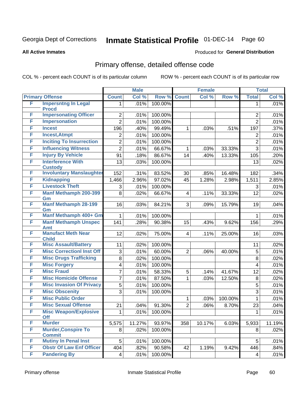# Inmate Statistical Profile 01-DEC-14 Page 60

**All Active Inmates** 

### Produced for General Distribution

## Primary offense, detailed offense code

COL % - percent each COUNT is of its particular column

|        |                                              |                | <b>Male</b> |            |                | <b>Female</b> |         |                | <b>Total</b> |
|--------|----------------------------------------------|----------------|-------------|------------|----------------|---------------|---------|----------------|--------------|
|        | <b>Primary Offense</b>                       | <b>Count</b>   | Col %       | Row %      | <b>Count</b>   | Col %         | Row %   | <b>Total</b>   | Col %        |
| F      | <b>Impersntng In Legal</b>                   | 1.             | .01%        | 100.00%    |                |               |         | 1              | .01%         |
| F      | <b>Procd</b><br><b>Impersonating Officer</b> | $\overline{2}$ | .01%        | 100.00%    |                |               |         | $\overline{2}$ | .01%         |
| F      | <b>Impersonation</b>                         | $\overline{2}$ | .01%        | 100.00%    |                |               |         | $\overline{2}$ | .01%         |
| F      | <b>Incest</b>                                | 196            | .40%        | 99.49%     | 1              | .03%          | .51%    | 197            | .37%         |
| F      | <b>Incest, Atmpt</b>                         | $\overline{c}$ | .01%        | 100.00%    |                |               |         | $\overline{c}$ | .01%         |
| F      | <b>Inciting To Insurrection</b>              | $\overline{2}$ | .01%        | 100.00%    |                |               |         | $\overline{2}$ | .01%         |
| F      | <b>Influencing Witness</b>                   | $\overline{2}$ | .01%        | 66.67%     | 1              | .03%          | 33.33%  | 3              | .01%         |
| F      | <b>Injury By Vehicle</b>                     | 91             | .18%        | 86.67%     | 14             | .40%          | 13.33%  | 105            | .20%         |
| F      | <b>Interference With</b>                     | 13             | .03%        | 100.00%    |                |               |         | 13             | .02%         |
|        | <b>Custody</b>                               |                |             |            |                |               |         |                |              |
| F      | <b>Involuntary Manslaughter</b>              | 152            | .31%        | 83.52%     | 30             | .85%          | 16.48%  | 182            | .34%         |
| F      | <b>Kidnapping</b>                            | 1,466          | 2.96%       | 97.02%     | 45             | 1.28%         | 2.98%   | 1,511          | 2.85%        |
| F      | <b>Livestock Theft</b>                       | 3              | .01%        | 100.00%    |                |               |         | 3              | .01%         |
| F      | <b>Manf Methamph 200-399</b>                 | 8              | .02%        | 66.67%     | 4              | .11%          | 33.33%  | 12             | .02%         |
|        | Gm                                           |                |             |            |                |               |         |                |              |
| F      | <b>Manf Methamph 28-199</b><br>Gm            | 16             | .03%        | 84.21%     | 3              | .09%          | 15.79%  | 19             | .04%         |
| F      | Manf Methamph 400+ Gm                        | 1              | .01%        | 100.00%    |                |               |         | 1              | .01%         |
| F      | <b>Manf Methamph Unspec</b>                  | 141            | .28%        | 90.38%     | 15             | .43%          | 9.62%   | 156            | .29%         |
| F      | <b>Amt</b><br><b>Manufact Meth Near</b>      |                |             |            |                |               |         |                |              |
|        | <b>Child</b>                                 | 12             | .02%        | 75.00%     | 4              | .11%          | 25.00%  | 16             | .03%         |
| F      | <b>Misc Assault/Battery</b>                  | 11             | .02%        | 100.00%    |                |               |         | 11             | .02%         |
| F      | <b>Misc CorrectionI Inst Off</b>             | 3              | .01%        | 60.00%     | $\overline{2}$ | .06%          | 40.00%  | 5              | .01%         |
| F      | <b>Misc Drugs Trafficking</b>                | 8              | .02%        | 100.00%    |                |               |         | 8              | .02%         |
| F      | <b>Misc Forgery</b>                          | 4              | .01%        | 100.00%    |                |               |         | 4              | .01%         |
| F      | <b>Misc Fraud</b>                            | 7              | .01%        | 58.33%     | 5              | .14%          | 41.67%  | 12             | .02%         |
| F      | <b>Misc Homicide Offense</b>                 | $\overline{7}$ | .01%        | 87.50%     | 1              | .03%          | 12.50%  | 8              | .02%         |
| F      | <b>Misc Invasion Of Privacy</b>              | 5              | .01%        | 100.00%    |                |               |         | 5              | .01%         |
| F      | <b>Misc Obscenity</b>                        | 3              | .01%        | 100.00%    |                |               |         | 3              | .01%         |
| F      | <b>Misc Public Order</b>                     |                |             |            | 1              | .03%          | 100.00% | $\mathbf{1}$   | .01%         |
| F      | <b>Misc Sexual Offense</b>                   | 21             | .04%        | 91.30%     | $\overline{2}$ | .06%          | 8.70%   | 23             | .04%         |
| F      | <b>Misc Weapon/Explosive</b>                 | 1              | .01%        | $100.00\%$ |                |               |         | 1              | .01%         |
|        | <b>Off</b>                                   |                |             |            |                |               |         |                |              |
| F<br>F | <b>Murder</b>                                | 5,575          | 11.27%      | 93.97%     | 358            | 10.17%        | 6.03%   | 5,933          | 11.19%       |
|        | <b>Murder, Conspire To</b><br><b>Commit</b>  | 8              | .02%        | 100.00%    |                |               |         | 8              | .02%         |
| F      | <b>Mutiny In Penal Inst</b>                  | 5              | .01%        | 100.00%    |                |               |         | 5              | .01%         |
| F      | <b>Obstr Of Law Enf Officer</b>              | 404            | .82%        | 90.58%     | 42             | 1.19%         | 9.42%   | 446            | .84%         |
| F      | <b>Pandering By</b>                          | $\overline{4}$ | .01%        | 100.00%    |                |               |         | 4              | .01%         |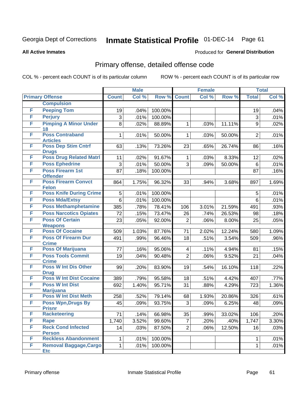## Inmate Statistical Profile 01-DEC-14 Page 61

Produced for General Distribution

### **All Active Inmates**

### Primary offense, detailed offense code

COL % - percent each COUNT is of its particular column

|   |                                                |                | <b>Male</b> |         |                         | <b>Female</b> |        |                | <b>Total</b> |
|---|------------------------------------------------|----------------|-------------|---------|-------------------------|---------------|--------|----------------|--------------|
|   | <b>Primary Offense</b>                         | <b>Count</b>   | Col %       | Row %   | <b>Count</b>            | Col %         | Row %  | <b>Total</b>   | Col %        |
|   | <b>Compulsion</b>                              |                |             |         |                         |               |        |                |              |
| F | <b>Peeping Tom</b>                             | 19             | .04%        | 100.00% |                         |               |        | 19             | .04%         |
| F | <b>Perjury</b>                                 | $\mathfrak{S}$ | .01%        | 100.00% |                         |               |        | 3              | .01%         |
| F | <b>Pimping A Minor Under</b>                   | 8              | .02%        | 88.89%  | 1                       | .03%          | 11.11% | 9              | .02%         |
|   | 18                                             |                |             |         |                         |               |        |                |              |
| F | <b>Poss Contraband</b><br><b>Articles</b>      | 1              | .01%        | 50.00%  | 1                       | .03%          | 50.00% | $\overline{2}$ | .01%         |
| F | <b>Poss Dep Stim Cntrf</b>                     | 63             | .13%        | 73.26%  | 23                      | .65%          | 26.74% | 86             | .16%         |
| F | <b>Drugs</b><br><b>Poss Drug Related Matri</b> | 11             | .02%        | 91.67%  | $\mathbf 1$             | .03%          | 8.33%  | 12             | .02%         |
| F | <b>Poss Ephedrine</b>                          | $\mathfrak{S}$ | .01%        | 50.00%  | $\overline{3}$          | .09%          | 50.00% | 6              | .01%         |
| F | <b>Poss Firearm 1st</b>                        | 87             |             |         |                         |               |        |                |              |
|   | <b>Offender</b>                                |                | .18%        | 100.00% |                         |               |        | 87             | .16%         |
| F | <b>Poss Firearm Convct</b><br><b>Felon</b>     | 864            | 1.75%       | 96.32%  | 33                      | .94%          | 3.68%  | 897            | 1.69%        |
| F | <b>Poss Knife During Crime</b>                 | 5              | .01%        | 100.00% |                         |               |        | 5              | .01%         |
| F | <b>Poss Mda/Extsy</b>                          | $6\phantom{1}$ | .01%        | 100.00% |                         |               |        | 6              | .01%         |
| F | <b>Poss Methamphetamine</b>                    | 385            | .78%        | 78.41%  | 106                     | 3.01%         | 21.59% | 491            | .93%         |
| F | <b>Poss Narcotics Opiates</b>                  | 72             | .15%        | 73.47%  | 26                      | .74%          | 26.53% | 98             | .18%         |
| F | <b>Poss Of Certain</b>                         | 23             | .05%        | 92.00%  | $\overline{2}$          | .06%          | 8.00%  | 25             | .05%         |
|   | <b>Weapons</b>                                 |                |             |         |                         |               |        |                |              |
| F | <b>Poss Of Cocaine</b>                         | 509            | 1.03%       | 87.76%  | 71                      | 2.02%         | 12.24% | 580            | 1.09%        |
| F | <b>Poss Of Firearm Dur</b><br><b>Crime</b>     | 491            | .99%        | 96.46%  | 18                      | .51%          | 3.54%  | 509            | .96%         |
| F | <b>Poss Of Marijuana</b>                       | 77             | .16%        | 95.06%  | $\overline{\mathbf{4}}$ | .11%          | 4.94%  | 81             | .15%         |
| F | <b>Poss Tools Commit</b><br><b>Crime</b>       | 19             | .04%        | 90.48%  | $\overline{2}$          | .06%          | 9.52%  | 21             | .04%         |
| F | <b>Poss W Int Dis Other</b><br><b>Drug</b>     | 99             | .20%        | 83.90%  | 19                      | .54%          | 16.10% | 118            | .22%         |
| F | <b>Poss W Int Dist Cocaine</b>                 | 389            | .79%        | 95.58%  | 18                      | .51%          | 4.42%  | 407            | .77%         |
| F | <b>Poss W Int Dist</b>                         | 692            | 1.40%       | 95.71%  | 31                      | .88%          | 4.29%  | 723            | 1.36%        |
|   | <b>Marijuana</b>                               |                |             |         |                         |               |        |                |              |
| F | <b>Poss W Int Dist Meth</b>                    | 258            | .52%        | 79.14%  | 68                      | 1.93%         | 20.86% | 326            | .61%         |
| F | <b>Poss Wpn, Drugs By</b><br><b>Prisnr</b>     | 45             | .09%        | 93.75%  | 3                       | .09%          | 6.25%  | 48             | .09%         |
| F | <b>Racketeering</b>                            | 71             | .14%        | 66.98%  | 35                      | .99%          | 33.02% | 106            | .20%         |
| F | Rape                                           | 1,740          | 3.52%       | 99.60%  | $\overline{7}$          | .20%          | .40%   | 1,747          | 3.30%        |
| F | <b>Reck Cond Infected</b>                      | 14             | .03%        | 87.50%  | $\overline{2}$          | .06%          | 12.50% | 16             | .03%         |
|   | <b>Person</b>                                  |                |             |         |                         |               |        |                |              |
| F | <b>Reckless Abandonment</b>                    | 1              | .01%        | 100.00% |                         |               |        | 1              | .01%         |
| F | <b>Removal Baggage, Cargo</b>                  | 1              | .01%        | 100.00% |                         |               |        | 1              | .01%         |
|   | <b>Etc</b>                                     |                |             |         |                         |               |        |                |              |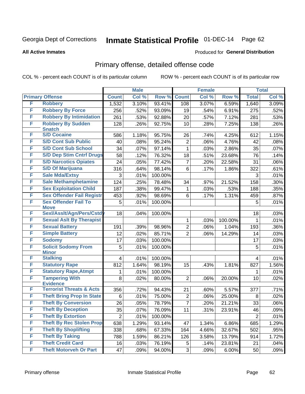# Inmate Statistical Profile 01-DEC-14 Page 62

### **All Active Inmates**

### **Produced for General Distribution**

## Primary offense, detailed offense code

COL % - percent each COUNT is of its particular column

|   |                                                        |                 | <b>Male</b> |         |                 | <b>Female</b> |         |                | <b>Total</b> |
|---|--------------------------------------------------------|-----------------|-------------|---------|-----------------|---------------|---------|----------------|--------------|
|   | <b>Primary Offense</b>                                 | <b>Count</b>    | Col %       | Row %   | <b>Count</b>    | Col %         | Row %   | <b>Total</b>   | Col %        |
| F | <b>Robbery</b>                                         | 1,532           | 3.10%       | 93.41%  | 108             | 3.07%         | 6.59%   | 1,640          | 3.09%        |
| F | <b>Robbery By Force</b>                                | 256             | .52%        | 93.09%  | 19              | .54%          | 6.91%   | 275            | .52%         |
| F | <b>Robbery By Intimidation</b>                         | 261             | .53%        | 92.88%  | 20              | .57%          | 7.12%   | 281            | .53%         |
| F | <b>Robbery By Sudden</b>                               | 128             | .26%        | 92.75%  | 10              | .28%          | 7.25%   | 138            | .26%         |
|   | <b>Snatch</b>                                          |                 |             |         |                 |               |         |                |              |
| F | <b>S/D Cocaine</b>                                     | 586             | 1.18%       | 95.75%  | 26              | .74%          | 4.25%   | 612            | 1.15%        |
| F | <b>S/D Cont Sub Public</b>                             | 40              | .08%        | 95.24%  | $\overline{2}$  | .06%          | 4.76%   | 42             | .08%         |
| F | <b>S/D Cont Sub School</b>                             | 34              | .07%        | 97.14%  | 1               | .03%          | 2.86%   | 35             | .07%         |
| F | <b>S/D Dep Stim Cntrf Drugs</b>                        | 58              | .12%        | 76.32%  | 18              | .51%          | 23.68%  | 76             | .14%         |
| F | <b>S/D Narcotics Opiates</b>                           | 24              | .05%        | 77.42%  | 7               | .20%          | 22.58%  | 31             | .06%         |
| F | <b>S/D Of Marijuana</b>                                | 316             | .64%        | 98.14%  | $6\phantom{1}6$ | .17%          | 1.86%   | 322            | .61%         |
| F | <b>Sale Mda/Extsy</b>                                  | 3               | .01%        | 100.00% |                 |               |         | 3              | .01%         |
| F | <b>Sale Methamphetamine</b>                            | 124             | .25%        | 78.48%  | 34              | .97%          | 21.52%  | 158            | .30%         |
| F | <b>Sex Exploitation Child</b>                          | 187             | .38%        | 99.47%  | 1               | .03%          | .53%    | 188            | .35%         |
| F | <b>Sex Offender Fail Registr</b>                       | 453             | .92%        | 98.69%  | 6               | .17%          | 1.31%   | 459            | .87%         |
| F | <b>Sex Offender Fail To</b>                            | 5               | .01%        | 100.00% |                 |               |         | 5              | .01%         |
| F | <b>Move</b><br>Sexl/Asslt/Agn/Pers/Cstd                | 18              | .04%        | 100.00% |                 |               |         | 18             | .03%         |
| F | <b>Sexual Aslt By Therapist</b>                        |                 |             |         | 1               | .03%          | 100.00% | $\mathbf{1}$   | .01%         |
| F | <b>Sexual Battery</b>                                  | 191             | .39%        | 98.96%  | $\overline{2}$  | .06%          | 1.04%   | 193            | .36%         |
| F | <b>Simple Battery</b>                                  | 12              | .02%        | 85.71%  | $\overline{2}$  | .06%          | 14.29%  | 14             | .03%         |
| F | <b>Sodomy</b>                                          | 17              | .03%        | 100.00% |                 |               |         | 17             | .03%         |
| F | <b>Solicit Sodomy From</b>                             | 5               | .01%        | 100.00% |                 |               |         | 5              | .01%         |
|   | <b>Minor</b>                                           |                 |             |         |                 |               |         |                |              |
| F | <b>Stalking</b>                                        | 4               | .01%        | 100.00% |                 |               |         | 4              | .01%         |
| F | <b>Statutory Rape</b>                                  | 812             | 1.64%       | 98.19%  | 15              | .43%          | 1.81%   | 827            | 1.56%        |
| F | <b>Statutory Rape, Atmpt</b>                           | 1               | .01%        | 100.00% |                 |               |         | 1              | .01%         |
| F | <b>Tampering With</b>                                  | 8               | .02%        | 80.00%  | $\overline{2}$  | .06%          | 20.00%  | 10             | .02%         |
| F | <b>Evidence</b><br><b>Terrorist Threats &amp; Acts</b> | 356             | .72%        | 94.43%  | 21              | .60%          | 5.57%   | 377            | .71%         |
| F | <b>Theft Bring Prop In State</b>                       | 6               | .01%        | 75.00%  | $\overline{2}$  | .06%          | 25.00%  | 8              | .02%         |
| F | <b>Theft By Conversion</b>                             | 26              | .05%        | 78.79%  | 7               | .20%          | 21.21%  | 33             | .06%         |
| F | <b>Theft By Deception</b>                              | $\overline{35}$ | .07%        | 76.09%  | $\overline{11}$ | .31%          | 23.91%  | 46             | .09%         |
| F | <b>Theft By Extortion</b>                              | $\overline{2}$  | .01%        | 100.00% |                 |               |         | $\overline{2}$ | .01%         |
| F | <b>Theft By Rec Stolen Prop</b>                        | 638             | 1.29%       | 93.14%  | 47              | 1.34%         | 6.86%   | 685            | 1.29%        |
| F | <b>Theft By Shoplifting</b>                            | 338             | .68%        | 67.33%  | 164             | 4.66%         | 32.67%  | 502            | .95%         |
| F | <b>Theft By Taking</b>                                 | 788             | 1.59%       | 86.21%  | 126             | 3.58%         | 13.79%  | 914            | 1.72%        |
| F | <b>Theft Credit Card</b>                               | 16              | .03%        | 76.19%  | 5               | .14%          | 23.81%  | 21             | .04%         |
| F | <b>Theft Motorveh Or Part</b>                          | 47              | .09%        | 94.00%  | 3               | .09%          | 6.00%   | 50             | .09%         |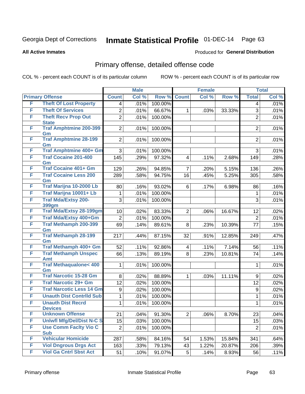# Inmate Statistical Profile 01-DEC-14 Page 63

### **All Active Inmates**

### Produced for General Distribution

## Primary offense, detailed offense code

COL % - percent each COUNT is of its particular column

|   |                                            |                  | <b>Male</b> |         | <b>Female</b>  |       |        | <b>Total</b>   |       |
|---|--------------------------------------------|------------------|-------------|---------|----------------|-------|--------|----------------|-------|
|   | <b>Primary Offense</b>                     | <b>Count</b>     | Col %       | Row %   | <b>Count</b>   | Col % | Row %  | <b>Total</b>   | Col % |
| F | <b>Theft Of Lost Property</b>              | 4                | .01%        | 100.00% |                |       |        | 4              | .01%  |
| F | <b>Theft Of Services</b>                   | $\overline{2}$   | .01%        | 66.67%  | 1              | .03%  | 33.33% | 3              | .01%  |
| F | <b>Theft Recv Prop Out</b>                 | $\overline{2}$   | .01%        | 100.00% |                |       |        | $\overline{2}$ | .01%  |
|   | <b>State</b>                               |                  |             |         |                |       |        |                |       |
| F | <b>Traf Amphtmine 200-399</b><br>Gm        | $\overline{2}$   | .01%        | 100.00% |                |       |        | $\overline{2}$ | .01%  |
| F | <b>Traf Amphtmine 28-199</b>               | $\overline{2}$   | .01%        | 100.00% |                |       |        | $\overline{2}$ | .01%  |
|   | Gm                                         |                  |             |         |                |       |        |                |       |
| F | <b>Traf Amphtmine 400+ Gm</b>              | 3                | .01%        | 100.00% |                |       |        | 3              | .01%  |
| F | <b>Traf Cocaine 201-400</b>                | 145              | .29%        | 97.32%  | 4              | .11%  | 2.68%  | 149            | .28%  |
|   | Gm                                         |                  |             |         |                |       |        |                |       |
| F | <b>Traf Cocaine 401+ Gm</b>                | 129              | .26%        | 94.85%  | 7              | .20%  | 5.15%  | 136            | .26%  |
| F | <b>Traf Cocaine Less 200</b>               | 289              | .58%        | 94.75%  | 16             | .45%  | 5.25%  | 305            | .58%  |
| F | Gm<br>Traf Marijna 10-2000 Lb              | 80               | .16%        | 93.02%  | 6              | .17%  | 6.98%  | 86             | .16%  |
| F | Traf Marijna 10001+ Lb                     | 1                | .01%        | 100.00% |                |       |        | 1              | .01%  |
| F | <b>Traf Mda/Extsy 200-</b>                 |                  |             |         |                |       |        |                |       |
|   | <b>399gm</b>                               | 3                | .01%        | 100.00% |                |       |        | 3              | .01%  |
| F | <b>Traf Mda/Extsy 28-199gm</b>             | 10               | .02%        | 83.33%  | 2              | .06%  | 16.67% | 12             | .02%  |
| F | Traf Mda/Extsy 400+Gm                      | $\overline{2}$   | .01%        | 100.00% |                |       |        | $\overline{2}$ | .01%  |
| F | <b>Traf Methamph 200-399</b>               | 69               | .14%        | 89.61%  | 8              | .23%  | 10.39% | 77             | .15%  |
|   | Gm                                         |                  |             |         |                |       |        |                |       |
| F | <b>Traf Methamph 28-199</b>                | 217              | .44%        | 87.15%  | 32             | .91%  | 12.85% | 249            | .47%  |
|   | Gm                                         |                  |             |         |                |       |        |                |       |
| F | Traf Methamph 400+ Gm                      | 52               | .11%        | 92.86%  | 4              | .11%  | 7.14%  | 56             | .11%  |
| F | <b>Traf Methamph Unspec</b><br><b>Amt</b>  | 66               | .13%        | 89.19%  | 8              | .23%  | 10.81% | 74             | .14%  |
| F | <b>Traf Methaqualone&lt; 400</b>           | 1                | .01%        | 100.00% |                |       |        | 1              | .01%  |
|   | Gm                                         |                  |             |         |                |       |        |                |       |
| F | <b>Traf Narcotic 15-28 Gm</b>              | 8                | .02%        | 88.89%  | 1              | .03%  | 11.11% | 9              | .02%  |
| F | <b>Traf Narcotic 29+ Gm</b>                | 12               | .02%        | 100.00% |                |       |        | 12             | .02%  |
| F | <b>Traf Narcotic Less 14 Gm</b>            | $\boldsymbol{9}$ | .02%        | 100.00% |                |       |        | 9              | .02%  |
| F | <b>Unauth Dist Contrild Sub</b>            | 1                | .01%        | 100.00% |                |       |        | 1              | .01%  |
| F | <b>Unauth Dist Recrd</b>                   | 1                | .01%        | 100.00% |                |       |        | 1              | .01%  |
|   | <b>Devices</b>                             |                  |             |         |                |       |        |                |       |
| F | <b>Unknown Offense</b>                     | 21               | .04%        | 91.30%  | $\overline{2}$ | .06%  | 8.70%  | 23             | .04%  |
| F | <b>Uniwfl Mfg/Del/Dist N-C S</b>           | 15               | .03%        | 100.00% |                |       |        | 15             | .03%  |
| F | <b>Use Comm Facity Vio C</b><br><b>Sub</b> | $\overline{2}$   | .01%        | 100.00% |                |       |        | $\overline{2}$ | .01%  |
| F | <b>Vehicular Homicide</b>                  | 287              | .58%        | 84.16%  | 54             | 1.53% | 15.84% | 341            | .64%  |
| F | <b>Viol Dngrous Drgs Act</b>               | 163              | .33%        | 79.13%  | 43             | 1.22% | 20.87% | 206            | .39%  |
| F | <b>Viol Ga Cntrl Sbst Act</b>              | 51               |             | 91.07%  |                |       | 8.93%  |                |       |
|   |                                            |                  | .10%        |         | 5              | .14%  |        | 56             | .11%  |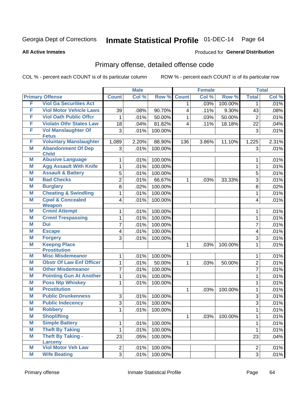# Inmate Statistical Profile 01-DEC-14 Page 64

### **All Active Inmates**

### Produced for General Distribution

## Primary offense, detailed offense code

COL % - percent each COUNT is of its particular column

|   |                                            |                | <b>Male</b> |         |              | <b>Female</b> |         |                | <b>Total</b> |
|---|--------------------------------------------|----------------|-------------|---------|--------------|---------------|---------|----------------|--------------|
|   | <b>Primary Offense</b>                     | <b>Count</b>   | Col %       | Row %   | <b>Count</b> | Col %         | Row %   | <b>Total</b>   | Col %        |
| F | <b>Viol Ga Securities Act</b>              |                |             |         | 1.           | .03%          | 100.00% | $\mathbf 1$    | .01%         |
| F | <b>Viol Motor Vehicle Laws</b>             | 39             | .08%        | 90.70%  | 4            | .11%          | 9.30%   | 43             | .08%         |
| F | <b>Viol Oath Public Offcr</b>              | 1              | .01%        | 50.00%  | 1            | .03%          | 50.00%  | $\overline{2}$ | .01%         |
| F | <b>Violatn Othr States Law</b>             | 18             | .04%        | 81.82%  | 4            | .11%          | 18.18%  | 22             | .04%         |
| F | <b>Vol Manslaughter Of</b>                 | 3              | .01%        | 100.00% |              |               |         | 3              | .01%         |
|   | <b>Fetus</b>                               |                |             |         |              |               |         |                |              |
| F | <b>Voluntary Manslaughter</b>              | 1,089          | 2.20%       | 88.90%  | 136          | 3.86%         | 11.10%  | 1,225          | 2.31%        |
| M | <b>Abandonment Of Dep</b><br><b>Child</b>  | 3              | .01%        | 100.00% |              |               |         | 3              | .01%         |
| M | <b>Abusive Language</b>                    | 1              | .01%        | 100.00% |              |               |         | 1              | .01%         |
| М | <b>Agg Assault With Knife</b>              | 1              | .01%        | 100.00% |              |               |         | $\mathbf{1}$   | .01%         |
| M | <b>Assault &amp; Battery</b>               | 5              | .01%        | 100.00% |              |               |         | 5              | .01%         |
| M | <b>Bad Checks</b>                          | $\overline{2}$ | .01%        | 66.67%  | 1            | .03%          | 33.33%  | 3              | .01%         |
| M | <b>Burglary</b>                            | 8              | .02%        | 100.00% |              |               |         | 8              | .02%         |
| M | <b>Cheating &amp; Swindling</b>            | 1              | .01%        | 100.00% |              |               |         | 1              | .01%         |
| M | <b>Cpwl &amp; Concealed</b>                | 4              | .01%        | 100.00% |              |               |         | 4              | .01%         |
|   | <b>Weapon</b>                              |                |             |         |              |               |         |                |              |
| М | <b>Crmnl Attempt</b>                       | 1              | .01%        | 100.00% |              |               |         | 1              | .01%         |
| M | <b>Crmnl Trespassing</b>                   | 1              | .01%        | 100.00% |              |               |         | $\mathbf{1}$   | .01%         |
| М | <b>Dui</b>                                 | 7              | .01%        | 100.00% |              |               |         | $\overline{7}$ | .01%         |
| M | <b>Escape</b>                              | 4              | .01%        | 100.00% |              |               |         | 4              | .01%         |
| M | <b>Forgery</b>                             | 3              | .01%        | 100.00% |              |               |         | $\overline{3}$ | .01%         |
| M | <b>Keepng Place</b><br><b>Prostitution</b> |                |             |         | 1            | .03%          | 100.00% | 1              | .01%         |
| M | <b>Misc Misdemeanor</b>                    | 1              | .01%        | 100.00% |              |               |         | 1              | .01%         |
| M | <b>Obstr Of Law Enf Officer</b>            | 1              | .01%        | 50.00%  | 1            | .03%          | 50.00%  | $\overline{2}$ | .01%         |
| M | <b>Other Misdemeanor</b>                   | 7              | .01%        | 100.00% |              |               |         | $\overline{7}$ | .01%         |
| M | <b>Pointing Gun At Another</b>             | 1              | .01%        | 100.00% |              |               |         | 1              | .01%         |
| M | <b>Poss Ntp Whiskey</b>                    | 1              | .01%        | 100.00% |              |               |         | 1              | .01%         |
| M | <b>Prostitution</b>                        |                |             |         | 1            | .03%          | 100.00% | 1              | .01%         |
| M | <b>Public Drunkenness</b>                  | 3              | .01%        | 100.00% |              |               |         | 3              | .01%         |
| M | <b>Public Indecency</b>                    | 3              | .01%        | 100.00% |              |               |         | 3              | .01%         |
| M | <b>Robbery</b>                             | $\mathbf 1$    | .01%        | 100.00% |              |               |         | $\mathbf 1$    | .01%         |
| M | <b>Shoplifting</b>                         |                |             |         | 1            | .03%          | 100.00% | 1              | .01%         |
| M | <b>Simple Battery</b>                      | 1              | .01%        | 100.00% |              |               |         | 1              | .01%         |
| M | <b>Theft By Taking</b>                     | 1              | .01%        | 100.00% |              |               |         | $\mathbf{1}$   | .01%         |
| M | <b>Theft By Taking -</b>                   | 23             | .05%        | 100.00% |              |               |         | 23             | .04%         |
|   | <b>Larceny</b>                             |                |             |         |              |               |         |                |              |
| M | <b>Viol Motor Veh Law</b>                  | $\overline{2}$ | .01%        | 100.00% |              |               |         | $\overline{2}$ | .01%         |
| M | <b>Wife Beating</b>                        | 3              | .01%        | 100.00% |              |               |         | 3              | .01%         |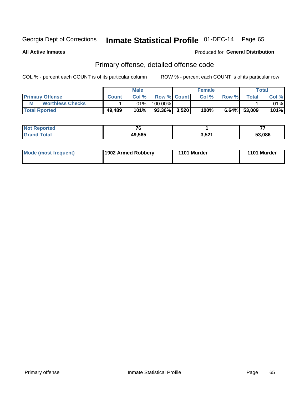## Inmate Statistical Profile 01-DEC-14 Page 65

**All Active Inmates** 

### Produced for General Distribution

## Primary offense, detailed offense code

COL % - percent each COUNT is of its particular column

|                              |              | <b>Male</b> |                    |       | <b>Female</b> |       |              | <b>Total</b> |
|------------------------------|--------------|-------------|--------------------|-------|---------------|-------|--------------|--------------|
| <b>Primary Offense</b>       | <b>Count</b> | Col%        | <b>Row % Count</b> |       | Col %         | Row % | <b>Total</b> | Col %        |
| М<br><b>Worthless Checks</b> |              | .01%        | 100.00%            |       |               |       |              | $.01\%$      |
| <b>Total Rported</b>         | 49,489       | 101%        | 93.36%             | 3,520 | 100%          | 6.64% | 53,009       | 101%         |

| <b>Reported</b><br>NO | $\mathbf{z}$ |       | --     |
|-----------------------|--------------|-------|--------|
|                       | 49,565<br>дч | 3,521 | 53,086 |

| Mode (most frequent) | 1902 Armed Robbery | 1101 Murder | 1101 Murder |
|----------------------|--------------------|-------------|-------------|
|----------------------|--------------------|-------------|-------------|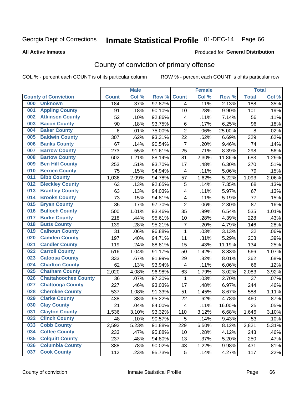# Inmate Statistical Profile 01-DEC-14 Page 66

### **All Active Inmates**

### Produced for General Distribution

## County of conviction of primary offense

COL % - percent each COUNT is of its particular column

|     |                             |              | <b>Male</b> |        |                          | <b>Female</b> |        |              | <b>Total</b> |
|-----|-----------------------------|--------------|-------------|--------|--------------------------|---------------|--------|--------------|--------------|
|     | <b>County of Conviction</b> | <b>Count</b> | Col %       | Row %  | <b>Count</b>             | Col %         | Row %  | <b>Total</b> | Col %        |
| 000 | <b>Unknown</b>              | 184          | .37%        | 97.87% | 4                        | .11%          | 2.13%  | 188          | .35%         |
| 001 | <b>Appling County</b>       | 91           | .18%        | 90.10% | 10                       | .28%          | 9.90%  | 101          | .19%         |
| 002 | <b>Atkinson County</b>      | 52           | .10%        | 92.86% | $\overline{\mathbf{4}}$  | .11%          | 7.14%  | 56           | .11%         |
| 003 | <b>Bacon County</b>         | 90           | .18%        | 93.75% | 6                        | .17%          | 6.25%  | 96           | .18%         |
| 004 | <b>Baker County</b>         | 6            | .01%        | 75.00% | $\overline{2}$           | .06%          | 25.00% | 8            | .02%         |
| 005 | <b>Baldwin County</b>       | 307          | .62%        | 93.31% | 22                       | .62%          | 6.69%  | 329          | .62%         |
| 006 | <b>Banks County</b>         | 67           | .14%        | 90.54% | $\overline{7}$           | .20%          | 9.46%  | 74           | .14%         |
| 007 | <b>Barrow County</b>        | 273          | .55%        | 91.61% | 25                       | .71%          | 8.39%  | 298          | .56%         |
| 008 | <b>Bartow County</b>        | 602          | 1.21%       | 88.14% | 81                       | 2.30%         | 11.86% | 683          | 1.29%        |
| 009 | <b>Ben Hill County</b>      | 253          | .51%        | 93.70% | 17                       | .48%          | 6.30%  | 270          | .51%         |
| 010 | <b>Berrien County</b>       | 75           | .15%        | 94.94% | $\overline{\mathbf{4}}$  | .11%          | 5.06%  | 79           | .15%         |
| 011 | <b>Bibb County</b>          | 1,036        | 2.09%       | 94.78% | 57                       | 1.62%         | 5.22%  | 1,093        | 2.06%        |
| 012 | <b>Bleckley County</b>      | 63           | .13%        | 92.65% | 5                        | .14%          | 7.35%  | 68           | .13%         |
| 013 | <b>Brantley County</b>      | 63           | .13%        | 94.03% | 4                        | .11%          | 5.97%  | 67           | .13%         |
| 014 | <b>Brooks County</b>        | 73           | .15%        | 94.81% | 4                        | .11%          | 5.19%  | 77           | .15%         |
| 015 | <b>Bryan County</b>         | 85           | .17%        | 97.70% | $\overline{2}$           | .06%          | 2.30%  | 87           | .16%         |
| 016 | <b>Bulloch County</b>       | 500          | 1.01%       | 93.46% | 35                       | .99%          | 6.54%  | 535          | 1.01%        |
| 017 | <b>Burke County</b>         | 218          | .44%        | 95.61% | 10                       | .28%          | 4.39%  | 228          | .43%         |
| 018 | <b>Butts County</b>         | 139          | .28%        | 95.21% | $\overline{7}$           | .20%          | 4.79%  | 146          | .28%         |
| 019 | <b>Calhoun County</b>       | 31           | .06%        | 96.88% | $\mathbf{1}$             | .03%          | 3.13%  | 32           | .06%         |
| 020 | <b>Camden County</b>        | 197          | .40%        | 94.71% | 11                       | .31%          | 5.29%  | 208          | .39%         |
| 021 | <b>Candler County</b>       | 119          | .24%        | 88.81% | 15                       | .43%          | 11.19% | 134          | .25%         |
| 022 | <b>Carroll County</b>       | 516          | 1.04%       | 91.17% | 50                       | 1.42%         | 8.83%  | 566          | 1.07%        |
| 023 | <b>Catoosa County</b>       | 333          | .67%        | 91.99% | 29                       | .82%          | 8.01%  | 362          | .68%         |
| 024 | <b>Charlton County</b>      | 62           | .13%        | 93.94% | 4                        | .11%          | 6.06%  | 66           | .12%         |
| 025 | <b>Chatham County</b>       | 2,020        | 4.08%       | 96.98% | 63                       | 1.79%         | 3.02%  | 2,083        | 3.92%        |
| 026 | <b>Chattahoochee County</b> | 36           | .07%        | 97.30% | 1                        | .03%          | 2.70%  | 37           | .07%         |
| 027 | <b>Chattooga County</b>     | 227          | .46%        | 93.03% | 17                       | .48%          | 6.97%  | 244          | .46%         |
| 028 | <b>Cherokee County</b>      | 537          | 1.08%       | 91.33% | 51                       | 1.45%         | 8.67%  | 588          | 1.11%        |
| 029 | <b>Clarke County</b>        | 438          | .88%        | 95.22% | 22                       | .62%          | 4.78%  | 460          | .87%         |
| 030 | <b>Clay County</b>          | 21           | .04%        | 84.00% | $\overline{\mathcal{A}}$ | .11%          | 16.00% | 25           | .05%         |
| 031 | <b>Clayton County</b>       | 1,536        | 3.10%       | 93.32% | 110                      | 3.12%         | 6.68%  | 1,646        | 3.10%        |
| 032 | <b>Clinch County</b>        | 48           | .10%        | 90.57% | 5                        | .14%          | 9.43%  | 53           | .10%         |
| 033 | <b>Cobb County</b>          | 2,592        | 5.23%       | 91.88% | 229                      | 6.50%         | 8.12%  | 2,821        | 5.31%        |
| 034 | <b>Coffee County</b>        | 233          | .47%        | 95.88% | 10                       | .28%          | 4.12%  | 243          | .46%         |
| 035 | <b>Colquitt County</b>      | 237          | .48%        | 94.80% | 13                       | .37%          | 5.20%  | 250          | .47%         |
| 036 | <b>Columbia County</b>      | 388          | .78%        | 90.02% | 43                       | 1.22%         | 9.98%  | 431          | .81%         |
| 037 | <b>Cook County</b>          | 112          | .23%        | 95.73% | 5                        | .14%          | 4.27%  | 117          | .22%         |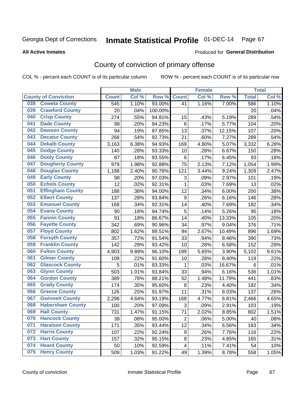# Inmate Statistical Profile 01-DEC-14 Page 67

**All Active Inmates** 

### Produced for General Distribution

## County of conviction of primary offense

COL % - percent each COUNT is of its particular column

|                                |              | <b>Male</b> |         |                           | <b>Female</b> |        |              | <b>Total</b> |
|--------------------------------|--------------|-------------|---------|---------------------------|---------------|--------|--------------|--------------|
| <b>County of Conviction</b>    | <b>Count</b> | Col %       | Row %   | <b>Count</b>              | Col %         | Row %  | <b>Total</b> | Col %        |
| <b>Coweta County</b><br>038    | 545          | 1.10%       | 93.00%  | 41                        | 1.16%         | 7.00%  | 586          | 1.10%        |
| <b>Crawford County</b><br>039  | 20           | .04%        | 100.00% |                           |               |        | 20           | .04%         |
| <b>Crisp County</b><br>040     | 274          | .55%        | 94.81%  | 15                        | .43%          | 5.19%  | 289          | .54%         |
| <b>Dade County</b><br>041      | 98           | .20%        | 94.23%  | $\,6$                     | .17%          | 5.77%  | 104          | .20%         |
| 042<br><b>Dawson County</b>    | 94           | .19%        | 87.85%  | 13                        | .37%          | 12.15% | 107          | .20%         |
| 043<br><b>Decatur County</b>   | 268          | .54%        | 92.73%  | 21                        | .60%          | 7.27%  | 289          | .54%         |
| <b>Dekalb County</b><br>044    | 3,163        | 6.38%       | 94.93%  | 169                       | 4.80%         | 5.07%  | 3,332        | 6.28%        |
| <b>Dodge County</b><br>045     | 140          | .28%        | 93.33%  | 10                        | .28%          | 6.67%  | 150          | .28%         |
| 046<br><b>Dooly County</b>     | 87           | .18%        | 93.55%  | 6                         | .17%          | 6.45%  | 93           | .18%         |
| <b>Dougherty County</b><br>047 | 979          | 1.98%       | 92.88%  | 75                        | 2.13%         | 7.12%  | 1,054        | 1.99%        |
| <b>Douglas County</b><br>048   | 1,188        | 2.40%       | 90.76%  | 121                       | 3.44%         | 9.24%  | 1,309        | 2.47%        |
| <b>Early County</b><br>049     | 98           | .20%        | 97.03%  | $\ensuremath{\mathsf{3}}$ | .09%          | 2.97%  | 101          | .19%         |
| <b>Echols County</b><br>050    | 12           | .02%        | 92.31%  | $\mathbf{1}$              | .03%          | 7.69%  | 13           | .02%         |
| 051<br><b>Effingham County</b> | 188          | .38%        | 94.00%  | 12                        | .34%          | 6.00%  | 200          | .38%         |
| <b>Elbert County</b><br>052    | 137          | .28%        | 93.84%  | $\boldsymbol{9}$          | .26%          | 6.16%  | 146          | .28%         |
| <b>Emanuel County</b><br>053   | 168          | .34%        | 92.31%  | 14                        | .40%          | 7.69%  | 182          | .34%         |
| <b>Evans County</b><br>054     | 90           | .18%        | 94.74%  | 5                         | .14%          | 5.26%  | 95           | .18%         |
| <b>Fannin County</b><br>055    | 91           | .18%        | 86.67%  | 14                        | .40%          | 13.33% | 105          | .20%         |
| <b>Fayette County</b><br>056   | 342          | .69%        | 90.96%  | 34                        | .97%          | 9.04%  | 376          | .71%         |
| <b>Floyd County</b><br>057     | 802          | 1.62%       | 89.51%  | 94                        | 2.67%         | 10.49% | 896          | 1.69%        |
| <b>Forsyth County</b><br>058   | 357          | .72%        | 91.54%  | 33                        | .94%          | 8.46%  | 390          | .73%         |
| <b>Franklin County</b><br>059  | 142          | .29%        | 93.42%  | 10                        | .28%          | 6.58%  | 152          | .29%         |
| <b>Fulton County</b><br>060    | 4,903        | 9.89%       | 96.10%  | 199                       | 5.65%         | 3.90%  | 5,102        | 9.61%        |
| <b>Gilmer County</b><br>061    | 109          | .22%        | 91.60%  | 10                        | .28%          | 8.40%  | 119          | .22%         |
| 062<br><b>Glascock County</b>  | 5            | .01%        | 83.33%  | 1                         | .03%          | 16.67% | 6            | .01%         |
| <b>Glynn County</b><br>063     | 503          | 1.01%       | 93.84%  | 33                        | .94%          | 6.16%  | 536          | 1.01%        |
| <b>Gordon County</b><br>064    | 389          | .78%        | 88.21%  | 52                        | 1.48%         | 11.79% | 441          | .83%         |
| <b>Grady County</b><br>065     | 174          | .35%        | 95.60%  | 8                         | .23%          | 4.40%  | 182          | .34%         |
| <b>Greene County</b><br>066    | 126          | .25%        | 91.97%  | 11                        | .31%          | 8.03%  | 137          | $.26\%$      |
| <b>Gwinnett County</b><br>067  | 2,298        | 4.64%       | 93.19%  | 168                       | 4.77%         | 6.81%  | 2,466        | 4.65%        |
| <b>Habersham County</b><br>068 | 100          | .20%        | 97.09%  | 3                         | .09%          | 2.91%  | 103          | .19%         |
| 069<br><b>Hall County</b>      | 731          | 1.47%       | 91.15%  | 71                        | 2.02%         | 8.85%  | 802          | 1.51%        |
| <b>Hancock County</b><br>070   | 38           | .08%        | 95.00%  | $\overline{2}$            | .06%          | 5.00%  | 40           | .08%         |
| <b>Haralson County</b><br>071  | 171          | .35%        | 93.44%  | 12                        | .34%          | 6.56%  | 183          | .34%         |
| 072<br><b>Harris County</b>    | 107          | .22%        | 92.24%  | 9                         | .26%          | 7.76%  | 116          | .22%         |
| <b>Hart County</b><br>073      | 157          | .32%        | 95.15%  | 8                         | .23%          | 4.85%  | 165          | .31%         |
| <b>Heard County</b><br>074     | 50           | .10%        | 92.59%  | $\overline{4}$            | .11%          | 7.41%  | 54           | .10%         |
| <b>Henry County</b><br>075     | 509          | 1.03%       | 91.22%  | 49                        | 1.39%         | 8.78%  | 558          | 1.05%        |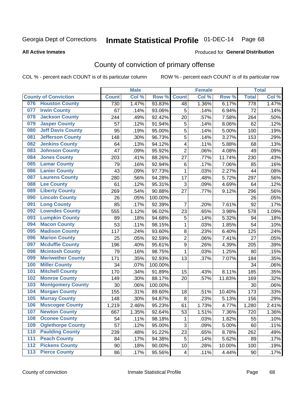# Inmate Statistical Profile 01-DEC-14 Page 68

### **All Active Inmates**

### Produced for General Distribution

## County of conviction of primary offense

COL % - percent each COUNT is of its particular column

|     |                             |              | <b>Male</b> |         |                         | <b>Female</b> |        |              | <b>Total</b> |
|-----|-----------------------------|--------------|-------------|---------|-------------------------|---------------|--------|--------------|--------------|
|     | <b>County of Conviction</b> | <b>Count</b> | Col %       | Row %   | <b>Count</b>            | Col %         | Row %  | <b>Total</b> | Col %        |
| 076 | <b>Houston County</b>       | 730          | 1.47%       | 93.83%  | 48                      | 1.36%         | 6.17%  | 778          | 1.47%        |
| 077 | <b>Irwin County</b>         | 67           | .14%        | 93.06%  | 5                       | .14%          | 6.94%  | 72           | .14%         |
| 078 | <b>Jackson County</b>       | 244          | .49%        | 92.42%  | 20                      | .57%          | 7.58%  | 264          | .50%         |
| 079 | <b>Jasper County</b>        | 57           | .12%        | 91.94%  | 5                       | .14%          | 8.06%  | 62           | .12%         |
| 080 | <b>Jeff Davis County</b>    | 95           | .19%        | 95.00%  | 5                       | .14%          | 5.00%  | 100          | .19%         |
| 081 | <b>Jefferson County</b>     | 148          | .30%        | 96.73%  | 5                       | .14%          | 3.27%  | 153          | .29%         |
| 082 | <b>Jenkins County</b>       | 64           | .13%        | 94.12%  | $\overline{\mathbf{4}}$ | .11%          | 5.88%  | 68           | .13%         |
| 083 | <b>Johnson County</b>       | 47           | .09%        | 95.92%  | $\overline{2}$          | .06%          | 4.08%  | 49           | .09%         |
| 084 | <b>Jones County</b>         | 203          | .41%        | 88.26%  | 27                      | .77%          | 11.74% | 230          | .43%         |
| 085 | <b>Lamar County</b>         | 79           | .16%        | 92.94%  | 6                       | .17%          | 7.06%  | 85           | .16%         |
| 086 | <b>Lanier County</b>        | 43           | .09%        | 97.73%  | 1                       | .03%          | 2.27%  | 44           | .08%         |
| 087 | <b>Laurens County</b>       | 280          | .56%        | 94.28%  | 17                      | .48%          | 5.72%  | 297          | .56%         |
| 088 | <b>Lee County</b>           | 61           | .12%        | 95.31%  | 3                       | .09%          | 4.69%  | 64           | .12%         |
| 089 | <b>Liberty County</b>       | 269          | .54%        | 90.88%  | 27                      | .77%          | 9.12%  | 296          | .56%         |
| 090 | <b>Lincoln County</b>       | 26           | .05%        | 100.00% |                         |               |        | 26           | .05%         |
| 091 | <b>Long County</b>          | 85           | .17%        | 92.39%  | 7                       | .20%          | 7.61%  | 92           | .17%         |
| 092 | <b>Lowndes County</b>       | 555          | 1.12%       | 96.02%  | 23                      | .65%          | 3.98%  | 578          | 1.09%        |
| 093 | <b>Lumpkin County</b>       | 89           | .18%        | 94.68%  | 5                       | .14%          | 5.32%  | 94           | .18%         |
| 094 | <b>Macon County</b>         | 53           | .11%        | 98.15%  | $\mathbf{1}$            | .03%          | 1.85%  | 54           | .10%         |
| 095 | <b>Madison County</b>       | 117          | .24%        | 93.60%  | 8                       | .23%          | 6.40%  | 125          | .24%         |
| 096 | <b>Marion County</b>        | 25           | .05%        | 92.59%  | $\overline{2}$          | .06%          | 7.41%  | 27           | .05%         |
| 097 | <b>Mcduffie County</b>      | 196          | .40%        | 95.61%  | $\boldsymbol{9}$        | .26%          | 4.39%  | 205          | .39%         |
| 098 | <b>Mcintosh County</b>      | 79           | .16%        | 98.75%  | $\mathbf{1}$            | .03%          | 1.25%  | 80           | .15%         |
| 099 | <b>Meriwether County</b>    | 171          | .35%        | 92.93%  | 13                      | .37%          | 7.07%  | 184          | .35%         |
| 100 | <b>Miller County</b>        | 34           | .07%        | 100.00% |                         |               |        | 34           | .06%         |
| 101 | <b>Mitchell County</b>      | 170          | .34%        | 91.89%  | 15                      | .43%          | 8.11%  | 185          | .35%         |
| 102 | <b>Monroe County</b>        | 149          | .30%        | 88.17%  | 20                      | .57%          | 11.83% | 169          | .32%         |
| 103 | <b>Montgomery County</b>    | 30           | .06%        | 100.00% |                         |               |        | 30           | .06%         |
| 104 | <b>Morgan County</b>        | 155          | .31%        | 89.60%  | 18                      | .51%          | 10.40% | 173          | .33%         |
| 105 | <b>Murray County</b>        | 148          | .30%        | 94.87%  | 8                       | .23%          | 5.13%  | 156          | .29%         |
| 106 | <b>Muscogee County</b>      | 1,219        | 2.46%       | 95.23%  | 61                      | 1.73%         | 4.77%  | 1,280        | 2.41%        |
| 107 | <b>Newton County</b>        | 667          | 1.35%       | 92.64%  | 53                      | 1.51%         | 7.36%  | 720          | 1.36%        |
| 108 | <b>Oconee County</b>        | 54           | .11%        | 98.18%  | 1                       | .03%          | 1.82%  | 55           | .10%         |
| 109 | <b>Oglethorpe County</b>    | 57           | .12%        | 95.00%  | 3                       | .09%          | 5.00%  | 60           | .11%         |
| 110 | <b>Paulding County</b>      | 239          | .48%        | 91.22%  | 23                      | .65%          | 8.78%  | 262          | .49%         |
| 111 | <b>Peach County</b>         | 84           | .17%        | 94.38%  | 5                       | .14%          | 5.62%  | 89           | .17%         |
| 112 | <b>Pickens County</b>       | 90           | .18%        | 90.00%  | 10                      | .28%          | 10.00% | 100          | .19%         |
| 113 | <b>Pierce County</b>        | 86           | .17%        | 95.56%  | 4                       | .11%          | 4.44%  | 90           | .17%         |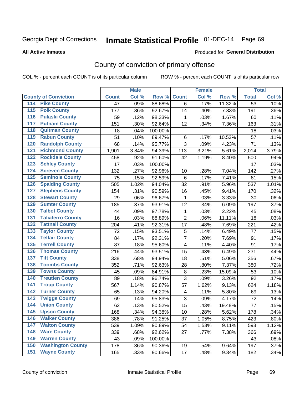# Inmate Statistical Profile 01-DEC-14 Page 69

### **All Active Inmates**

### Produced for General Distribution

## County of conviction of primary offense

COL % - percent each COUNT is of its particular column

|                                          |              | <b>Male</b> |         |                         | <b>Female</b> |        |                 | <b>Total</b> |
|------------------------------------------|--------------|-------------|---------|-------------------------|---------------|--------|-----------------|--------------|
| <b>County of Conviction</b>              | <b>Count</b> | Col %       | Row %   | <b>Count</b>            | Col %         | Row %  | <b>Total</b>    | Col %        |
| <b>Pike County</b><br>114                | 47           | .09%        | 88.68%  | 6                       | .17%          | 11.32% | $\overline{53}$ | .10%         |
| <b>Polk County</b><br>$\overline{115}$   | 177          | .36%        | 92.67%  | 14                      | .40%          | 7.33%  | 191             | .36%         |
| <b>Pulaski County</b><br>116             | 59           | .12%        | 98.33%  | 1                       | .03%          | 1.67%  | 60              | .11%         |
| <b>Putnam County</b><br>117              | 151          | .30%        | 92.64%  | 12                      | .34%          | 7.36%  | 163             | .31%         |
| <b>Quitman County</b><br>118             | 18           | .04%        | 100.00% |                         |               |        | 18              | .03%         |
| <b>Rabun County</b><br>119               | 51           | .10%        | 89.47%  | $\,6$                   | .17%          | 10.53% | 57              | .11%         |
| <b>Randolph County</b><br>120            | 68           | .14%        | 95.77%  | 3                       | .09%          | 4.23%  | 71              | .13%         |
| <b>Richmond County</b><br>121            | 1,901        | 3.84%       | 94.39%  | 113                     | 3.21%         | 5.61%  | 2,014           | 3.79%        |
| <b>Rockdale County</b><br>122            | 458          | .92%        | 91.60%  | 42                      | 1.19%         | 8.40%  | 500             | .94%         |
| <b>Schley County</b><br>123              | 17           | .03%        | 100.00% |                         |               |        | 17              | .03%         |
| <b>Screven County</b><br>124             | 132          | .27%        | 92.96%  | 10                      | .28%          | 7.04%  | 142             | .27%         |
| <b>Seminole County</b><br>125            | 75           | .15%        | 92.59%  | $\,6$                   | .17%          | 7.41%  | 81              | .15%         |
| <b>Spalding County</b><br>126            | 505          | 1.02%       | 94.04%  | 32                      | .91%          | 5.96%  | 537             | 1.01%        |
| <b>Stephens County</b><br>127            | 154          | .31%        | 90.59%  | 16                      | .45%          | 9.41%  | 170             | .32%         |
| <b>Stewart County</b><br>128             | 29           | .06%        | 96.67%  | 1                       | .03%          | 3.33%  | 30              | .06%         |
| <b>Sumter County</b><br>129              | 185          | .37%        | 93.91%  | 12                      | .34%          | 6.09%  | 197             | .37%         |
| <b>Talbot County</b><br>130              | 44           | .09%        | 97.78%  | $\mathbf{1}$            | .03%          | 2.22%  | 45              | .08%         |
| <b>Taliaferro County</b><br>131          | 16           | .03%        | 88.89%  | $\overline{2}$          | .06%          | 11.11% | 18              | .03%         |
| <b>Tattnall County</b><br>132            | 204          | .41%        | 92.31%  | 17                      | .48%          | 7.69%  | 221             | .42%         |
| <b>Taylor County</b><br>133              | 72           | .15%        | 93.51%  | 5                       | .14%          | 6.49%  | 77              | .15%         |
| <b>Telfair County</b><br>134             | 84           | .17%        | 92.31%  | $\overline{7}$          | .20%          | 7.69%  | 91              | .17%         |
| <b>Terrell County</b><br>135             | 87           | .18%        | 95.60%  | $\overline{\mathbf{4}}$ | .11%          | 4.40%  | 91              | .17%         |
| <b>Thomas County</b><br>136              | 216          | .44%        | 93.51%  | 15                      | .43%          | 6.49%  | 231             | .44%         |
| <b>Tift County</b><br>137                | 338          | .68%        | 94.94%  | 18                      | .51%          | 5.06%  | 356             | .67%         |
| <b>Toombs County</b><br>138              | 352          | .71%        | 92.63%  | 28                      | .80%          | 7.37%  | 380             | .72%         |
| <b>Towns County</b><br>139               | 45           | .09%        | 84.91%  | 8                       | .23%          | 15.09% | 53              | .10%         |
| <b>Treutlen County</b><br>140            | 89           | .18%        | 96.74%  | 3                       | .09%          | 3.26%  | 92              | .17%         |
| <b>Troup County</b><br>141               | 567          | 1.14%       | 90.87%  | 57                      | 1.62%         | 9.13%  | 624             | 1.18%        |
| <b>Turner County</b><br>142              | 65           | .13%        | 94.20%  | $\overline{\mathbf{4}}$ | .11%          | 5.80%  | 69              | .13%         |
| <b>Twiggs County</b><br>$\overline{143}$ | 69           | .14%        | 95.83%  | 3                       | .09%          | 4.17%  | 72              | .14%         |
| <b>Union County</b><br>144               | 62           | .13%        | 80.52%  | 15                      | .43%          | 19.48% | 77              | .15%         |
| 145<br><b>Upson County</b>               | 168          | .34%        | 94.38%  | 10                      | .28%          | 5.62%  | 178             | .34%         |
| <b>Walker County</b><br>146              | 386          | .78%        | 91.25%  | 37                      | 1.05%         | 8.75%  | 423             | .80%         |
| <b>Walton County</b><br>147              | 539          | 1.09%       | 90.89%  | 54                      | 1.53%         | 9.11%  | 593             | 1.12%        |
| <b>Ware County</b><br>148                | 339          | .68%        | 92.62%  | 27                      | .77%          | 7.38%  | 366             | .69%         |
| <b>Warren County</b><br>149              | 43           | .09%        | 100.00% |                         |               |        | 43              | .08%         |
| <b>Washington County</b><br>150          | 178          | .36%        | 90.36%  | 19                      | .54%          | 9.64%  | 197             | .37%         |
| <b>Wayne County</b><br>151               | 165          | .33%        | 90.66%  | 17                      | .48%          | 9.34%  | 182             | .34%         |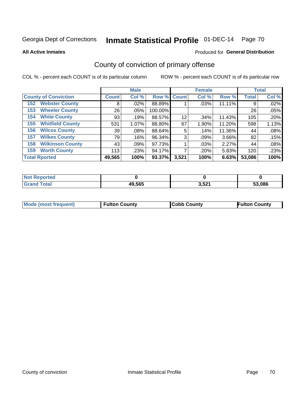# Inmate Statistical Profile 01-DEC-14 Page 70

**All Active Inmates** 

### Produced for General Distribution

## County of conviction of primary offense

COL % - percent each COUNT is of its particular column

|                                |              | <b>Male</b> |             |       | <b>Female</b> |        |              | <b>Total</b> |
|--------------------------------|--------------|-------------|-------------|-------|---------------|--------|--------------|--------------|
| <b>County of Conviction</b>    | <b>Count</b> | Col %       | Row % Count |       | Col %         | Row %  | <b>Total</b> | Col %        |
| <b>Webster County</b><br>152   | 8            | $.02\%$     | 88.89%      |       | .03%          | 11.11% | 9            | .02%         |
| <b>Wheeler County</b><br>153   | 26           | .05%        | 100.00%     |       |               |        | 26           | .05%         |
| <b>White County</b><br>154     | 93           | .19%        | 88.57%      | 12    | .34%          | 11.43% | 105          | .20%         |
| <b>Whitfield County</b><br>155 | 531          | 1.07%       | 88.80%      | 67    | 1.90%         | 11.20% | 598          | 1.13%        |
| <b>Wilcox County</b><br>156    | 39           | $.08\%$     | 88.64%      | 5     | .14%          | 11.36% | 44           | .08%         |
| <b>Wilkes County</b><br>157    | 79           | .16%        | 96.34%      | 3     | $.09\%$       | 3.66%  | 82           | .15%         |
| <b>Wilkinson County</b><br>158 | 43           | .09%        | 97.73%      |       | .03%          | 2.27%  | 44           | .08%         |
| <b>Worth County</b><br>159     | 113          | .23%        | 94.17%      |       | .20%          | 5.83%  | 120          | .23%         |
| <b>Total Rported</b>           | 49,565       | 100%        | 93.37%      | 3,521 | 100%          | 6.63%  | 53,086       | 100%         |

| <b>Not Reported</b> |        |       |        |
|---------------------|--------|-------|--------|
| <b>Total</b>        | 49,565 | 3,521 | 53.086 |

| Mode (most frequent) | <b>Fulton County</b> | <b>Cobb County</b> | <b>Fulton County</b> |
|----------------------|----------------------|--------------------|----------------------|
|                      |                      |                    |                      |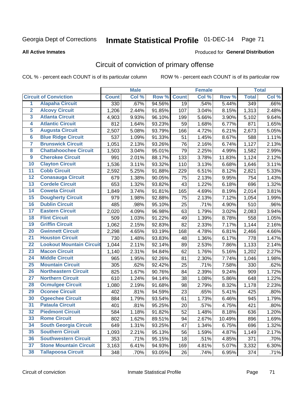# Inmate Statistical Profile 01-DEC-14 Page 71

### **All Active Inmates**

### Produced for General Distribution

## Circuit of conviction of primary offense

COL % - percent each COUNT is of its particular column

|                         |                                 |              | <b>Male</b> |        |              | <b>Female</b> |        |                  | <b>Total</b> |
|-------------------------|---------------------------------|--------------|-------------|--------|--------------|---------------|--------|------------------|--------------|
|                         | <b>Circuit of Conviction</b>    | <b>Count</b> | Col %       | Row %  | <b>Count</b> | Col %         | Row %  | <b>Total</b>     | Col %        |
| 1                       | <b>Alapaha Circuit</b>          | 330          | .67%        | 94.56% | 19           | .54%          | 5.44%  | $\overline{349}$ | $.66\%$      |
| $\overline{2}$          | <b>Alcovy Circuit</b>           | 1,206        | 2.44%       | 91.85% | 107          | 3.04%         | 8.15%  | 1,313            | 2.48%        |
| $\overline{\mathbf{3}}$ | <b>Atlanta Circuit</b>          | 4,903        | 9.93%       | 96.10% | 199          | 5.66%         | 3.90%  | 5,102            | 9.64%        |
| 4                       | <b>Atlantic Circuit</b>         | 812          | 1.64%       | 93.23% | 59           | 1.68%         | 6.77%  | 871              | 1.65%        |
| 5                       | <b>Augusta Circuit</b>          | 2,507        | 5.08%       | 93.79% | 166          | 4.72%         | 6.21%  | 2,673            | 5.05%        |
| $\overline{\mathbf{6}}$ | <b>Blue Ridge Circuit</b>       | 537          | 1.09%       | 91.33% | 51           | 1.45%         | 8.67%  | 588              | 1.11%        |
| $\overline{\mathbf{7}}$ | <b>Brunswick Circuit</b>        | 1,051        | 2.13%       | 93.26% | 76           | 2.16%         | 6.74%  | 1,127            | 2.13%        |
| 8                       | <b>Chattahoochee Circuit</b>    | 1,503        | 3.04%       | 95.01% | 79           | 2.25%         | 4.99%  | 1,582            | 2.99%        |
| $\overline{9}$          | <b>Cherokee Circuit</b>         | 991          | 2.01%       | 88.17% | 133          | 3.78%         | 11.83% | 1,124            | 2.12%        |
| 10                      | <b>Clayton Circuit</b>          | 1,536        | 3.11%       | 93.32% | 110          | 3.13%         | 6.68%  | 1,646            | 3.11%        |
| $\overline{11}$         | <b>Cobb Circuit</b>             | 2,592        | 5.25%       | 91.88% | 229          | 6.51%         | 8.12%  | 2,821            | 5.33%        |
| $\overline{12}$         | <b>Conasauga Circuit</b>        | 679          | 1.38%       | 90.05% | 75           | 2.13%         | 9.95%  | 754              | 1.43%        |
| 13                      | <b>Cordele Circuit</b>          | 653          | 1.32%       | 93.82% | 43           | 1.22%         | 6.18%  | 696              | 1.32%        |
| 14                      | <b>Coweta Circuit</b>           | 1,849        | 3.74%       | 91.81% | 165          | 4.69%         | 8.19%  | 2,014            | 3.81%        |
| 15                      | <b>Dougherty Circuit</b>        | 979          | 1.98%       | 92.88% | 75           | 2.13%         | 7.12%  | 1,054            | 1.99%        |
| 16                      | <b>Dublin Circuit</b>           | 485          | .98%        | 95.10% | 25           | .71%          | 4.90%  | 510              | .96%         |
| 17                      | <b>Eastern Circuit</b>          | 2,020        | 4.09%       | 96.98% | 63           | 1.79%         | 3.02%  | 2,083            | 3.94%        |
| 18                      | <b>Flint Circuit</b>            | 509          | 1.03%       | 91.22% | 49           | 1.39%         | 8.78%  | 558              | 1.05%        |
| 19                      | <b>Griffin Circuit</b>          | 1,062        | 2.15%       | 92.83% | 82           | 2.33%         | 7.17%  | 1,144            | 2.16%        |
| 20                      | <b>Gwinnett Circuit</b>         | 2,298        | 4.65%       | 93.19% | 168          | 4.78%         | 6.81%  | 2,466            | 4.66%        |
| $\overline{21}$         | <b>Houston Circuit</b>          | 730          | 1.48%       | 93.83% | 48           | 1.36%         | 6.17%  | 778              | 1.47%        |
| $\overline{22}$         | <b>Lookout Mountain Circuit</b> | 1,044        | 2.11%       | 92.14% | 89           | 2.53%         | 7.86%  | 1,133            | 2.14%        |
| 23                      | <b>Macon Circuit</b>            | 1,140        | 2.31%       | 94.84% | 62           | 1.76%         | 5.16%  | 1,202            | 2.27%        |
| $\overline{24}$         | <b>Middle Circuit</b>           | 965          | 1.95%       | 92.26% | 81           | 2.30%         | 7.74%  | 1,046            | 1.98%        |
| 25                      | <b>Mountain Circuit</b>         | 305          | .62%        | 92.42% | 25           | .71%          | 7.58%  | 330              | .62%         |
| 26                      | <b>Northeastern Circuit</b>     | 825          | 1.67%       | 90.76% | 84           | 2.39%         | 9.24%  | 909              | 1.72%        |
| $\overline{27}$         | <b>Northern Circuit</b>         | 610          | 1.24%       | 94.14% | 38           | 1.08%         | 5.86%  | 648              | 1.22%        |
| 28                      | <b>Ocmulgee Circuit</b>         | 1,080        | 2.19%       | 91.68% | 98           | 2.79%         | 8.32%  | 1,178            | 2.23%        |
| 29                      | <b>Oconee Circuit</b>           | 402          | .81%        | 94.59% | 23           | .65%          | 5.41%  | 425              | .80%         |
| 30                      | <b>Ogeechee Circuit</b>         | 884          | 1.79%       | 93.54% | 61           | 1.73%         | 6.46%  | 945              | 1.79%        |
| $\overline{31}$         | <b>Pataula Circuit</b>          | 401          | .81%        | 95.25% | 20           | .57%          | 4.75%  | 421              | .80%         |
| 32                      | <b>Piedmont Circuit</b>         | 584          | 1.18%       | 91.82% | 52           | 1.48%         | 8.18%  | 636              | 1.20%        |
| 33                      | <b>Rome Circuit</b>             | 802          | 1.62%       | 89.51% | 94           | 2.67%         | 10.49% | 896              | 1.69%        |
| 34                      | <b>South Georgia Circuit</b>    | 649          | 1.31%       | 93.25% | 47           | 1.34%         | 6.75%  | 696              | 1.32%        |
| 35                      | <b>Southern Circuit</b>         | 1,093        | 2.21%       | 95.13% | 56           | 1.59%         | 4.87%  | 1,149            | 2.17%        |
| 36                      | <b>Southwestern Circuit</b>     | 353          | .71%        | 95.15% | 18           | .51%          | 4.85%  | 371              | .70%         |
| 37                      | <b>Stone Mountain Circuit</b>   | 3,163        | 6.41%       | 94.93% | 169          | 4.81%         | 5.07%  | 3,332            | 6.30%        |
| 38                      | <b>Tallapoosa Circuit</b>       | 348          | .70%        | 93.05% | 26           | .74%          | 6.95%  | 374              | .71%         |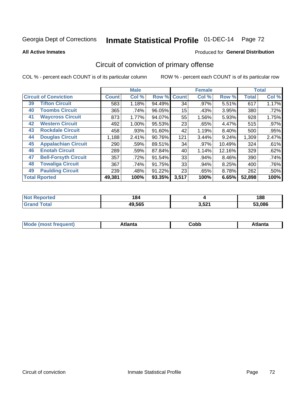# Inmate Statistical Profile 01-DEC-14 Page 72

### **All Active Inmates**

### Produced for General Distribution

## Circuit of conviction of primary offense

COL % - percent each COUNT is of its particular column

|                                   |              | <b>Male</b> |        |              | <b>Female</b> |        |              | <b>Total</b> |
|-----------------------------------|--------------|-------------|--------|--------------|---------------|--------|--------------|--------------|
| <b>Circuit of Conviction</b>      | <b>Count</b> | Col %       | Row %  | <b>Count</b> | Col %         | Row %  | <b>Total</b> | Col %        |
| <b>Tifton Circuit</b><br>39       | 583          | 1.18%       | 94.49% | 34           | .97%          | 5.51%  | 617          | 1.17%        |
| <b>Toombs Circuit</b><br>40       | 365          | .74%        | 96.05% | 15           | .43%          | 3.95%  | 380          | .72%         |
| <b>Waycross Circuit</b><br>41     | 873          | 1.77%       | 94.07% | 55           | 1.56%         | 5.93%  | 928          | 1.75%        |
| <b>Western Circuit</b><br>42      | 492          | 1.00%       | 95.53% | 23           | .65%          | 4.47%  | 515          | $.97\%$      |
| <b>Rockdale Circuit</b><br>43     | 458          | .93%        | 91.60% | 42           | 1.19%         | 8.40%  | 500          | .95%         |
| <b>Douglas Circuit</b><br>44      | 1,188        | 2.41%       | 90.76% | 121          | 3.44%         | 9.24%  | 1,309        | 2.47%        |
| <b>Appalachian Circuit</b><br>45  | 290          | .59%        | 89.51% | 34           | .97%          | 10.49% | 324          | .61%         |
| <b>Enotah Circuit</b><br>46       | 289          | .59%        | 87.84% | 40           | 1.14%         | 12.16% | 329          | .62%         |
| 47<br><b>Bell-Forsyth Circuit</b> | 357          | .72%        | 91.54% | 33           | .94%          | 8.46%  | 390          | .74%         |
| <b>Towaliga Circuit</b><br>48     | 367          | .74%        | 91.75% | 33           | .94%          | 8.25%  | 400          | .76%         |
| <b>Paulding Circuit</b><br>49     | 239          | .48%        | 91.22% | 23           | .65%          | 8.78%  | 262          | .50%         |
| <b>Total Rported</b>              | 49,381       | 100%        | 93.35% | 3,517        | 100%          | 6.65%  | 52,898       | 100%         |

| тео | 184<br>$ -$ |                | 188   |
|-----|-------------|----------------|-------|
|     | 49,565      | 2E24<br>3,5Z . | 0.086 |

| M | . | -----<br>oг | ----<br>пLс |
|---|---|-------------|-------------|
|   |   | <b>OUNN</b> |             |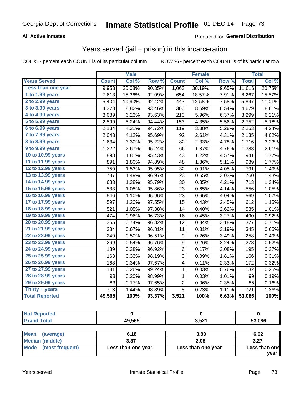## Georgia Dept of Corrections **Inmate Statistical Profile** 01-DEC-14 Page 73

### **All Active Inmates**

### Produced for **General Distribution**

### Years served (jail + prison) in this incarceration

COL % - percent each COUNT is of its particular column ROW % - percent each COUNT is of its particular row

|                       |              | <b>Male</b> |                  |                  | <b>Female</b> |       |              | <b>Total</b> |
|-----------------------|--------------|-------------|------------------|------------------|---------------|-------|--------------|--------------|
| <b>Years Served</b>   | <b>Count</b> | Col %       | Row <sup>%</sup> | <b>Count</b>     | Col %         | Row % | <b>Total</b> | Col %        |
| Less than one year    | 9,953        | 20.08%      | 90.35%           | 1,063            | 30.19%        | 9.65% | 11,016       | 20.75%       |
| 1 to 1.99 years       | 7,613        | 15.36%      | 92.09%           | 654              | 18.57%        | 7.91% | 8,267        | 15.57%       |
| 2 to 2.99 years       | 5,404        | 10.90%      | 92.42%           | 443              | 12.58%        | 7.58% | 5,847        | 11.01%       |
| $3$ to $3.99$ years   | 4,373        | 8.82%       | 93.46%           | 306              | 8.69%         | 6.54% | 4,679        | 8.81%        |
| 4 to 4.99 years       | 3,089        | 6.23%       | 93.63%           | 210              | 5.96%         | 6.37% | 3,299        | 6.21%        |
| 5 to 5.99 years       | 2,599        | 5.24%       | 94.44%           | 153              | 4.35%         | 5.56% | 2,752        | 5.18%        |
| 6 to 6.99 years       | 2,134        | 4.31%       | 94.72%           | 119              | 3.38%         | 5.28% | 2,253        | 4.24%        |
| 7 to 7.99 years       | 2,043        | 4.12%       | 95.69%           | 92               | 2.61%         | 4.31% | 2,135        | 4.02%        |
| 8 to 8.99 years       | 1,634        | 3.30%       | 95.22%           | 82               | 2.33%         | 4.78% | 1,716        | 3.23%        |
| 9 to 9.99 years       | 1,322        | 2.67%       | 95.24%           | 66               | 1.87%         | 4.76% | 1,388        | 2.61%        |
| 10 to 10.99 years     | 898          | 1.81%       | 95.43%           | 43               | 1.22%         | 4.57% | 941          | 1.77%        |
| 11 to 11.99 years     | 891          | 1.80%       | 94.89%           | 48               | 1.36%         | 5.11% | 939          | 1.77%        |
| 12 to 12.99 years     | 759          | 1.53%       | 95.95%           | 32               | 0.91%         | 4.05% | 791          | 1.49%        |
| 13 to 13.99 years     | 737          | 1.49%       | 96.97%           | 23               | 0.65%         | 3.03% | 760          | 1.43%        |
| 14 to 14.99 years     | 683          | 1.38%       | 95.79%           | 30               | 0.85%         | 4.21% | 713          | 1.34%        |
| 15 to 15.99 years     | 533          | 1.08%       | 95.86%           | 23               | 0.65%         | 4.14% | 556          | 1.05%        |
| 16 to 16.99 years     | 546          | 1.10%       | 95.96%           | 23               | 0.65%         | 4.04% | 569          | 1.07%        |
| 17 to 17.99 years     | 597          | 1.20%       | 97.55%           | 15               | 0.43%         | 2.45% | 612          | 1.15%        |
| 18 to 18.99 years     | 521          | 1.05%       | 97.38%           | 14               | 0.40%         | 2.62% | 535          | 1.01%        |
| 19 to 19.99 years     | 474          | 0.96%       | 96.73%           | 16               | 0.45%         | 3.27% | 490          | 0.92%        |
| 20 to 20.99 years     | 365          | 0.74%       | 96.82%           | 12               | 0.34%         | 3.18% | 377          | 0.71%        |
| 21 to 21.99 years     | 334          | 0.67%       | 96.81%           | 11               | 0.31%         | 3.19% | 345          | 0.65%        |
| 22 to 22.99 years     | 249          | 0.50%       | 96.51%           | $\boldsymbol{9}$ | 0.26%         | 3.49% | 258          | 0.49%        |
| 23 to 23.99 years     | 269          | 0.54%       | 96.76%           | 9                | 0.26%         | 3.24% | 278          | 0.52%        |
| 24 to 24.99 years     | 189          | 0.38%       | 96.92%           | 6                | 0.17%         | 3.08% | 195          | 0.37%        |
| 25 to 25.99 years     | 163          | 0.33%       | 98.19%           | 3                | 0.09%         | 1.81% | 166          | 0.31%        |
| 26 to 26.99 years     | 168          | 0.34%       | 97.67%           | 4                | 0.11%         | 2.33% | 172          | 0.32%        |
| 27 to 27.99 years     | 131          | 0.26%       | 99.24%           | 1                | 0.03%         | 0.76% | 132          | 0.25%        |
| 28 to 28.99 years     | 98           | 0.20%       | 98.99%           | 1                | 0.03%         | 1.01% | 99           | 0.19%        |
| 29 to 29.99 years     | 83           | 0.17%       | 97.65%           | $\overline{2}$   | 0.06%         | 2.35% | 85           | 0.16%        |
| Thirty + years        | 713          | 1.44%       | 98.89%           | 8                | 0.23%         | 1.11% | 721          | 1.36%        |
| <b>Total Reported</b> | 49,565       | 100%        | 93.37%           | 3,521            | 100%          | 6.63% | 53,086       | 100%         |

| <b>Not Reported</b>  |                    |                    |               |
|----------------------|--------------------|--------------------|---------------|
| <b>Grand Total</b>   | 49.565             | 3.521              | 53,086        |
|                      |                    |                    |               |
| Mean<br>(average)    | 6.18               | 3.83               | 6.02          |
| Median (middle)      | 3.37               | 2.08               | 3.27          |
| Mode (most frequent) | Less than one year | Less than one year | Less than one |

**year**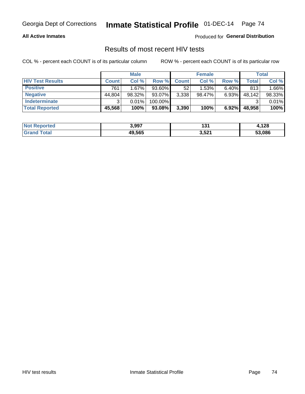#### **All Active Inmates**

Produced for **General Distribution**

## Results of most recent HIV tests

|                         | <b>Male</b>  |        |           | <b>Female</b> |        |          | Total  |        |
|-------------------------|--------------|--------|-----------|---------------|--------|----------|--------|--------|
| <b>HIV Test Results</b> | <b>Count</b> | Col %  | Row %I    | <b>Count</b>  | Col %  | Row %    | Total  | Col %  |
| <b>Positive</b>         | 761          | 1.67%  | 93.60%    | 52            | 1.53%  | $6.40\%$ | 813    | 1.66%  |
| <b>Negative</b>         | 44,804       | 98.32% | 93.07%    | 3,338         | 98.47% | 6.93%    | 48,142 | 98.33% |
| <b>Indeterminate</b>    | ົ            | 0.01%  | 100.00%   |               |        |          |        | 0.01%  |
| <b>Total Reported</b>   | 45,568       | 100%   | $93.08\%$ | 3,390         | 100%   | 6.92%    | 48,958 | 100%   |

| <b>Not Reported</b> | 3,997  | י פי<br>۔ د | ,128   |
|---------------------|--------|-------------|--------|
| <b>Grand Total</b>  | 49,565 | 3,521       | 53,086 |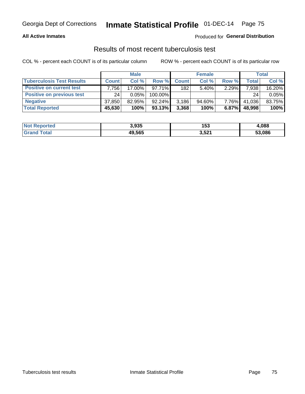#### **All Active Inmates**

### Produced for **General Distribution**

## Results of most recent tuberculosis test

|                                  | <b>Male</b>  |          |           | <b>Female</b> |           |          | Total        |        |
|----------------------------------|--------------|----------|-----------|---------------|-----------|----------|--------------|--------|
| <b>Tuberculosis Test Results</b> | <b>Count</b> | Col%     | Row %     | <b>Count</b>  | Col %     | Row %    | <b>Total</b> | Col %  |
| <b>Positive on current test</b>  | $.756+$      | 17.00%   | $97.71\%$ | 182           | $5.40\%$  | $2.29\%$ | 7,938        | 16.20% |
| <b>Positive on previous test</b> | 24           | $0.05\%$ | 100.00%   |               |           |          | 24           | 0.05%  |
| <b>Negative</b>                  | 37,850       | 82.95%   | 92.24%    | 3,186         | $94.60\%$ | $7.76\%$ | 41,036       | 83.75% |
| <b>Total Reported</b>            | 45,630       | 100%     | $93.13\%$ | 3,368         | 100%      | 6.87%    | 48,998       | 100%   |

| <b>Not Reported</b> | 3,935  | 153   | ,088   |
|---------------------|--------|-------|--------|
| Total               | 49,565 | 3,521 | 53,086 |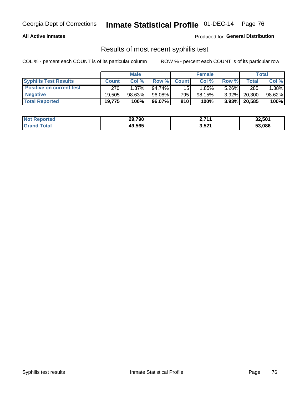#### **All Active Inmates**

Produced for **General Distribution**

## Results of most recent syphilis test

|                                 | <b>Male</b>  |           |        | <b>Female</b>   |          |          | Total   |        |
|---------------------------------|--------------|-----------|--------|-----------------|----------|----------|---------|--------|
| <b>Syphilis Test Results</b>    | <b>Count</b> | Col%      | Row %  | <b>Count</b>    | Col %    | Row %    | Total I | Col %  |
| <b>Positive on current test</b> | 270          | $1.37\%$  | 94.74% | 15 <sup>1</sup> | $1.85\%$ | $5.26\%$ | 285     | 1.38%  |
| <b>Negative</b>                 | 19.505       | $98.63\%$ | 96.08% | 795             | 98.15%   | $3.92\%$ | 20,300  | 98.62% |
| <b>Total Reported</b>           | 19,775       | 100%      | 96.07% | 810             | 100%     | $3.93\%$ | 20,585  | 100%   |

| <b>Not Reported</b> | 29,790 | n 744<br><u><i>L.I</i>II</u> | 32,501 |
|---------------------|--------|------------------------------|--------|
| <b>Grand Total</b>  | 49.565 | 3,521                        | 53.086 |